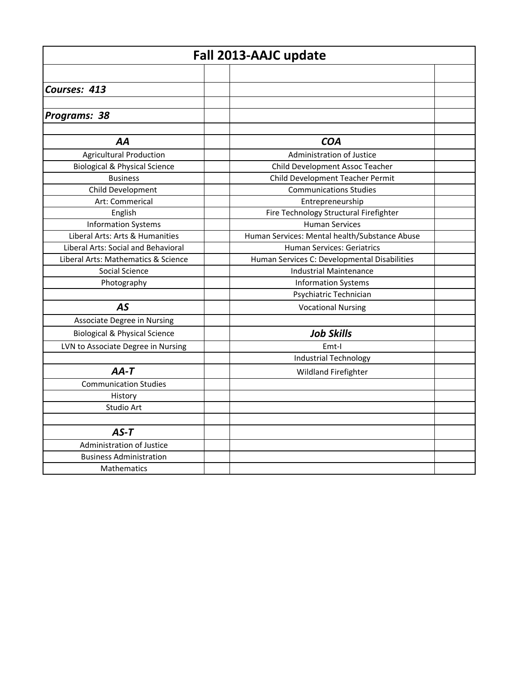| Fall 2013-AAJC update                    |                                               |  |
|------------------------------------------|-----------------------------------------------|--|
|                                          |                                               |  |
| Courses: 413                             |                                               |  |
|                                          |                                               |  |
| Programs: 38                             |                                               |  |
|                                          |                                               |  |
| AA                                       | <b>COA</b>                                    |  |
| <b>Agricultural Production</b>           | Administration of Justice                     |  |
| <b>Biological &amp; Physical Science</b> | Child Development Assoc Teacher               |  |
| <b>Business</b>                          | Child Development Teacher Permit              |  |
| Child Development                        | <b>Communications Studies</b>                 |  |
| Art: Commerical                          | Entrepreneurship                              |  |
| English                                  | Fire Technology Structural Firefighter        |  |
| <b>Information Systems</b>               | <b>Human Services</b>                         |  |
| Liberal Arts: Arts & Humanities          | Human Services: Mental health/Substance Abuse |  |
| Liberal Arts: Social and Behavioral      | <b>Human Services: Geriatrics</b>             |  |
| Liberal Arts: Mathematics & Science      | Human Services C: Developmental Disabilities  |  |
| Social Science                           | <b>Industrial Maintenance</b>                 |  |
| Photography                              | <b>Information Systems</b>                    |  |
|                                          | Psychiatric Technician                        |  |
| <b>AS</b>                                | <b>Vocational Nursing</b>                     |  |
| Associate Degree in Nursing              |                                               |  |
| <b>Biological &amp; Physical Science</b> | <b>Job Skills</b>                             |  |
| LVN to Associate Degree in Nursing       | Emt-I                                         |  |
|                                          | <b>Industrial Technology</b>                  |  |
| $AA-T$                                   | <b>Wildland Firefighter</b>                   |  |
| <b>Communication Studies</b>             |                                               |  |
| History                                  |                                               |  |
| Studio Art                               |                                               |  |
|                                          |                                               |  |
| $AS-T$                                   |                                               |  |
| Administration of Justice                |                                               |  |
| <b>Business Administration</b>           |                                               |  |
| Mathematics                              |                                               |  |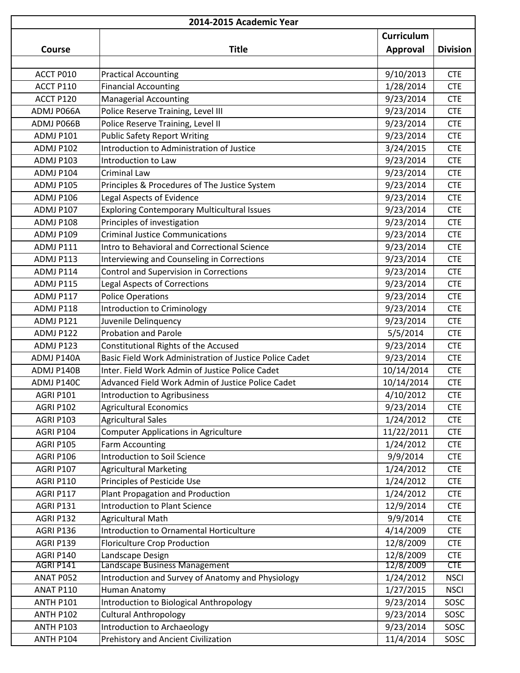| 2014-2015 Academic Year |                                                         |                   |                 |
|-------------------------|---------------------------------------------------------|-------------------|-----------------|
|                         |                                                         | <b>Curriculum</b> |                 |
| Course                  | <b>Title</b>                                            | <b>Approval</b>   | <b>Division</b> |
|                         |                                                         |                   |                 |
| ACCT P010               | <b>Practical Accounting</b>                             | 9/10/2013         | <b>CTE</b>      |
| ACCT P110               | <b>Financial Accounting</b>                             | 1/28/2014         | <b>CTE</b>      |
| ACCT P120               | <b>Managerial Accounting</b>                            | 9/23/2014         | <b>CTE</b>      |
| ADMJ P066A              | Police Reserve Training, Level III                      | 9/23/2014         | <b>CTE</b>      |
| ADMJ P066B              | Police Reserve Training, Level II                       | 9/23/2014         | <b>CTE</b>      |
| ADMJ P101               | <b>Public Safety Report Writing</b>                     | 9/23/2014         | <b>CTE</b>      |
| ADMJ P102               | Introduction to Administration of Justice               | 3/24/2015         | <b>CTE</b>      |
| ADMJ P103               | Introduction to Law                                     | 9/23/2014         | <b>CTE</b>      |
| ADMJ P104               | <b>Criminal Law</b>                                     | 9/23/2014         | <b>CTE</b>      |
| ADMJ P105               | Principles & Procedures of The Justice System           | 9/23/2014         | <b>CTE</b>      |
| ADMJ P106               | Legal Aspects of Evidence                               | 9/23/2014         | <b>CTE</b>      |
| ADMJ P107               | <b>Exploring Contemporary Multicultural Issues</b>      | 9/23/2014         | <b>CTE</b>      |
| ADMJ P108               | Principles of investigation                             | 9/23/2014         | <b>CTE</b>      |
| ADMJ P109               | <b>Criminal Justice Communications</b>                  | 9/23/2014         | <b>CTE</b>      |
| ADMJ P111               | Intro to Behavioral and Correctional Science            | 9/23/2014         | <b>CTE</b>      |
| ADMJ P113               | Interviewing and Counseling in Corrections              | 9/23/2014         | <b>CTE</b>      |
| ADMJ P114               | Control and Supervision in Corrections                  | 9/23/2014         | <b>CTE</b>      |
| ADMJ P115               | <b>Legal Aspects of Corrections</b>                     | 9/23/2014         | <b>CTE</b>      |
| ADMJ P117               | <b>Police Operations</b>                                | 9/23/2014         | <b>CTE</b>      |
| ADMJ P118               | Introduction to Criminology                             | 9/23/2014         | <b>CTE</b>      |
| ADMJ P121               | Juvenile Delinquency                                    | 9/23/2014         | <b>CTE</b>      |
| ADMJ P122               | <b>Probation and Parole</b>                             | 5/5/2014          | <b>CTE</b>      |
| ADMJ P123               | Constitutional Rights of the Accused                    | 9/23/2014         | <b>CTE</b>      |
| ADMJ P140A              | Basic Field Work Administration of Justice Police Cadet | 9/23/2014         | <b>CTE</b>      |
| ADMJ P140B              | Inter. Field Work Admin of Justice Police Cadet         | 10/14/2014        | <b>CTE</b>      |
| ADMJ P140C              | Advanced Field Work Admin of Justice Police Cadet       | 10/14/2014        | <b>CTE</b>      |
| <b>AGRI P101</b>        | Introduction to Agribusiness                            | 4/10/2012         | <b>CTE</b>      |
| AGRI P102               | <b>Agricultural Economics</b>                           | 9/23/2014         | <b>CTE</b>      |
| <b>AGRI P103</b>        | <b>Agricultural Sales</b>                               | 1/24/2012         | <b>CTE</b>      |
| AGRI P104               | <b>Computer Applications in Agriculture</b>             | 11/22/2011        | <b>CTE</b>      |
| <b>AGRI P105</b>        | <b>Farm Accounting</b>                                  | 1/24/2012         | <b>CTE</b>      |
| AGRI P106               | Introduction to Soil Science                            | 9/9/2014          | <b>CTE</b>      |
| <b>AGRI P107</b>        | <b>Agricultural Marketing</b>                           | 1/24/2012         | <b>CTE</b>      |
| <b>AGRI P110</b>        | Principles of Pesticide Use                             | 1/24/2012         | <b>CTE</b>      |
| AGRI P117               | Plant Propagation and Production                        | 1/24/2012         | <b>CTE</b>      |
| AGRI P131               | <b>Introduction to Plant Science</b>                    | 12/9/2014         | <b>CTE</b>      |
| AGRI P132               | <b>Agricultural Math</b>                                | 9/9/2014          | <b>CTE</b>      |
| AGRI P136               | Introduction to Ornamental Horticulture                 | 4/14/2009         | <b>CTE</b>      |
| AGRI P139               | <b>Floriculture Crop Production</b>                     | 12/8/2009         | <b>CTE</b>      |
| AGRI P140               | Landscape Design                                        | 12/8/2009         | <b>CTE</b>      |
| AGRI P141               | Landscape Business Management                           | 12/8/2009         | <b>CTE</b>      |
| ANAT P052               | Introduction and Survey of Anatomy and Physiology       | 1/24/2012         | <b>NSCI</b>     |
| <b>ANAT P110</b>        | Human Anatomy                                           | 1/27/2015         | <b>NSCI</b>     |
| <b>ANTH P101</b>        | Introduction to Biological Anthropology                 | 9/23/2014         | SOSC            |
| <b>ANTH P102</b>        | <b>Cultural Anthropology</b>                            | 9/23/2014         | SOSC            |
| <b>ANTH P103</b>        | Introduction to Archaeology                             | 9/23/2014         | SOSC            |
| <b>ANTH P104</b>        | Prehistory and Ancient Civilization                     | 11/4/2014         | SOSC            |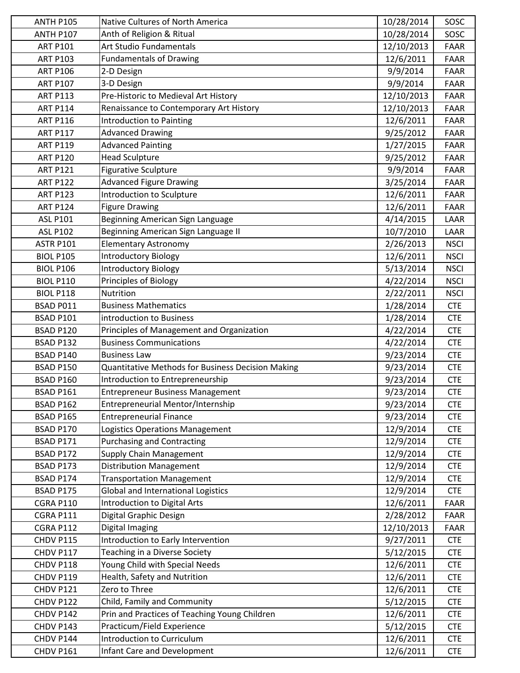| <b>ANTH P105</b> | Native Cultures of North America                         | 10/28/2014 | SOSC        |
|------------------|----------------------------------------------------------|------------|-------------|
| <b>ANTH P107</b> | Anth of Religion & Ritual                                | 10/28/2014 | SOSC        |
| <b>ART P101</b>  | Art Studio Fundamentals                                  | 12/10/2013 | <b>FAAR</b> |
| <b>ART P103</b>  | <b>Fundamentals of Drawing</b>                           | 12/6/2011  | <b>FAAR</b> |
| <b>ART P106</b>  | 2-D Design                                               | 9/9/2014   | FAAR        |
| <b>ART P107</b>  | 3-D Design                                               | 9/9/2014   | <b>FAAR</b> |
| <b>ART P113</b>  | Pre-Historic to Medieval Art History                     | 12/10/2013 | FAAR        |
| <b>ART P114</b>  | Renaissance to Contemporary Art History                  | 12/10/2013 | FAAR        |
| <b>ART P116</b>  | Introduction to Painting                                 | 12/6/2011  | FAAR        |
| <b>ART P117</b>  | <b>Advanced Drawing</b>                                  | 9/25/2012  | <b>FAAR</b> |
| <b>ART P119</b>  | <b>Advanced Painting</b>                                 | 1/27/2015  | FAAR        |
| <b>ART P120</b>  | <b>Head Sculpture</b>                                    | 9/25/2012  | <b>FAAR</b> |
| <b>ART P121</b>  | <b>Figurative Sculpture</b>                              | 9/9/2014   | <b>FAAR</b> |
| <b>ART P122</b>  | <b>Advanced Figure Drawing</b>                           | 3/25/2014  | <b>FAAR</b> |
| <b>ART P123</b>  | Introduction to Sculpture                                | 12/6/2011  | <b>FAAR</b> |
| <b>ART P124</b>  | <b>Figure Drawing</b>                                    | 12/6/2011  | FAAR        |
| <b>ASL P101</b>  | Beginning American Sign Language                         | 4/14/2015  | LAAR        |
| <b>ASL P102</b>  | Beginning American Sign Language II                      | 10/7/2010  | LAAR        |
| <b>ASTR P101</b> | <b>Elementary Astronomy</b>                              | 2/26/2013  | <b>NSCI</b> |
| <b>BIOL P105</b> | <b>Introductory Biology</b>                              | 12/6/2011  | <b>NSCI</b> |
| <b>BIOL P106</b> | <b>Introductory Biology</b>                              | 5/13/2014  | <b>NSCI</b> |
| <b>BIOL P110</b> | Principles of Biology                                    | 4/22/2014  | <b>NSCI</b> |
| <b>BIOL P118</b> | Nutrition                                                | 2/22/2011  | <b>NSCI</b> |
| BSAD P011        | <b>Business Mathematics</b>                              | 1/28/2014  | <b>CTE</b>  |
| <b>BSAD P101</b> | introduction to Business                                 | 1/28/2014  | <b>CTE</b>  |
| <b>BSAD P120</b> | Principles of Management and Organization                | 4/22/2014  | <b>CTE</b>  |
| <b>BSAD P132</b> | <b>Business Communications</b>                           | 4/22/2014  | <b>CTE</b>  |
| <b>BSAD P140</b> | <b>Business Law</b>                                      | 9/23/2014  | <b>CTE</b>  |
| <b>BSAD P150</b> | <b>Quantitative Methods for Business Decision Making</b> | 9/23/2014  | <b>CTE</b>  |
| <b>BSAD P160</b> | Introduction to Entrepreneurship                         | 9/23/2014  | <b>CTE</b>  |
| <b>BSAD P161</b> | <b>Entrepreneur Business Management</b>                  | 9/23/2014  | <b>CTE</b>  |
| BSAD P162        | Entrepreneurial Mentor/Internship                        | 9/23/2014  | <b>CTE</b>  |
| <b>BSAD P165</b> | <b>Entrepreneurial Finance</b>                           | 9/23/2014  | <b>CTE</b>  |
| BSAD P170        | Logistics Operations Management                          | 12/9/2014  | <b>CTE</b>  |
| BSAD P171        | <b>Purchasing and Contracting</b>                        | 12/9/2014  | <b>CTE</b>  |
| BSAD P172        | Supply Chain Management                                  | 12/9/2014  | <b>CTE</b>  |
| BSAD P173        | <b>Distribution Management</b>                           | 12/9/2014  | <b>CTE</b>  |
| BSAD P174        | <b>Transportation Management</b>                         | 12/9/2014  | <b>CTE</b>  |
| BSAD P175        | <b>Global and International Logistics</b>                | 12/9/2014  | <b>CTE</b>  |
| <b>CGRA P110</b> | Introduction to Digital Arts                             | 12/6/2011  | FAAR        |
| CGRA P111        | Digital Graphic Design                                   | 2/28/2012  | FAAR        |
| <b>CGRA P112</b> | <b>Digital Imaging</b>                                   | 12/10/2013 | FAAR        |
| CHDV P115        | Introduction to Early Intervention                       | 9/27/2011  | <b>CTE</b>  |
| CHDV P117        | Teaching in a Diverse Society                            | 5/12/2015  | <b>CTE</b>  |
| CHDV P118        | Young Child with Special Needs                           | 12/6/2011  | <b>CTE</b>  |
| CHDV P119        | Health, Safety and Nutrition                             | 12/6/2011  | <b>CTE</b>  |
| CHDV P121        | Zero to Three                                            | 12/6/2011  | <b>CTE</b>  |
| CHDV P122        | Child, Family and Community                              | 5/12/2015  | <b>CTE</b>  |
| CHDV P142        | Prin and Practices of Teaching Young Children            | 12/6/2011  | <b>CTE</b>  |
| CHDV P143        | Practicum/Field Experience                               | 5/12/2015  | <b>CTE</b>  |
| CHDV P144        | Introduction to Curriculum                               | 12/6/2011  | <b>CTE</b>  |
| CHDV P161        | Infant Care and Development                              | 12/6/2011  | <b>CTE</b>  |
|                  |                                                          |            |             |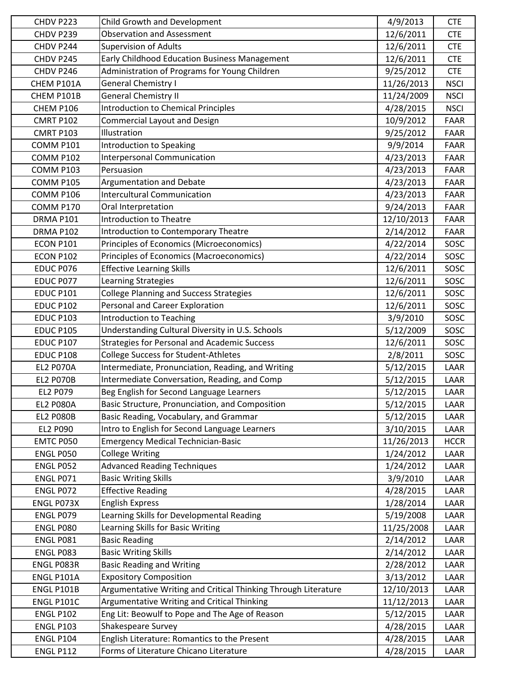| CHDV P223         | Child Growth and Development<br><b>Observation and Assessment</b> | 4/9/2013   | <b>CTE</b>  |
|-------------------|-------------------------------------------------------------------|------------|-------------|
| CHDV P239         |                                                                   | 12/6/2011  | <b>CTE</b>  |
| CHDV P244         | <b>Supervision of Adults</b>                                      | 12/6/2011  | <b>CTE</b>  |
| CHDV P245         | Early Childhood Education Business Management                     | 12/6/2011  | <b>CTE</b>  |
| CHDV P246         | Administration of Programs for Young Children                     | 9/25/2012  | <b>CTE</b>  |
| CHEM P101A        | <b>General Chemistry I</b>                                        | 11/26/2013 | <b>NSCI</b> |
| CHEM P101B        | <b>General Chemistry II</b>                                       | 11/24/2009 | <b>NSCI</b> |
| CHEM P106         | <b>Introduction to Chemical Principles</b>                        | 4/28/2015  | <b>NSCI</b> |
| <b>CMRT P102</b>  | <b>Commercial Layout and Design</b>                               | 10/9/2012  | FAAR        |
| <b>CMRT P103</b>  | Illustration                                                      | 9/25/2012  | FAAR        |
| <b>COMM P101</b>  | Introduction to Speaking                                          | 9/9/2014   | FAAR        |
| <b>COMM P102</b>  | Interpersonal Communication                                       | 4/23/2013  | <b>FAAR</b> |
| COMM P103         | Persuasion                                                        | 4/23/2013  | <b>FAAR</b> |
| <b>COMM P105</b>  | <b>Argumentation and Debate</b>                                   | 4/23/2013  | <b>FAAR</b> |
| COMM P106         | <b>Intercultural Communication</b>                                | 4/23/2013  | FAAR        |
| COMM P170         | Oral Interpretation                                               | 9/24/2013  | FAAR        |
| DRMA P101         | Introduction to Theatre                                           | 12/10/2013 | <b>FAAR</b> |
| DRMA P102         | Introduction to Contemporary Theatre                              | 2/14/2012  | FAAR        |
| <b>ECON P101</b>  | Principles of Economics (Microeconomics)                          | 4/22/2014  | SOSC        |
| <b>ECON P102</b>  | Principles of Economics (Macroeconomics)                          | 4/22/2014  | SOSC        |
| EDUC P076         | <b>Effective Learning Skills</b>                                  | 12/6/2011  | SOSC        |
| EDUC P077         | Learning Strategies                                               | 12/6/2011  | SOSC        |
| <b>EDUC P101</b>  | <b>College Planning and Success Strategies</b>                    | 12/6/2011  | SOSC        |
| <b>EDUC P102</b>  | Personal and Career Exploration                                   | 12/6/2011  | SOSC        |
| <b>EDUC P103</b>  | Introduction to Teaching                                          | 3/9/2010   | SOSC        |
| <b>EDUC P105</b>  | Understanding Cultural Diversity in U.S. Schools                  | 5/12/2009  | SOSC        |
| <b>EDUC P107</b>  | <b>Strategies for Personal and Academic Success</b>               | 12/6/2011  | SOSC        |
| <b>EDUC P108</b>  | <b>College Success for Student-Athletes</b>                       | 2/8/2011   | SOSC        |
| <b>EL2 P070A</b>  | Intermediate, Pronunciation, Reading, and Writing                 | 5/12/2015  | LAAR        |
| <b>EL2 P070B</b>  | Intermediate Conversation, Reading, and Comp                      | 5/12/2015  | LAAR        |
| EL2 P079          | Beg English for Second Language Learners                          | 5/12/2015  | LAAR        |
| <b>EL2 P080A</b>  | Basic Structure, Pronunciation, and Composition                   | 5/12/2015  | LAAR        |
| <b>EL2 PO80B</b>  | Basic Reading, Vocabulary, and Grammar                            | 5/12/2015  | LAAR        |
| <b>EL2 P090</b>   | Intro to English for Second Language Learners                     | 3/10/2015  | LAAR        |
| EMTC P050         | <b>Emergency Medical Technician-Basic</b>                         | 11/26/2013 | <b>HCCR</b> |
| <b>ENGL P050</b>  | <b>College Writing</b>                                            | 1/24/2012  | LAAR        |
| ENGL P052         | <b>Advanced Reading Techniques</b>                                | 1/24/2012  | LAAR        |
| <b>ENGL P071</b>  | <b>Basic Writing Skills</b>                                       | 3/9/2010   | LAAR        |
| ENGL P072         | <b>Effective Reading</b>                                          | 4/28/2015  | LAAR        |
| ENGL P073X        | <b>English Express</b>                                            | 1/28/2014  | LAAR        |
|                   |                                                                   |            |             |
| ENGL P079         | Learning Skills for Developmental Reading                         | 5/19/2008  | LAAR        |
| <b>ENGL P080</b>  | Learning Skills for Basic Writing                                 | 11/25/2008 | LAAR        |
| <b>ENGL P081</b>  | <b>Basic Reading</b>                                              | 2/14/2012  | LAAR        |
| ENGL P083         | <b>Basic Writing Skills</b>                                       | 2/14/2012  | LAAR        |
| ENGL P083R        | <b>Basic Reading and Writing</b>                                  | 2/28/2012  | LAAR        |
| ENGL P101A        | <b>Expository Composition</b>                                     | 3/13/2012  | LAAR        |
| ENGL P101B        | Argumentative Writing and Critical Thinking Through Literature    | 12/10/2013 | LAAR        |
| <b>ENGL P101C</b> | Argumentative Writing and Critical Thinking                       | 11/12/2013 | LAAR        |
| <b>ENGL P102</b>  | Eng Lit: Beowulf to Pope and The Age of Reason                    | 5/12/2015  | LAAR        |
| <b>ENGL P103</b>  | Shakespeare Survey                                                | 4/28/2015  | LAAR        |
| <b>ENGL P104</b>  | English Literature: Romantics to the Present                      | 4/28/2015  | LAAR        |
| <b>ENGL P112</b>  | Forms of Literature Chicano Literature                            | 4/28/2015  | LAAR        |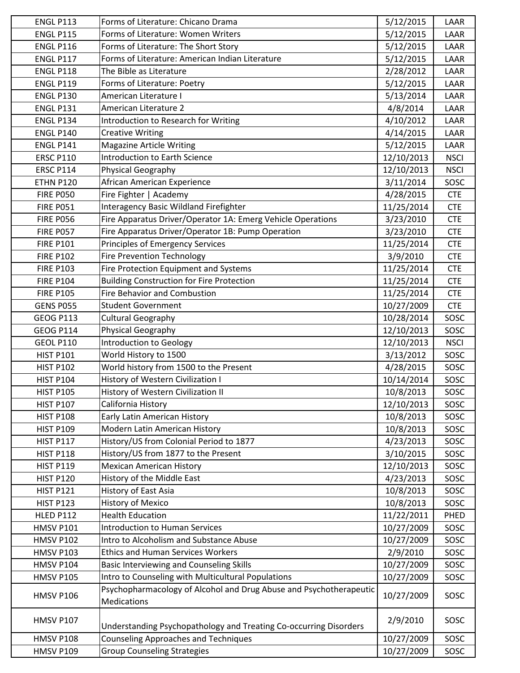| <b>ENGL P113</b> | Forms of Literature: Chicano Drama                                 | 5/12/2015  | LAAR        |
|------------------|--------------------------------------------------------------------|------------|-------------|
| <b>ENGL P115</b> | Forms of Literature: Women Writers                                 | 5/12/2015  | LAAR        |
| <b>ENGL P116</b> | Forms of Literature: The Short Story                               | 5/12/2015  | LAAR        |
| <b>ENGL P117</b> | Forms of Literature: American Indian Literature                    | 5/12/2015  | LAAR        |
| <b>ENGL P118</b> | The Bible as Literature                                            | 2/28/2012  | LAAR        |
| <b>ENGL P119</b> | Forms of Literature: Poetry                                        | 5/12/2015  | LAAR        |
| <b>ENGL P130</b> | American Literature I                                              | 5/13/2014  | LAAR        |
| <b>ENGL P131</b> | American Literature 2                                              | 4/8/2014   | LAAR        |
| <b>ENGL P134</b> | Introduction to Research for Writing                               | 4/10/2012  | LAAR        |
| <b>ENGL P140</b> | <b>Creative Writing</b>                                            | 4/14/2015  | LAAR        |
| <b>ENGL P141</b> | <b>Magazine Article Writing</b>                                    | 5/12/2015  | LAAR        |
| <b>ERSC P110</b> | <b>Introduction to Earth Science</b>                               | 12/10/2013 | <b>NSCI</b> |
| <b>ERSC P114</b> | Physical Geography                                                 | 12/10/2013 | <b>NSCI</b> |
| <b>ETHN P120</b> | African American Experience                                        | 3/11/2014  | SOSC        |
| <b>FIRE P050</b> | Fire Fighter   Academy                                             | 4/28/2015  | <b>CTE</b>  |
| <b>FIRE P051</b> | Interagency Basic Wildland Firefighter                             | 11/25/2014 | <b>CTE</b>  |
| <b>FIRE P056</b> | Fire Apparatus Driver/Operator 1A: Emerg Vehicle Operations        | 3/23/2010  | <b>CTE</b>  |
| <b>FIRE P057</b> | Fire Apparatus Driver/Operator 1B: Pump Operation                  | 3/23/2010  | <b>CTE</b>  |
| <b>FIRE P101</b> | Principles of Emergency Services                                   | 11/25/2014 | <b>CTE</b>  |
| <b>FIRE P102</b> | Fire Prevention Technology                                         | 3/9/2010   | <b>CTE</b>  |
| <b>FIRE P103</b> | Fire Protection Equipment and Systems                              | 11/25/2014 | <b>CTE</b>  |
| <b>FIRE P104</b> | <b>Building Construction for Fire Protection</b>                   | 11/25/2014 | <b>CTE</b>  |
| <b>FIRE P105</b> | Fire Behavior and Combustion                                       | 11/25/2014 | <b>CTE</b>  |
| <b>GENS P055</b> | <b>Student Government</b>                                          | 10/27/2009 | <b>CTE</b>  |
| <b>GEOG P113</b> | <b>Cultural Geography</b>                                          | 10/28/2014 | SOSC        |
| <b>GEOG P114</b> | Physical Geography                                                 | 12/10/2013 | SOSC        |
| <b>GEOL P110</b> | Introduction to Geology                                            | 12/10/2013 | <b>NSCI</b> |
| <b>HIST P101</b> | World History to 1500                                              | 3/13/2012  | SOSC        |
| <b>HIST P102</b> | World history from 1500 to the Present                             | 4/28/2015  | SOSC        |
| <b>HIST P104</b> | History of Western Civilization I                                  | 10/14/2014 | SOSC        |
| <b>HIST P105</b> | History of Western Civilization II                                 | 10/8/2013  | SOSC        |
| <b>HIST P107</b> | California History                                                 | 12/10/2013 | SOSC        |
| <b>HIST P108</b> | Early Latin American History                                       | 10/8/2013  | SOSC        |
| <b>HIST P109</b> | Modern Latin American History                                      | 10/8/2013  | SOSC        |
| <b>HIST P117</b> | History/US from Colonial Period to 1877                            | 4/23/2013  | SOSC        |
| <b>HIST P118</b> | History/US from 1877 to the Present                                | 3/10/2015  | SOSC        |
| <b>HIST P119</b> | <b>Mexican American History</b>                                    | 12/10/2013 | SOSC        |
| <b>HIST P120</b> | History of the Middle East                                         | 4/23/2013  | SOSC        |
| <b>HIST P121</b> | History of East Asia                                               | 10/8/2013  | SOSC        |
| <b>HIST P123</b> | <b>History of Mexico</b>                                           | 10/8/2013  | SOSC        |
| <b>HLED P112</b> | <b>Health Education</b>                                            | 11/22/2011 | PHED        |
| <b>HMSV P101</b> | <b>Introduction to Human Services</b>                              | 10/27/2009 | SOSC        |
| <b>HMSV P102</b> | Intro to Alcoholism and Substance Abuse                            | 10/27/2009 | SOSC        |
| <b>HMSV P103</b> | <b>Ethics and Human Services Workers</b>                           | 2/9/2010   | SOSC        |
| <b>HMSV P104</b> | <b>Basic Interviewing and Counseling Skills</b>                    | 10/27/2009 | SOSC        |
| <b>HMSV P105</b> | Intro to Counseling with Multicultural Populations                 | 10/27/2009 | SOSC        |
|                  | Psychopharmacology of Alcohol and Drug Abuse and Psychotherapeutic |            |             |
| HMSV P106        | <b>Medications</b>                                                 | 10/27/2009 | SOSC        |
| <b>HMSV P107</b> |                                                                    | 2/9/2010   | SOSC        |
|                  | Understanding Psychopathology and Treating Co-occurring Disorders  |            |             |
| <b>HMSV P108</b> | <b>Counseling Approaches and Techniques</b>                        | 10/27/2009 | SOSC        |
| <b>HMSV P109</b> | <b>Group Counseling Strategies</b>                                 | 10/27/2009 | SOSC        |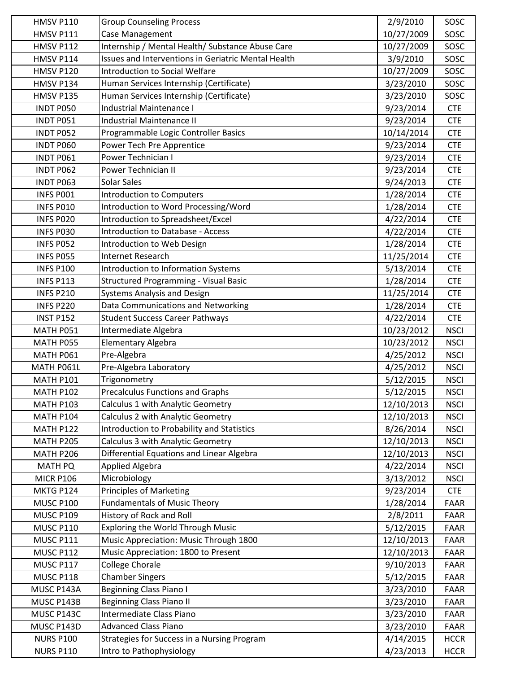| <b>HMSV P110</b> | <b>Group Counseling Process</b>                     | 2/9/2010   | SOSC        |
|------------------|-----------------------------------------------------|------------|-------------|
| <b>HMSV P111</b> | Case Management                                     | 10/27/2009 | SOSC        |
| <b>HMSV P112</b> | Internship / Mental Health/ Substance Abuse Care    | 10/27/2009 | SOSC        |
| <b>HMSV P114</b> | Issues and Interventions in Geriatric Mental Health | 3/9/2010   | SOSC        |
| <b>HMSV P120</b> | <b>Introduction to Social Welfare</b>               | 10/27/2009 | SOSC        |
| HMSV P134        | Human Services Internship (Certificate)             | 3/23/2010  | SOSC        |
| HMSV P135        | Human Services Internship (Certificate)             | 3/23/2010  | SOSC        |
| <b>INDT P050</b> | Industrial Maintenance I                            | 9/23/2014  | <b>CTE</b>  |
| INDT P051        | Industrial Maintenance II                           | 9/23/2014  | <b>CTE</b>  |
| INDT P052        | Programmable Logic Controller Basics                | 10/14/2014 | <b>CTE</b>  |
| INDT P060        | Power Tech Pre Apprentice                           | 9/23/2014  | <b>CTE</b>  |
| INDT P061        | Power Technician I                                  | 9/23/2014  | <b>CTE</b>  |
| INDT P062        | Power Technician II                                 | 9/23/2014  | <b>CTE</b>  |
| INDT P063        | <b>Solar Sales</b>                                  | 9/24/2013  | <b>CTE</b>  |
| INFS PO01        | <b>Introduction to Computers</b>                    | 1/28/2014  | <b>CTE</b>  |
| INFS P010        | Introduction to Word Processing/Word                | 1/28/2014  | <b>CTE</b>  |
| INFS P020        | Introduction to Spreadsheet/Excel                   | 4/22/2014  | <b>CTE</b>  |
| INFS P030        | <b>Introduction to Database - Access</b>            | 4/22/2014  | <b>CTE</b>  |
| INFS P052        | Introduction to Web Design                          | 1/28/2014  | <b>CTE</b>  |
| INFS P055        | Internet Research                                   | 11/25/2014 | <b>CTE</b>  |
| <b>INFS P100</b> | Introduction to Information Systems                 | 5/13/2014  | <b>CTE</b>  |
| <b>INFS P113</b> | <b>Structured Programming - Visual Basic</b>        | 1/28/2014  | <b>CTE</b>  |
| <b>INFS P210</b> | <b>Systems Analysis and Design</b>                  | 11/25/2014 | <b>CTE</b>  |
| <b>INFS P220</b> | Data Communications and Networking                  | 1/28/2014  | <b>CTE</b>  |
| <b>INST P152</b> | <b>Student Success Career Pathways</b>              | 4/22/2014  | <b>CTE</b>  |
| MATH P051        | Intermediate Algebra                                | 10/23/2012 | <b>NSCI</b> |
| MATH P055        | <b>Elementary Algebra</b>                           | 10/23/2012 | <b>NSCI</b> |
| MATH P061        | Pre-Algebra                                         | 4/25/2012  | <b>NSCI</b> |
| MATH P061L       | Pre-Algebra Laboratory                              | 4/25/2012  | <b>NSCI</b> |
| <b>MATH P101</b> | Trigonometry                                        | 5/12/2015  | <b>NSCI</b> |
| <b>MATH P102</b> | <b>Precalculus Functions and Graphs</b>             | 5/12/2015  | <b>NSCI</b> |
| <b>MATH P103</b> | Calculus 1 with Analytic Geometry                   | 12/10/2013 | <b>NSCI</b> |
| <b>MATH P104</b> | Calculus 2 with Analytic Geometry                   | 12/10/2013 | <b>NSCI</b> |
| <b>MATH P122</b> | Introduction to Probability and Statistics          | 8/26/2014  | <b>NSCI</b> |
| <b>MATH P205</b> | Calculus 3 with Analytic Geometry                   | 12/10/2013 | <b>NSCI</b> |
| MATH P206        | Differential Equations and Linear Algebra           | 12/10/2013 | <b>NSCI</b> |
| <b>MATH PQ</b>   | <b>Applied Algebra</b>                              | 4/22/2014  | <b>NSCI</b> |
| <b>MICR P106</b> | Microbiology                                        | 3/13/2012  | <b>NSCI</b> |
| MKTG P124        | <b>Principles of Marketing</b>                      | 9/23/2014  | <b>CTE</b>  |
| <b>MUSC P100</b> | <b>Fundamentals of Music Theory</b>                 | 1/28/2014  | FAAR        |
| <b>MUSC P109</b> | History of Rock and Roll                            | 2/8/2011   | <b>FAAR</b> |
| <b>MUSC P110</b> | Exploring the World Through Music                   | 5/12/2015  | FAAR        |
| <b>MUSC P111</b> | Music Appreciation: Music Through 1800              | 12/10/2013 | FAAR        |
| <b>MUSC P112</b> | Music Appreciation: 1800 to Present                 | 12/10/2013 | FAAR        |
| <b>MUSC P117</b> | College Chorale                                     | 9/10/2013  | FAAR        |
| <b>MUSC P118</b> | <b>Chamber Singers</b>                              | 5/12/2015  | <b>FAAR</b> |
| MUSC P143A       | <b>Beginning Class Piano I</b>                      | 3/23/2010  | FAAR        |
| MUSC P143B       | <b>Beginning Class Piano II</b>                     | 3/23/2010  | FAAR        |
| MUSC P143C       | Intermediate Class Piano                            | 3/23/2010  | FAAR        |
| MUSC P143D       | <b>Advanced Class Piano</b>                         | 3/23/2010  | FAAR        |
| <b>NURS P100</b> | Strategies for Success in a Nursing Program         | 4/14/2015  | <b>HCCR</b> |
| <b>NURS P110</b> | Intro to Pathophysiology                            | 4/23/2013  | <b>HCCR</b> |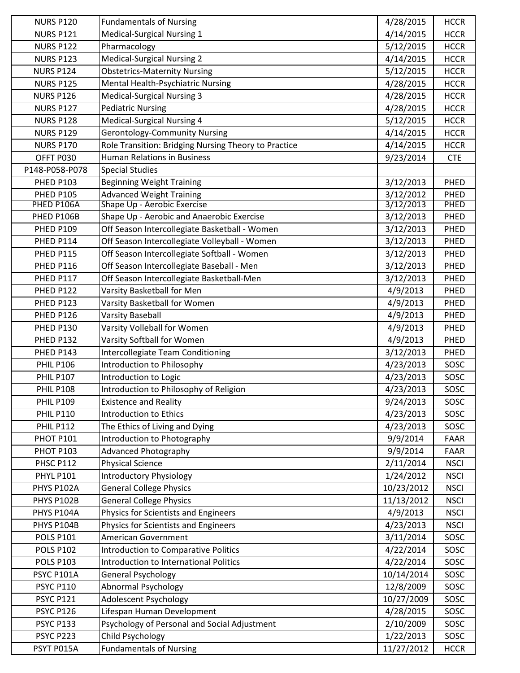| <b>NURS P120</b> | <b>Fundamentals of Nursing</b>                       | 4/28/2015  | <b>HCCR</b> |
|------------------|------------------------------------------------------|------------|-------------|
| <b>NURS P121</b> | Medical-Surgical Nursing 1                           | 4/14/2015  | <b>HCCR</b> |
| <b>NURS P122</b> | Pharmacology                                         | 5/12/2015  | <b>HCCR</b> |
| <b>NURS P123</b> | <b>Medical-Surgical Nursing 2</b>                    | 4/14/2015  | <b>HCCR</b> |
| <b>NURS P124</b> | <b>Obstetrics-Maternity Nursing</b>                  | 5/12/2015  | <b>HCCR</b> |
| <b>NURS P125</b> | Mental Health-Psychiatric Nursing                    | 4/28/2015  | <b>HCCR</b> |
| <b>NURS P126</b> | <b>Medical-Surgical Nursing 3</b>                    | 4/28/2015  | <b>HCCR</b> |
| <b>NURS P127</b> | <b>Pediatric Nursing</b>                             | 4/28/2015  | <b>HCCR</b> |
| <b>NURS P128</b> | <b>Medical-Surgical Nursing 4</b>                    | 5/12/2015  | <b>HCCR</b> |
| <b>NURS P129</b> | <b>Gerontology-Community Nursing</b>                 | 4/14/2015  | <b>HCCR</b> |
| <b>NURS P170</b> | Role Transition: Bridging Nursing Theory to Practice | 4/14/2015  | <b>HCCR</b> |
| OFFT P030        | <b>Human Relations in Business</b>                   | 9/23/2014  | <b>CTE</b>  |
| P148-P058-P078   | <b>Special Studies</b>                               |            |             |
| <b>PHED P103</b> | <b>Beginning Weight Training</b>                     | 3/12/2013  | PHED        |
| <b>PHED P105</b> | <b>Advanced Weight Training</b>                      | 3/12/2012  | PHED        |
| PHED P106A       | Shape Up - Aerobic Exercise                          | 3/12/2013  | PHED        |
| PHED P106B       | Shape Up - Aerobic and Anaerobic Exercise            | 3/12/2013  | PHED        |
| <b>PHED P109</b> | Off Season Intercollegiate Basketball - Women        | 3/12/2013  | PHED        |
| PHED P114        | Off Season Intercollegiate Volleyball - Women        | 3/12/2013  | PHED        |
| PHED P115        | Off Season Intercollegiate Softball - Women          | 3/12/2013  | PHED        |
| PHED P116        | Off Season Intercollegiate Baseball - Men            | 3/12/2013  | PHED        |
| PHED P117        | Off Season Intercollegiate Basketball-Men            | 3/12/2013  | PHED        |
| PHED P122        | Varsity Basketball for Men                           | 4/9/2013   | PHED        |
| PHED P123        | Varsity Basketball for Women                         | 4/9/2013   | PHED        |
| PHED P126        | <b>Varsity Baseball</b>                              | 4/9/2013   | PHED        |
| PHED P130        | Varsity Volleball for Women                          | 4/9/2013   | PHED        |
| PHED P132        | Varsity Softball for Women                           | 4/9/2013   | PHED        |
| PHED P143        | Intercollegiate Team Conditioning                    | 3/12/2013  | PHED        |
| <b>PHIL P106</b> | Introduction to Philosophy                           | 4/23/2013  | SOSC        |
| <b>PHIL P107</b> | Introduction to Logic                                | 4/23/2013  | SOSC        |
| <b>PHIL P108</b> | Introduction to Philosophy of Religion               | 4/23/2013  | SOSC        |
| <b>PHIL P109</b> | <b>Existence and Reality</b>                         | 9/24/2013  | SOSC        |
| <b>PHIL P110</b> | <b>Introduction to Ethics</b>                        | 4/23/2013  | SOSC        |
| <b>PHIL P112</b> | The Ethics of Living and Dying                       | 4/23/2013  | SOSC        |
| <b>PHOT P101</b> | Introduction to Photography                          | 9/9/2014   | <b>FAAR</b> |
| <b>PHOT P103</b> | <b>Advanced Photography</b>                          | 9/9/2014   | FAAR        |
| <b>PHSC P112</b> | <b>Physical Science</b>                              | 2/11/2014  | <b>NSCI</b> |
| <b>PHYL P101</b> | <b>Introductory Physiology</b>                       | 1/24/2012  | <b>NSCI</b> |
| PHYS P102A       | <b>General College Physics</b>                       | 10/23/2012 | <b>NSCI</b> |
| PHYS P102B       | <b>General College Physics</b>                       | 11/13/2012 | <b>NSCI</b> |
| PHYS P104A       | Physics for Scientists and Engineers                 | 4/9/2013   | <b>NSCI</b> |
| PHYS P104B       | Physics for Scientists and Engineers                 | 4/23/2013  | <b>NSCI</b> |
| <b>POLS P101</b> | American Government                                  | 3/11/2014  | SOSC        |
| <b>POLS P102</b> | <b>Introduction to Comparative Politics</b>          | 4/22/2014  | SOSC        |
| <b>POLS P103</b> | Introduction to International Politics               | 4/22/2014  | SOSC        |
| PSYC P101A       | <b>General Psychology</b>                            | 10/14/2014 | SOSC        |
| <b>PSYC P110</b> | <b>Abnormal Psychology</b>                           | 12/8/2009  | SOSC        |
| <b>PSYC P121</b> | Adolescent Psychology                                | 10/27/2009 | SOSC        |
| <b>PSYC P126</b> | Lifespan Human Development                           | 4/28/2015  | SOSC        |
| <b>PSYC P133</b> | Psychology of Personal and Social Adjustment         | 2/10/2009  | SOSC        |
| PSYC P223        | Child Psychology                                     | 1/22/2013  | SOSC        |
| PSYT P015A       | <b>Fundamentals of Nursing</b>                       | 11/27/2012 | <b>HCCR</b> |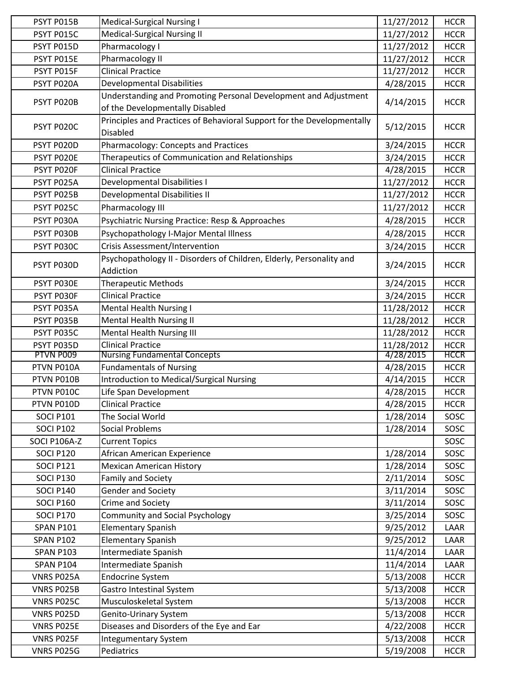| PSYT P015B       | <b>Medical-Surgical Nursing I</b>                                      | 11/27/2012 | <b>HCCR</b> |
|------------------|------------------------------------------------------------------------|------------|-------------|
| PSYT P015C       | <b>Medical-Surgical Nursing II</b>                                     | 11/27/2012 | <b>HCCR</b> |
| PSYT P015D       | Pharmacology I                                                         | 11/27/2012 | <b>HCCR</b> |
| PSYT P015E       | Pharmacology II                                                        | 11/27/2012 | <b>HCCR</b> |
| PSYT P015F       | <b>Clinical Practice</b>                                               | 11/27/2012 | <b>HCCR</b> |
| PSYT P020A       |                                                                        | 4/28/2015  |             |
|                  | <b>Developmental Disabilities</b>                                      |            | <b>HCCR</b> |
| PSYT P020B       | Understanding and Promoting Personal Development and Adjustment        | 4/14/2015  | <b>HCCR</b> |
|                  | of the Developmentally Disabled                                        |            |             |
| PSYT P020C       | Principles and Practices of Behavioral Support for the Developmentally | 5/12/2015  | <b>HCCR</b> |
|                  | <b>Disabled</b>                                                        |            |             |
| PSYT P020D       | Pharmacology: Concepts and Practices                                   | 3/24/2015  | <b>HCCR</b> |
| PSYT P020E       | Therapeutics of Communication and Relationships                        | 3/24/2015  | <b>HCCR</b> |
| PSYT P020F       | <b>Clinical Practice</b>                                               | 4/28/2015  | <b>HCCR</b> |
| PSYT P025A       | <b>Developmental Disabilities I</b>                                    | 11/27/2012 | <b>HCCR</b> |
| PSYT P025B       | Developmental Disabilities II                                          | 11/27/2012 | <b>HCCR</b> |
| PSYT P025C       | Pharmacology III                                                       | 11/27/2012 | <b>HCCR</b> |
| PSYT P030A       | Psychiatric Nursing Practice: Resp & Approaches                        | 4/28/2015  | <b>HCCR</b> |
|                  |                                                                        |            |             |
| PSYT P030B       | Psychopathology I-Major Mental Illness                                 | 4/28/2015  | <b>HCCR</b> |
| PSYT P030C       | <b>Crisis Assessment/Intervention</b>                                  | 3/24/2015  | <b>HCCR</b> |
| PSYT P030D       | Psychopathology II - Disorders of Children, Elderly, Personality and   | 3/24/2015  | <b>HCCR</b> |
|                  | Addiction                                                              |            |             |
| PSYT P030E       | <b>Therapeutic Methods</b>                                             | 3/24/2015  | <b>HCCR</b> |
| PSYT P030F       | <b>Clinical Practice</b>                                               | 3/24/2015  | <b>HCCR</b> |
| PSYT P035A       | <b>Mental Health Nursing I</b>                                         | 11/28/2012 | <b>HCCR</b> |
| PSYT P035B       | <b>Mental Health Nursing II</b>                                        | 11/28/2012 | <b>HCCR</b> |
| PSYT P035C       | <b>Mental Health Nursing III</b>                                       | 11/28/2012 | <b>HCCR</b> |
| PSYT P035D       | <b>Clinical Practice</b>                                               | 11/28/2012 | <b>HCCR</b> |
| PTVN P009        | <b>Nursing Fundamental Concepts</b>                                    | 4/28/2015  | <b>HCCR</b> |
| PTVN P010A       | <b>Fundamentals of Nursing</b>                                         | 4/28/2015  | <b>HCCR</b> |
| PTVN P010B       | <b>Introduction to Medical/Surgical Nursing</b>                        | 4/14/2015  | <b>HCCR</b> |
| PTVN P010C       | Life Span Development                                                  | 4/28/2015  | <b>HCCR</b> |
| PTVN P010D       | <b>Clinical Practice</b>                                               | 4/28/2015  | <b>HCCR</b> |
| <b>SOCI P101</b> | The Social World                                                       | 1/28/2014  | SOSC        |
| <b>SOCI P102</b> | <b>Social Problems</b>                                                 | 1/28/2014  | SOSC        |
| SOCI P106A-Z     |                                                                        |            | SOSC        |
|                  | <b>Current Topics</b>                                                  |            |             |
| <b>SOCI P120</b> | African American Experience                                            | 1/28/2014  | SOSC        |
| <b>SOCI P121</b> | <b>Mexican American History</b>                                        | 1/28/2014  | SOSC        |
| <b>SOCI P130</b> | Family and Society                                                     | 2/11/2014  | SOSC        |
| <b>SOCI P140</b> | <b>Gender and Society</b>                                              | 3/11/2014  | SOSC        |
| <b>SOCI P160</b> | Crime and Society                                                      | 3/11/2014  | SOSC        |
| <b>SOCI P170</b> | <b>Community and Social Psychology</b>                                 | 3/25/2014  | SOSC        |
| <b>SPAN P101</b> | <b>Elementary Spanish</b>                                              | 9/25/2012  | LAAR        |
| <b>SPAN P102</b> | <b>Elementary Spanish</b>                                              | 9/25/2012  | LAAR        |
| <b>SPAN P103</b> | Intermediate Spanish                                                   | 11/4/2014  | LAAR        |
| <b>SPAN P104</b> | Intermediate Spanish                                                   | 11/4/2014  | LAAR        |
| VNRS P025A       | <b>Endocrine System</b>                                                | 5/13/2008  | <b>HCCR</b> |
| VNRS P025B       | <b>Gastro Intestinal System</b>                                        | 5/13/2008  | <b>HCCR</b> |
| VNRS P025C       | Musculoskeletal System                                                 | 5/13/2008  | <b>HCCR</b> |
| VNRS P025D       | Genito-Urinary System                                                  | 5/13/2008  | <b>HCCR</b> |
| VNRS P025E       | Diseases and Disorders of the Eye and Ear                              | 4/22/2008  |             |
|                  |                                                                        |            | <b>HCCR</b> |
| VNRS P025F       | <b>Integumentary System</b>                                            | 5/13/2008  | <b>HCCR</b> |
| VNRS P025G       | Pediatrics                                                             | 5/19/2008  | <b>HCCR</b> |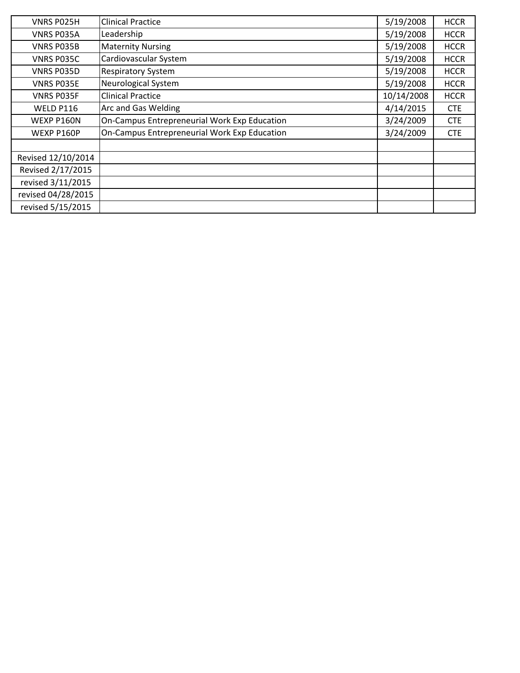| VNRS P025H         | <b>Clinical Practice</b>                     | 5/19/2008  | <b>HCCR</b> |
|--------------------|----------------------------------------------|------------|-------------|
| VNRS P035A         | Leadership                                   | 5/19/2008  | <b>HCCR</b> |
| <b>VNRS PO35B</b>  | <b>Maternity Nursing</b>                     | 5/19/2008  | <b>HCCR</b> |
| VNRS P035C         | Cardiovascular System                        | 5/19/2008  | <b>HCCR</b> |
| VNRS P035D         | <b>Respiratory System</b>                    | 5/19/2008  | <b>HCCR</b> |
| <b>VNRS PO35E</b>  | Neurological System                          | 5/19/2008  | <b>HCCR</b> |
| <b>VNRS PO35F</b>  | <b>Clinical Practice</b>                     | 10/14/2008 | <b>HCCR</b> |
| WELD P116          | Arc and Gas Welding                          | 4/14/2015  | <b>CTE</b>  |
| WEXP P160N         | On-Campus Entrepreneurial Work Exp Education | 3/24/2009  | <b>CTE</b>  |
| WEXP P160P         | On-Campus Entrepreneurial Work Exp Education | 3/24/2009  | <b>CTE</b>  |
|                    |                                              |            |             |
| Revised 12/10/2014 |                                              |            |             |
| Revised 2/17/2015  |                                              |            |             |
| revised 3/11/2015  |                                              |            |             |
| revised 04/28/2015 |                                              |            |             |
| revised 5/15/2015  |                                              |            |             |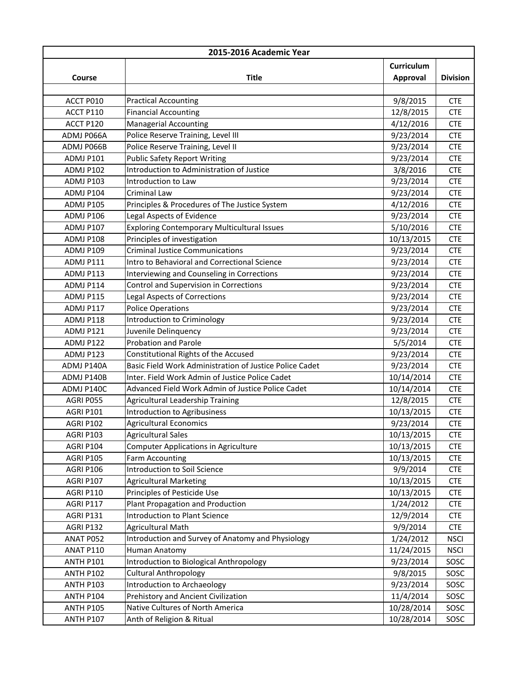| 2015-2016 Academic Year |                                                         |            |                 |
|-------------------------|---------------------------------------------------------|------------|-----------------|
|                         |                                                         | Curriculum |                 |
| Course                  | <b>Title</b>                                            | Approval   | <b>Division</b> |
|                         |                                                         |            |                 |
| ACCT P010               | <b>Practical Accounting</b>                             | 9/8/2015   | <b>CTE</b>      |
| ACCT P110               | <b>Financial Accounting</b>                             | 12/8/2015  | <b>CTE</b>      |
| ACCT P120               | <b>Managerial Accounting</b>                            | 4/12/2016  | <b>CTE</b>      |
| ADMJ P066A              | Police Reserve Training, Level III                      | 9/23/2014  | <b>CTE</b>      |
| ADMJ P066B              | Police Reserve Training, Level II                       | 9/23/2014  | <b>CTE</b>      |
| ADMJ P101               | <b>Public Safety Report Writing</b>                     | 9/23/2014  | <b>CTE</b>      |
| ADMJ P102               | Introduction to Administration of Justice               | 3/8/2016   | <b>CTE</b>      |
| ADMJ P103               | Introduction to Law                                     | 9/23/2014  | <b>CTE</b>      |
| ADMJ P104               | Criminal Law                                            | 9/23/2014  | <b>CTE</b>      |
| ADMJ P105               | Principles & Procedures of The Justice System           | 4/12/2016  | <b>CTE</b>      |
| ADMJ P106               | Legal Aspects of Evidence                               | 9/23/2014  | <b>CTE</b>      |
| <b>ADMJ P107</b>        | Exploring Contemporary Multicultural Issues             | 5/10/2016  | <b>CTE</b>      |
| ADMJ P108               | Principles of investigation                             | 10/13/2015 | <b>CTE</b>      |
| ADMJ P109               | <b>Criminal Justice Communications</b>                  | 9/23/2014  | <b>CTE</b>      |
| ADMJ P111               | Intro to Behavioral and Correctional Science            | 9/23/2014  | <b>CTE</b>      |
| ADMJ P113               | Interviewing and Counseling in Corrections              | 9/23/2014  | <b>CTE</b>      |
| ADMJ P114               | Control and Supervision in Corrections                  | 9/23/2014  | <b>CTE</b>      |
| ADMJ P115               | <b>Legal Aspects of Corrections</b>                     | 9/23/2014  | <b>CTE</b>      |
| ADMJ P117               | <b>Police Operations</b>                                | 9/23/2014  | <b>CTE</b>      |
| ADMJ P118               | Introduction to Criminology                             | 9/23/2014  | <b>CTE</b>      |
| ADMJ P121               | Juvenile Delinquency                                    | 9/23/2014  | <b>CTE</b>      |
| ADMJ P122               | <b>Probation and Parole</b>                             | 5/5/2014   | <b>CTE</b>      |
| ADMJ P123               | Constitutional Rights of the Accused                    | 9/23/2014  | <b>CTE</b>      |
| ADMJ P140A              | Basic Field Work Administration of Justice Police Cadet | 9/23/2014  | <b>CTE</b>      |
| ADMJ P140B              | Inter. Field Work Admin of Justice Police Cadet         | 10/14/2014 | <b>CTE</b>      |
| ADMJ P140C              | Advanced Field Work Admin of Justice Police Cadet       | 10/14/2014 | <b>CTE</b>      |
| AGRI P055               | Agricultural Leadership Training                        | 12/8/2015  | <b>CTE</b>      |
| AGRI P101               | Introduction to Agribusiness                            | 10/13/2015 | <b>CTE</b>      |
| AGRI P102               | <b>Agricultural Economics</b>                           | 9/23/2014  | <b>CTE</b>      |
| AGRI P103               | <b>Agricultural Sales</b>                               | 10/13/2015 | <b>CTE</b>      |
| AGRI P104               | <b>Computer Applications in Agriculture</b>             | 10/13/2015 | <b>CTE</b>      |
| <b>AGRI P105</b>        | Farm Accounting                                         | 10/13/2015 | <b>CTE</b>      |
| AGRI P106               | Introduction to Soil Science                            | 9/9/2014   | <b>CTE</b>      |
| AGRI P107               | <b>Agricultural Marketing</b>                           | 10/13/2015 | <b>CTE</b>      |
| <b>AGRI P110</b>        | Principles of Pesticide Use                             | 10/13/2015 | <b>CTE</b>      |
| AGRI P117               | Plant Propagation and Production                        | 1/24/2012  | <b>CTE</b>      |
| AGRI P131               | <b>Introduction to Plant Science</b>                    | 12/9/2014  | <b>CTE</b>      |
| AGRI P132               | <b>Agricultural Math</b>                                | 9/9/2014   | <b>CTE</b>      |
| ANAT P052               | Introduction and Survey of Anatomy and Physiology       | 1/24/2012  | <b>NSCI</b>     |
| ANAT P110               | Human Anatomy                                           | 11/24/2015 | <b>NSCI</b>     |
| <b>ANTH P101</b>        | Introduction to Biological Anthropology                 | 9/23/2014  | SOSC            |
| <b>ANTH P102</b>        | <b>Cultural Anthropology</b>                            | 9/8/2015   | SOSC            |
| <b>ANTH P103</b>        | Introduction to Archaeology                             | 9/23/2014  | SOSC            |
| ANTH P104               | Prehistory and Ancient Civilization                     | 11/4/2014  | SOSC            |
| <b>ANTH P105</b>        | Native Cultures of North America                        | 10/28/2014 | SOSC            |
| <b>ANTH P107</b>        | Anth of Religion & Ritual                               | 10/28/2014 | SOSC            |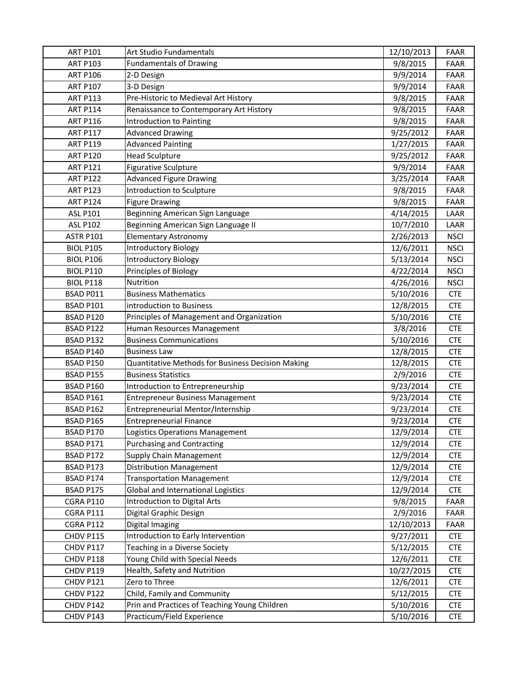| <b>ART P101</b>  | Art Studio Fundamentals                           | 12/10/2013 | FAAR        |
|------------------|---------------------------------------------------|------------|-------------|
| <b>ART P103</b>  | <b>Fundamentals of Drawing</b>                    | 9/8/2015   | <b>FAAR</b> |
| <b>ART P106</b>  | 2-D Design                                        | 9/9/2014   | <b>FAAR</b> |
| <b>ART P107</b>  | 3-D Design                                        | 9/9/2014   | FAAR        |
| <b>ART P113</b>  | Pre-Historic to Medieval Art History              | 9/8/2015   | <b>FAAR</b> |
| <b>ART P114</b>  | Renaissance to Contemporary Art History           | 9/8/2015   | FAAR        |
| <b>ART P116</b>  | Introduction to Painting                          | 9/8/2015   | <b>FAAR</b> |
| <b>ART P117</b>  | <b>Advanced Drawing</b>                           | 9/25/2012  | <b>FAAR</b> |
| <b>ART P119</b>  | <b>Advanced Painting</b>                          | 1/27/2015  | <b>FAAR</b> |
| <b>ART P120</b>  | <b>Head Sculpture</b>                             | 9/25/2012  | <b>FAAR</b> |
| <b>ART P121</b>  | <b>Figurative Sculpture</b>                       | 9/9/2014   | FAAR        |
| <b>ART P122</b>  | <b>Advanced Figure Drawing</b>                    | 3/25/2014  | <b>FAAR</b> |
| <b>ART P123</b>  | Introduction to Sculpture                         | 9/8/2015   | FAAR        |
| <b>ART P124</b>  | <b>Figure Drawing</b>                             | 9/8/2015   | FAAR        |
| <b>ASL P101</b>  | Beginning American Sign Language                  | 4/14/2015  | LAAR        |
| <b>ASL P102</b>  | Beginning American Sign Language II               | 10/7/2010  | LAAR        |
| <b>ASTR P101</b> | <b>Elementary Astronomy</b>                       | 2/26/2013  | <b>NSCI</b> |
| <b>BIOL P105</b> | <b>Introductory Biology</b>                       | 12/6/2011  | <b>NSCI</b> |
| <b>BIOL P106</b> | <b>Introductory Biology</b>                       | 5/13/2014  | <b>NSCI</b> |
| <b>BIOL P110</b> | Principles of Biology                             | 4/22/2014  | <b>NSCI</b> |
| <b>BIOL P118</b> | Nutrition                                         | 4/26/2016  | <b>NSCI</b> |
| BSAD P011        | <b>Business Mathematics</b>                       | 5/10/2016  | <b>CTE</b>  |
| <b>BSAD P101</b> | introduction to Business                          | 12/8/2015  | <b>CTE</b>  |
| BSAD P120        | Principles of Management and Organization         | 5/10/2016  | <b>CTE</b>  |
| BSAD P122        | Human Resources Management                        | 3/8/2016   | <b>CTE</b>  |
| BSAD P132        | <b>Business Communications</b>                    | 5/10/2016  | <b>CTE</b>  |
| BSAD P140        | <b>Business Law</b>                               | 12/8/2015  | <b>CTE</b>  |
| <b>BSAD P150</b> | Quantitative Methods for Business Decision Making | 12/8/2015  | <b>CTE</b>  |
| BSAD P155        | <b>Business Statistics</b>                        | 2/9/2016   | <b>CTE</b>  |
| BSAD P160        | Introduction to Entrepreneurship                  | 9/23/2014  | <b>CTE</b>  |
| BSAD P161        | <b>Entrepreneur Business Management</b>           | 9/23/2014  | <b>CTE</b>  |
| BSAD P162        | Entrepreneurial Mentor/Internship                 | 9/23/2014  | <b>CTE</b>  |
| <b>BSAD P165</b> | <b>Entrepreneurial Finance</b>                    | 9/23/2014  | <b>CTE</b>  |
| BSAD P170        | Logistics Operations Management                   | 12/9/2014  | <b>CTE</b>  |
| BSAD P171        | <b>Purchasing and Contracting</b>                 | 12/9/2014  | <b>CTE</b>  |
| BSAD P172        | Supply Chain Management                           | 12/9/2014  | <b>CTE</b>  |
| BSAD P173        | <b>Distribution Management</b>                    | 12/9/2014  | <b>CTE</b>  |
| BSAD P174        | <b>Transportation Management</b>                  | 12/9/2014  | <b>CTE</b>  |
| BSAD P175        | Global and International Logistics                | 12/9/2014  | <b>CTE</b>  |
| <b>CGRA P110</b> | <b>Introduction to Digital Arts</b>               | 9/8/2015   | FAAR        |
| <b>CGRA P111</b> | Digital Graphic Design                            | 2/9/2016   | FAAR        |
| CGRA P112        | Digital Imaging                                   | 12/10/2013 | FAAR        |
| CHDV P115        | Introduction to Early Intervention                | 9/27/2011  | <b>CTE</b>  |
| CHDV P117        | Teaching in a Diverse Society                     | 5/12/2015  | <b>CTE</b>  |
| CHDV P118        | Young Child with Special Needs                    | 12/6/2011  | <b>CTE</b>  |
| CHDV P119        | Health, Safety and Nutrition                      | 10/27/2015 | <b>CTE</b>  |
| CHDV P121        | Zero to Three                                     | 12/6/2011  | <b>CTE</b>  |
| CHDV P122        | Child, Family and Community                       | 5/12/2015  | <b>CTE</b>  |
| CHDV P142        | Prin and Practices of Teaching Young Children     | 5/10/2016  | <b>CTE</b>  |
| CHDV P143        | Practicum/Field Experience                        | 5/10/2016  | <b>CTE</b>  |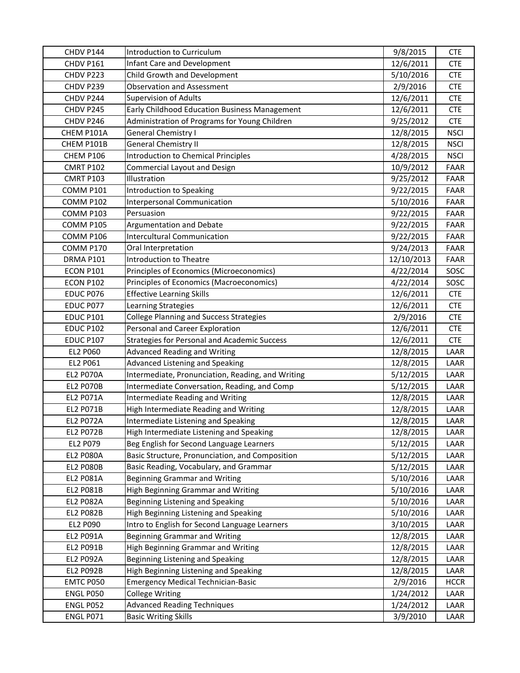| CHDV P144        | Introduction to Curriculum                          | 9/8/2015   | <b>CTE</b>  |
|------------------|-----------------------------------------------------|------------|-------------|
| CHDV P161        | Infant Care and Development                         | 12/6/2011  | <b>CTE</b>  |
| CHDV P223        | Child Growth and Development                        | 5/10/2016  | <b>CTE</b>  |
| CHDV P239        | <b>Observation and Assessment</b>                   | 2/9/2016   | <b>CTE</b>  |
| CHDV P244        | <b>Supervision of Adults</b>                        | 12/6/2011  | <b>CTE</b>  |
| CHDV P245        | Early Childhood Education Business Management       | 12/6/2011  | <b>CTE</b>  |
| CHDV P246        | Administration of Programs for Young Children       | 9/25/2012  | <b>CTE</b>  |
| CHEM P101A       | <b>General Chemistry I</b>                          | 12/8/2015  | <b>NSCI</b> |
| CHEM P101B       | <b>General Chemistry II</b>                         | 12/8/2015  | <b>NSCI</b> |
| CHEM P106        | <b>Introduction to Chemical Principles</b>          | 4/28/2015  | <b>NSCI</b> |
| <b>CMRT P102</b> | <b>Commercial Layout and Design</b>                 | 10/9/2012  | <b>FAAR</b> |
| CMRT P103        | Illustration                                        | 9/25/2012  | <b>FAAR</b> |
| COMM P101        | Introduction to Speaking                            | 9/22/2015  | <b>FAAR</b> |
| COMM P102        | Interpersonal Communication                         | 5/10/2016  | <b>FAAR</b> |
| COMM P103        | Persuasion                                          | 9/22/2015  | FAAR        |
| <b>COMM P105</b> | Argumentation and Debate                            | 9/22/2015  | <b>FAAR</b> |
| COMM P106        | <b>Intercultural Communication</b>                  | 9/22/2015  | <b>FAAR</b> |
| COMM P170        | Oral Interpretation                                 | 9/24/2013  | <b>FAAR</b> |
| DRMA P101        | Introduction to Theatre                             | 12/10/2013 | <b>FAAR</b> |
| ECON P101        | Principles of Economics (Microeconomics)            | 4/22/2014  | SOSC        |
| <b>ECON P102</b> | Principles of Economics (Macroeconomics)            | 4/22/2014  | SOSC        |
| EDUC P076        | <b>Effective Learning Skills</b>                    | 12/6/2011  | CTE         |
| EDUC P077        | Learning Strategies                                 | 12/6/2011  | <b>CTE</b>  |
| <b>EDUC P101</b> | <b>College Planning and Success Strategies</b>      | 2/9/2016   | <b>CTE</b>  |
| <b>EDUC P102</b> | Personal and Career Exploration                     | 12/6/2011  | <b>CTE</b>  |
| <b>EDUC P107</b> | <b>Strategies for Personal and Academic Success</b> | 12/6/2011  | <b>CTE</b>  |
| EL2 P060         | <b>Advanced Reading and Writing</b>                 | 12/8/2015  | LAAR        |
| EL2 P061         | Advanced Listening and Speaking                     | 12/8/2015  | LAAR        |
| <b>EL2 P070A</b> | Intermediate, Pronunciation, Reading, and Writing   | 5/12/2015  | LAAR        |
| <b>EL2 P070B</b> | Intermediate Conversation, Reading, and Comp        | 5/12/2015  | LAAR        |
| <b>EL2 P071A</b> | Intermediate Reading and Writing                    | 12/8/2015  | LAAR        |
| <b>EL2 P071B</b> | High Intermediate Reading and Writing               | 12/8/2015  | LAAR        |
| <b>EL2 P072A</b> | Intermediate Listening and Speaking                 | 12/8/2015  | LAAR        |
| <b>EL2 P072B</b> | High Intermediate Listening and Speaking            | 12/8/2015  | LAAR        |
| EL2 P079         | Beg English for Second Language Learners            | 5/12/2015  | LAAR        |
| <b>EL2 P080A</b> | Basic Structure, Pronunciation, and Composition     | 5/12/2015  | LAAR        |
| <b>EL2 P080B</b> | Basic Reading, Vocabulary, and Grammar              | 5/12/2015  | LAAR        |
| <b>EL2 P081A</b> | <b>Beginning Grammar and Writing</b>                | 5/10/2016  | LAAR        |
| EL2 P081B        | High Beginning Grammar and Writing                  | 5/10/2016  | LAAR        |
| <b>EL2 P082A</b> | Beginning Listening and Speaking                    | 5/10/2016  | LAAR        |
| <b>EL2 P082B</b> | High Beginning Listening and Speaking               | 5/10/2016  | LAAR        |
| EL2 P090         | Intro to English for Second Language Learners       | 3/10/2015  | LAAR        |
| EL2 P091A        | Beginning Grammar and Writing                       | 12/8/2015  | LAAR        |
| EL2 P091B        | High Beginning Grammar and Writing                  | 12/8/2015  | LAAR        |
| <b>EL2 P092A</b> | Beginning Listening and Speaking                    | 12/8/2015  | LAAR        |
| EL2 P092B        | High Beginning Listening and Speaking               | 12/8/2015  | LAAR        |
| EMTC P050        | <b>Emergency Medical Technician-Basic</b>           | 2/9/2016   | <b>HCCR</b> |
| ENGL P050        | <b>College Writing</b>                              | 1/24/2012  | LAAR        |
| ENGL P052        | <b>Advanced Reading Techniques</b>                  | 1/24/2012  | LAAR        |
| ENGL P071        | <b>Basic Writing Skills</b>                         | 3/9/2010   | LAAR        |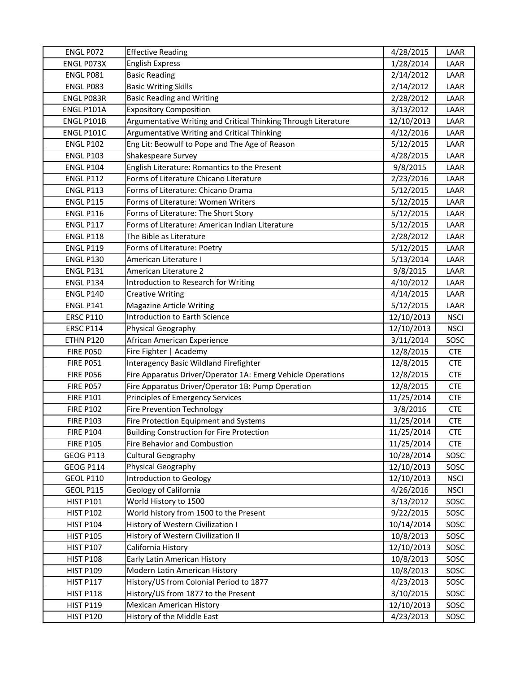| ENGL P072         | <b>Effective Reading</b>                                       | 4/28/2015  | LAAR        |
|-------------------|----------------------------------------------------------------|------------|-------------|
| ENGL P073X        | <b>English Express</b>                                         | 1/28/2014  | LAAR        |
| ENGL P081         | <b>Basic Reading</b>                                           | 2/14/2012  | LAAR        |
| ENGL P083         | <b>Basic Writing Skills</b>                                    | 2/14/2012  | LAAR        |
| ENGL P083R        | <b>Basic Reading and Writing</b>                               | 2/28/2012  | LAAR        |
| ENGL P101A        | <b>Expository Composition</b>                                  | 3/13/2012  | LAAR        |
| <b>ENGL P101B</b> | Argumentative Writing and Critical Thinking Through Literature | 12/10/2013 | LAAR        |
| ENGL P101C        | Argumentative Writing and Critical Thinking                    | 4/12/2016  | LAAR        |
| <b>ENGL P102</b>  | Eng Lit: Beowulf to Pope and The Age of Reason                 | 5/12/2015  | LAAR        |
| <b>ENGL P103</b>  | Shakespeare Survey                                             | 4/28/2015  | LAAR        |
| <b>ENGL P104</b>  | English Literature: Romantics to the Present                   | 9/8/2015   | LAAR        |
| <b>ENGL P112</b>  | Forms of Literature Chicano Literature                         | 2/23/2016  | LAAR        |
| <b>ENGL P113</b>  | Forms of Literature: Chicano Drama                             | 5/12/2015  | LAAR        |
| <b>ENGL P115</b>  | Forms of Literature: Women Writers                             | 5/12/2015  | LAAR        |
| <b>ENGL P116</b>  | Forms of Literature: The Short Story                           | 5/12/2015  | LAAR        |
| <b>ENGL P117</b>  | Forms of Literature: American Indian Literature                | 5/12/2015  | LAAR        |
| <b>ENGL P118</b>  | The Bible as Literature                                        | 2/28/2012  | LAAR        |
| <b>ENGL P119</b>  | Forms of Literature: Poetry                                    | 5/12/2015  | LAAR        |
| <b>ENGL P130</b>  | American Literature I                                          | 5/13/2014  | LAAR        |
| <b>ENGL P131</b>  | American Literature 2                                          | 9/8/2015   | LAAR        |
| <b>ENGL P134</b>  | Introduction to Research for Writing                           | 4/10/2012  | LAAR        |
| <b>ENGL P140</b>  | <b>Creative Writing</b>                                        | 4/14/2015  | LAAR        |
| <b>ENGL P141</b>  | <b>Magazine Article Writing</b>                                | 5/12/2015  | LAAR        |
| <b>ERSC P110</b>  | Introduction to Earth Science                                  | 12/10/2013 | <b>NSCI</b> |
| <b>ERSC P114</b>  | Physical Geography                                             | 12/10/2013 | <b>NSCI</b> |
| <b>ETHN P120</b>  | African American Experience                                    | 3/11/2014  | SOSC        |
| <b>FIRE P050</b>  | Fire Fighter   Academy                                         | 12/8/2015  | <b>CTE</b>  |
| <b>FIRE P051</b>  | Interagency Basic Wildland Firefighter                         | 12/8/2015  | <b>CTE</b>  |
| <b>FIRE P056</b>  | Fire Apparatus Driver/Operator 1A: Emerg Vehicle Operations    | 12/8/2015  | <b>CTE</b>  |
| <b>FIRE P057</b>  | Fire Apparatus Driver/Operator 1B: Pump Operation              | 12/8/2015  | <b>CTE</b>  |
| <b>FIRE P101</b>  | Principles of Emergency Services                               | 11/25/2014 | <b>CTE</b>  |
| <b>FIRE P102</b>  | Fire Prevention Technology                                     | 3/8/2016   | <b>CTE</b>  |
| <b>FIRE P103</b>  | Fire Protection Equipment and Systems                          | 11/25/2014 | <b>CTE</b>  |
| <b>FIRE P104</b>  | <b>Building Construction for Fire Protection</b>               | 11/25/2014 | <b>CTE</b>  |
| <b>FIRE P105</b>  | <b>Fire Behavior and Combustion</b>                            | 11/25/2014 | <b>CTE</b>  |
| <b>GEOG P113</b>  | <b>Cultural Geography</b>                                      | 10/28/2014 | SOSC        |
| <b>GEOG P114</b>  | Physical Geography                                             | 12/10/2013 | SOSC        |
| <b>GEOL P110</b>  | Introduction to Geology                                        | 12/10/2013 | <b>NSCI</b> |
| <b>GEOL P115</b>  | Geology of California                                          | 4/26/2016  | <b>NSCI</b> |
| <b>HIST P101</b>  | World History to 1500                                          | 3/13/2012  | SOSC        |
| <b>HIST P102</b>  | World history from 1500 to the Present                         | 9/22/2015  | SOSC        |
| <b>HIST P104</b>  | History of Western Civilization I                              | 10/14/2014 | SOSC        |
| <b>HIST P105</b>  | History of Western Civilization II                             | 10/8/2013  | SOSC        |
| <b>HIST P107</b>  | California History                                             | 12/10/2013 | SOSC        |
| <b>HIST P108</b>  | Early Latin American History                                   | 10/8/2013  | SOSC        |
| <b>HIST P109</b>  | Modern Latin American History                                  | 10/8/2013  | SOSC        |
| <b>HIST P117</b>  | History/US from Colonial Period to 1877                        | 4/23/2013  | SOSC        |
| <b>HIST P118</b>  | History/US from 1877 to the Present                            | 3/10/2015  | SOSC        |
| <b>HIST P119</b>  | <b>Mexican American History</b>                                | 12/10/2013 | SOSC        |
| <b>HIST P120</b>  | History of the Middle East                                     | 4/23/2013  | SOSC        |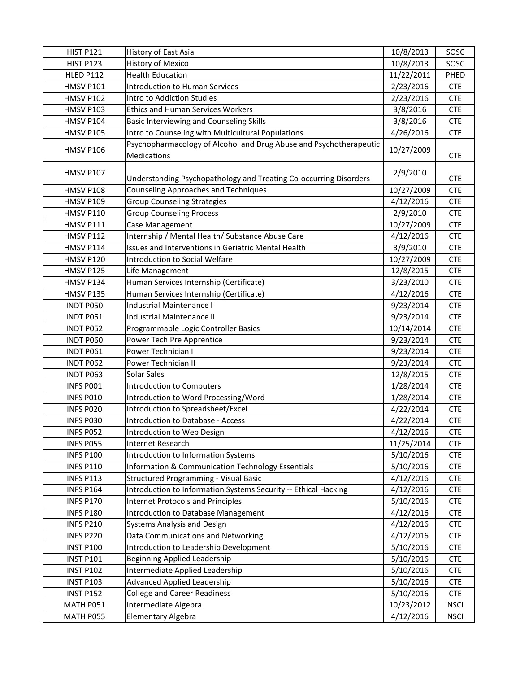| <b>HIST P121</b> | History of East Asia                                                              | 10/8/2013  | SOSC        |
|------------------|-----------------------------------------------------------------------------------|------------|-------------|
| <b>HIST P123</b> | <b>History of Mexico</b>                                                          | 10/8/2013  | SOSC        |
| <b>HLED P112</b> | <b>Health Education</b>                                                           | 11/22/2011 | PHED        |
| <b>HMSV P101</b> | <b>Introduction to Human Services</b>                                             | 2/23/2016  | <b>CTE</b>  |
| <b>HMSV P102</b> | Intro to Addiction Studies                                                        | 2/23/2016  | <b>CTE</b>  |
| <b>HMSV P103</b> | <b>Ethics and Human Services Workers</b>                                          | 3/8/2016   | <b>CTE</b>  |
| <b>HMSV P104</b> | Basic Interviewing and Counseling Skills                                          | 3/8/2016   | <b>CTE</b>  |
| <b>HMSV P105</b> | Intro to Counseling with Multicultural Populations                                | 4/26/2016  | <b>CTE</b>  |
| <b>HMSV P106</b> | Psychopharmacology of Alcohol and Drug Abuse and Psychotherapeutic<br>Medications | 10/27/2009 | <b>CTE</b>  |
| <b>HMSV P107</b> | Understanding Psychopathology and Treating Co-occurring Disorders                 | 2/9/2010   | <b>CTE</b>  |
| HMSV P108        | <b>Counseling Approaches and Techniques</b>                                       | 10/27/2009 | <b>CTE</b>  |
| <b>HMSV P109</b> | <b>Group Counseling Strategies</b>                                                | 4/12/2016  | <b>CTE</b>  |
| <b>HMSV P110</b> | <b>Group Counseling Process</b>                                                   | 2/9/2010   | <b>CTE</b>  |
| HMSV P111        | Case Management                                                                   | 10/27/2009 | <b>CTE</b>  |
| <b>HMSV P112</b> | Internship / Mental Health/ Substance Abuse Care                                  | 4/12/2016  | <b>CTE</b>  |
| HMSV P114        | Issues and Interventions in Geriatric Mental Health                               | 3/9/2010   | <b>CTE</b>  |
| <b>HMSV P120</b> | Introduction to Social Welfare                                                    | 10/27/2009 | <b>CTE</b>  |
| HMSV P125        | Life Management                                                                   | 12/8/2015  | <b>CTE</b>  |
| HMSV P134        | Human Services Internship (Certificate)                                           | 3/23/2010  | <b>CTE</b>  |
| HMSV P135        | Human Services Internship (Certificate)                                           | 4/12/2016  | <b>CTE</b>  |
| <b>INDT P050</b> | Industrial Maintenance I                                                          | 9/23/2014  | <b>CTE</b>  |
| INDT P051        | Industrial Maintenance II                                                         | 9/23/2014  | <b>CTE</b>  |
| INDT P052        | Programmable Logic Controller Basics                                              | 10/14/2014 | <b>CTE</b>  |
| INDT P060        | Power Tech Pre Apprentice                                                         | 9/23/2014  | <b>CTE</b>  |
| INDT P061        | Power Technician I                                                                | 9/23/2014  | <b>CTE</b>  |
| INDT P062        | Power Technician II                                                               | 9/23/2014  | <b>CTE</b>  |
| INDT P063        | Solar Sales                                                                       | 12/8/2015  | <b>CTE</b>  |
| INFS P001        | <b>Introduction to Computers</b>                                                  | 1/28/2014  | <b>CTE</b>  |
| INFS P010        | Introduction to Word Processing/Word                                              | 1/28/2014  | <b>CTE</b>  |
| INFS P020        | Introduction to Spreadsheet/Excel                                                 | 4/22/2014  | <b>CTE</b>  |
| INFS P030        | Introduction to Database - Access                                                 | 4/22/2014  | <b>CTE</b>  |
| INFS P052        | Introduction to Web Design                                                        | 4/12/2016  | <b>CTE</b>  |
| INFS P055        | Internet Research                                                                 | 11/25/2014 | <b>CTE</b>  |
| <b>INFS P100</b> | Introduction to Information Systems                                               | 5/10/2016  | <b>CTE</b>  |
| <b>INFS P110</b> | Information & Communication Technology Essentials                                 | 5/10/2016  | <b>CTE</b>  |
| <b>INFS P113</b> | <b>Structured Programming - Visual Basic</b>                                      | 4/12/2016  | <b>CTE</b>  |
| <b>INFS P164</b> | Introduction to Information Systems Security -- Ethical Hacking                   | 4/12/2016  | <b>CTE</b>  |
| <b>INFS P170</b> | Internet Protocols and Principles                                                 | 5/10/2016  | <b>CTE</b>  |
| <b>INFS P180</b> | Introduction to Database Management                                               | 4/12/2016  | <b>CTE</b>  |
| <b>INFS P210</b> | Systems Analysis and Design                                                       | 4/12/2016  | <b>CTE</b>  |
| <b>INFS P220</b> | Data Communications and Networking                                                | 4/12/2016  | <b>CTE</b>  |
| <b>INST P100</b> | Introduction to Leadership Development                                            | 5/10/2016  | <b>CTE</b>  |
| <b>INST P101</b> | <b>Beginning Applied Leadership</b>                                               | 5/10/2016  | <b>CTE</b>  |
| <b>INST P102</b> | Intermediate Applied Leadership                                                   | 5/10/2016  | <b>CTE</b>  |
| <b>INST P103</b> | Advanced Applied Leadership                                                       | 5/10/2016  | <b>CTE</b>  |
| <b>INST P152</b> | <b>College and Career Readiness</b>                                               | 5/10/2016  | <b>CTE</b>  |
| MATH P051        | Intermediate Algebra                                                              | 10/23/2012 | <b>NSCI</b> |
| MATH P055        | Elementary Algebra                                                                | 4/12/2016  | <b>NSCI</b> |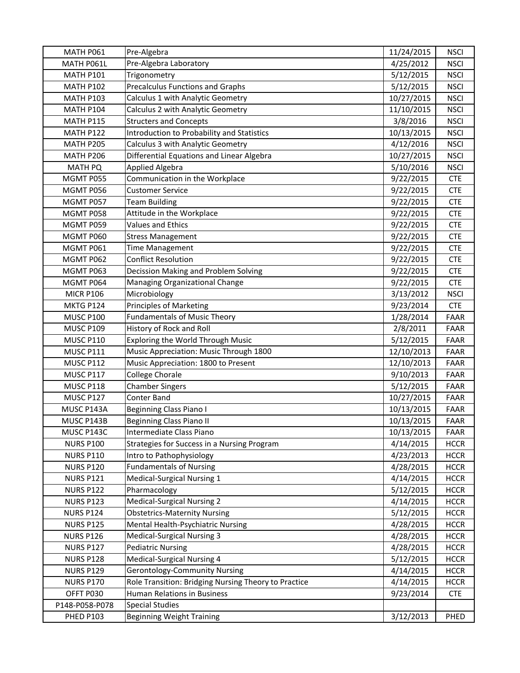| MATH P061        | Pre-Algebra                                          | 11/24/2015 | <b>NSCI</b> |
|------------------|------------------------------------------------------|------------|-------------|
| MATH P061L       | Pre-Algebra Laboratory                               | 4/25/2012  | <b>NSCI</b> |
| <b>MATH P101</b> | Trigonometry                                         | 5/12/2015  | <b>NSCI</b> |
| <b>MATH P102</b> | <b>Precalculus Functions and Graphs</b>              | 5/12/2015  | <b>NSCI</b> |
| <b>MATH P103</b> | Calculus 1 with Analytic Geometry                    | 10/27/2015 | <b>NSCI</b> |
| <b>MATH P104</b> | Calculus 2 with Analytic Geometry                    | 11/10/2015 | <b>NSCI</b> |
| <b>MATH P115</b> | <b>Structers and Concepts</b>                        | 3/8/2016   | <b>NSCI</b> |
| MATH P122        | Introduction to Probability and Statistics           | 10/13/2015 | <b>NSCI</b> |
| <b>MATH P205</b> | Calculus 3 with Analytic Geometry                    | 4/12/2016  | <b>NSCI</b> |
| <b>MATH P206</b> | Differential Equations and Linear Algebra            | 10/27/2015 | <b>NSCI</b> |
| <b>MATH PQ</b>   | Applied Algebra                                      | 5/10/2016  | <b>NSCI</b> |
| MGMT P055        | Communication in the Workplace                       | 9/22/2015  | <b>CTE</b>  |
| MGMT P056        | <b>Customer Service</b>                              | 9/22/2015  | <b>CTE</b>  |
| MGMT P057        | <b>Team Building</b>                                 | 9/22/2015  | <b>CTE</b>  |
| MGMT P058        | Attitude in the Workplace                            | 9/22/2015  | <b>CTE</b>  |
| MGMT P059        | <b>Values and Ethics</b>                             | 9/22/2015  | <b>CTE</b>  |
| MGMT P060        | <b>Stress Management</b>                             | 9/22/2015  | <b>CTE</b>  |
| MGMT P061        | <b>Time Management</b>                               | 9/22/2015  | <b>CTE</b>  |
| MGMT P062        | <b>Conflict Resolution</b>                           | 9/22/2015  | <b>CTE</b>  |
| MGMT P063        | Decission Making and Problem Solving                 | 9/22/2015  | <b>CTE</b>  |
| MGMT P064        | Managing Organizational Change                       | 9/22/2015  | <b>CTE</b>  |
| <b>MICR P106</b> | Microbiology                                         | 3/13/2012  | <b>NSCI</b> |
| MKTG P124        | Principles of Marketing                              | 9/23/2014  | <b>CTE</b>  |
| <b>MUSC P100</b> | <b>Fundamentals of Music Theory</b>                  | 1/28/2014  | <b>FAAR</b> |
| <b>MUSC P109</b> | History of Rock and Roll                             | 2/8/2011   | <b>FAAR</b> |
| <b>MUSC P110</b> | Exploring the World Through Music                    | 5/12/2015  | FAAR        |
| MUSC P111        | Music Appreciation: Music Through 1800               | 12/10/2013 | <b>FAAR</b> |
| MUSC P112        | Music Appreciation: 1800 to Present                  | 12/10/2013 | <b>FAAR</b> |
| <b>MUSC P117</b> | College Chorale                                      | 9/10/2013  | <b>FAAR</b> |
| MUSC P118        | <b>Chamber Singers</b>                               | 5/12/2015  | <b>FAAR</b> |
| MUSC P127        | <b>Conter Band</b>                                   | 10/27/2015 | <b>FAAR</b> |
| MUSC P143A       | <b>Beginning Class Piano I</b>                       | 10/13/2015 | <b>FAAR</b> |
| MUSC P143B       | <b>Beginning Class Piano II</b>                      | 10/13/2015 | FAAR        |
| MUSC P143C       | Intermediate Class Piano                             | 10/13/2015 | FAAR        |
| <b>NURS P100</b> | Strategies for Success in a Nursing Program          | 4/14/2015  | <b>HCCR</b> |
| <b>NURS P110</b> | Intro to Pathophysiology                             | 4/23/2013  | <b>HCCR</b> |
| <b>NURS P120</b> | <b>Fundamentals of Nursing</b>                       | 4/28/2015  | <b>HCCR</b> |
| <b>NURS P121</b> | Medical-Surgical Nursing 1                           | 4/14/2015  | <b>HCCR</b> |
| <b>NURS P122</b> | Pharmacology                                         | 5/12/2015  | <b>HCCR</b> |
| <b>NURS P123</b> | <b>Medical-Surgical Nursing 2</b>                    | 4/14/2015  | <b>HCCR</b> |
| <b>NURS P124</b> | <b>Obstetrics-Maternity Nursing</b>                  | 5/12/2015  | <b>HCCR</b> |
| <b>NURS P125</b> | Mental Health-Psychiatric Nursing                    | 4/28/2015  | <b>HCCR</b> |
| <b>NURS P126</b> | <b>Medical-Surgical Nursing 3</b>                    | 4/28/2015  | <b>HCCR</b> |
| <b>NURS P127</b> | <b>Pediatric Nursing</b>                             | 4/28/2015  | <b>HCCR</b> |
| <b>NURS P128</b> | Medical-Surgical Nursing 4                           | 5/12/2015  | <b>HCCR</b> |
| <b>NURS P129</b> | <b>Gerontology-Community Nursing</b>                 | 4/14/2015  | <b>HCCR</b> |
| <b>NURS P170</b> | Role Transition: Bridging Nursing Theory to Practice | 4/14/2015  | <b>HCCR</b> |
| OFFT P030        | Human Relations in Business                          | 9/23/2014  | <b>CTE</b>  |
| P148-P058-P078   | <b>Special Studies</b>                               |            |             |
| <b>PHED P103</b> | <b>Beginning Weight Training</b>                     | 3/12/2013  | PHED        |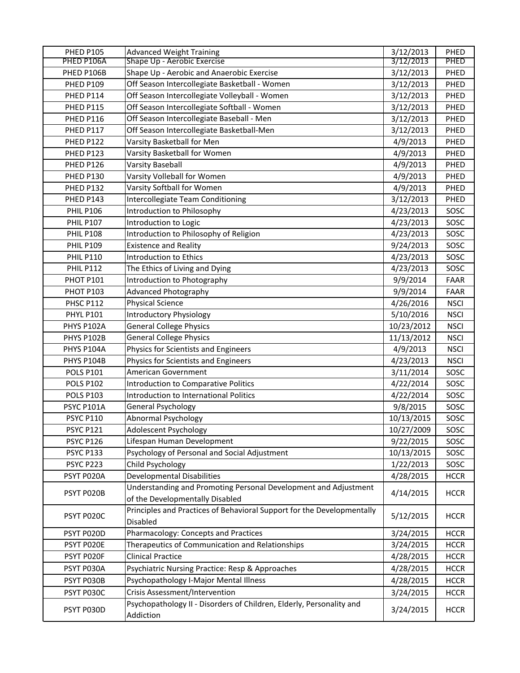| <b>PHED P105</b>  | <b>Advanced Weight Training</b>                                        | 3/12/2013  | PHED<br><b>PHED</b> |
|-------------------|------------------------------------------------------------------------|------------|---------------------|
| PHED P106A        | Shape Up - Aerobic Exercise                                            | 3/12/2013  |                     |
| PHED P106B        | Shape Up - Aerobic and Anaerobic Exercise                              | 3/12/2013  | PHED                |
| <b>PHED P109</b>  | Off Season Intercollegiate Basketball - Women                          | 3/12/2013  | PHED                |
| PHED P114         | Off Season Intercollegiate Volleyball - Women                          | 3/12/2013  | PHED                |
| PHED P115         | Off Season Intercollegiate Softball - Women                            | 3/12/2013  | PHED                |
| PHED P116         | Off Season Intercollegiate Baseball - Men                              | 3/12/2013  | PHED                |
| PHED P117         | Off Season Intercollegiate Basketball-Men                              | 3/12/2013  | PHED                |
| PHED P122         | Varsity Basketball for Men                                             | 4/9/2013   | PHED                |
| PHED P123         | Varsity Basketball for Women                                           | 4/9/2013   | PHED                |
| PHED P126         | <b>Varsity Baseball</b>                                                | 4/9/2013   | PHED                |
| PHED P130         | Varsity Volleball for Women                                            | 4/9/2013   | PHED                |
| PHED P132         | Varsity Softball for Women                                             | 4/9/2013   | PHED                |
| PHED P143         | Intercollegiate Team Conditioning                                      | 3/12/2013  | PHED                |
| <b>PHIL P106</b>  | Introduction to Philosophy                                             | 4/23/2013  | SOSC                |
| <b>PHIL P107</b>  | Introduction to Logic                                                  | 4/23/2013  | SOSC                |
| <b>PHIL P108</b>  | Introduction to Philosophy of Religion                                 | 4/23/2013  | SOSC                |
| <b>PHIL P109</b>  | <b>Existence and Reality</b>                                           | 9/24/2013  | SOSC                |
| <b>PHIL P110</b>  | Introduction to Ethics                                                 | 4/23/2013  | SOSC                |
| <b>PHIL P112</b>  | The Ethics of Living and Dying                                         | 4/23/2013  | SOSC                |
| PHOT P101         | Introduction to Photography                                            | 9/9/2014   | FAAR                |
| PHOT P103         | <b>Advanced Photography</b>                                            | 9/9/2014   | <b>FAAR</b>         |
| <b>PHSC P112</b>  | <b>Physical Science</b>                                                | 4/26/2016  | <b>NSCI</b>         |
| <b>PHYL P101</b>  | <b>Introductory Physiology</b>                                         | 5/10/2016  | <b>NSCI</b>         |
| PHYS P102A        | <b>General College Physics</b>                                         | 10/23/2012 | <b>NSCI</b>         |
| PHYS P102B        | <b>General College Physics</b>                                         | 11/13/2012 | <b>NSCI</b>         |
| PHYS P104A        | Physics for Scientists and Engineers                                   | 4/9/2013   | <b>NSCI</b>         |
| PHYS P104B        | Physics for Scientists and Engineers                                   | 4/23/2013  | <b>NSCI</b>         |
| <b>POLS P101</b>  | American Government                                                    | 3/11/2014  | SOSC                |
| <b>POLS P102</b>  | Introduction to Comparative Politics                                   | 4/22/2014  | SOSC                |
| <b>POLS P103</b>  | Introduction to International Politics                                 | 4/22/2014  | SOSC                |
| <b>PSYC P101A</b> | General Psychology                                                     | 9/8/2015   | SOSC                |
| <b>PSYC P110</b>  | <b>Abnormal Psychology</b>                                             | 10/13/2015 | SOSC                |
| <b>PSYC P121</b>  | Adolescent Psychology                                                  | 10/27/2009 | SOSC                |
| <b>PSYC P126</b>  | Lifespan Human Development                                             | 9/22/2015  | SOSC                |
| <b>PSYC P133</b>  | Psychology of Personal and Social Adjustment                           | 10/13/2015 | SOSC                |
| PSYC P223         | Child Psychology                                                       | 1/22/2013  | SOSC                |
| PSYT P020A        | <b>Developmental Disabilities</b>                                      | 4/28/2015  | <b>HCCR</b>         |
| PSYT PO2OB        | Understanding and Promoting Personal Development and Adjustment        |            |                     |
|                   | of the Developmentally Disabled                                        | 4/14/2015  | <b>HCCR</b>         |
|                   | Principles and Practices of Behavioral Support for the Developmentally |            |                     |
| PSYT P020C        | <b>Disabled</b>                                                        | 5/12/2015  | <b>HCCR</b>         |
| PSYT P020D        | Pharmacology: Concepts and Practices                                   | 3/24/2015  | <b>HCCR</b>         |
| PSYT P020E        | Therapeutics of Communication and Relationships                        | 3/24/2015  | <b>HCCR</b>         |
| PSYT P020F        | <b>Clinical Practice</b>                                               | 4/28/2015  | <b>HCCR</b>         |
| PSYT P030A        | Psychiatric Nursing Practice: Resp & Approaches                        | 4/28/2015  | <b>HCCR</b>         |
| PSYT P030B        | Psychopathology I-Major Mental Illness                                 | 4/28/2015  | <b>HCCR</b>         |
| PSYT P030C        | Crisis Assessment/Intervention                                         | 3/24/2015  | <b>HCCR</b>         |
| PSYT P030D        | Psychopathology II - Disorders of Children, Elderly, Personality and   | 3/24/2015  | <b>HCCR</b>         |
|                   | Addiction                                                              |            |                     |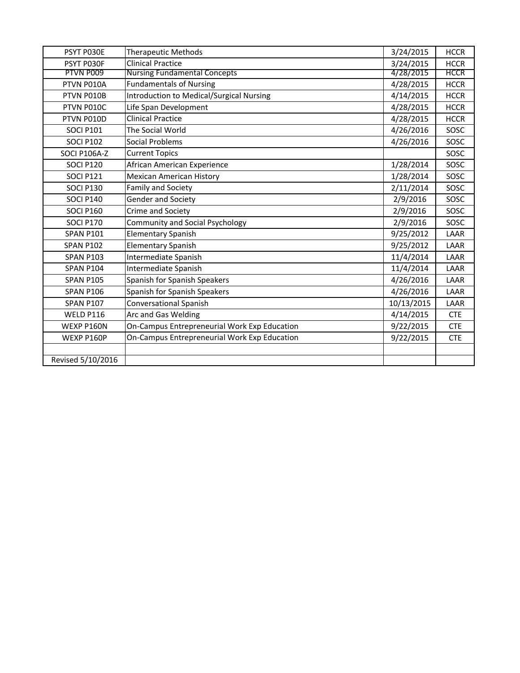| PSYT P030E        | <b>Therapeutic Methods</b>                   | 3/24/2015  | <b>HCCR</b> |
|-------------------|----------------------------------------------|------------|-------------|
| PSYT P030F        | <b>Clinical Practice</b>                     | 3/24/2015  | <b>HCCR</b> |
| PTVN P009         | <b>Nursing Fundamental Concepts</b>          | 4/28/2015  | <b>HCCR</b> |
| PTVN P010A        | <b>Fundamentals of Nursing</b>               | 4/28/2015  | <b>HCCR</b> |
| PTVN P010B        | Introduction to Medical/Surgical Nursing     | 4/14/2015  | <b>HCCR</b> |
| PTVN P010C        | Life Span Development                        | 4/28/2015  | <b>HCCR</b> |
| PTVN P010D        | <b>Clinical Practice</b>                     | 4/28/2015  | <b>HCCR</b> |
| <b>SOCI P101</b>  | The Social World                             | 4/26/2016  | SOSC        |
| <b>SOCI P102</b>  | Social Problems                              | 4/26/2016  | SOSC        |
| SOCI P106A-Z      | <b>Current Topics</b>                        |            | SOSC        |
| <b>SOCI P120</b>  | African American Experience                  | 1/28/2014  | SOSC        |
| <b>SOCI P121</b>  | <b>Mexican American History</b>              | 1/28/2014  | SOSC        |
| SOCI P130         | Family and Society                           | 2/11/2014  | SOSC        |
| <b>SOCI P140</b>  | Gender and Society                           | 2/9/2016   | SOSC        |
| <b>SOCI P160</b>  | Crime and Society                            | 2/9/2016   | SOSC        |
| SOCI P170         | <b>Community and Social Psychology</b>       | 2/9/2016   | SOSC        |
| <b>SPAN P101</b>  | <b>Elementary Spanish</b>                    | 9/25/2012  | LAAR        |
| <b>SPAN P102</b>  | <b>Elementary Spanish</b>                    | 9/25/2012  | LAAR        |
| <b>SPAN P103</b>  | Intermediate Spanish                         | 11/4/2014  | LAAR        |
| <b>SPAN P104</b>  | Intermediate Spanish                         | 11/4/2014  | LAAR        |
| <b>SPAN P105</b>  | Spanish for Spanish Speakers                 | 4/26/2016  | LAAR        |
| <b>SPAN P106</b>  | Spanish for Spanish Speakers                 | 4/26/2016  | LAAR        |
| <b>SPAN P107</b>  | Conversational Spanish                       | 10/13/2015 | LAAR        |
| WELD P116         | Arc and Gas Welding                          | 4/14/2015  | <b>CTE</b>  |
| WEXP P160N        | On-Campus Entrepreneurial Work Exp Education | 9/22/2015  | <b>CTE</b>  |
| WEXP P160P        | On-Campus Entrepreneurial Work Exp Education | 9/22/2015  | <b>CTE</b>  |
|                   |                                              |            |             |
| Revised 5/10/2016 |                                              |            |             |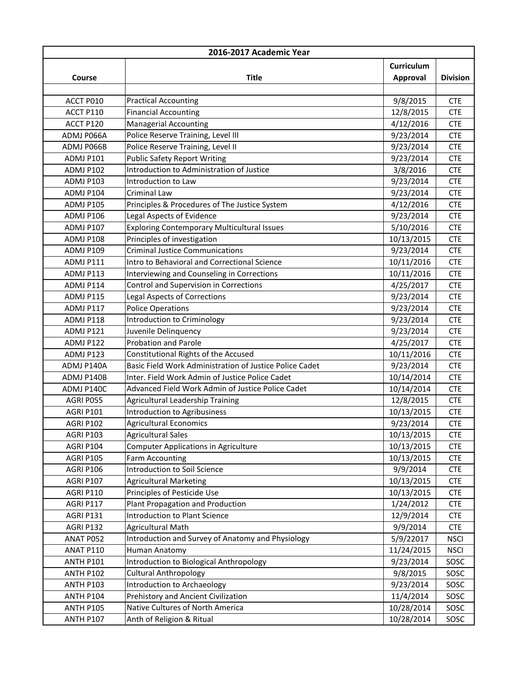| 2016-2017 Academic Year |                                                         |            |                 |
|-------------------------|---------------------------------------------------------|------------|-----------------|
|                         |                                                         | Curriculum |                 |
| Course                  | <b>Title</b>                                            | Approval   | <b>Division</b> |
|                         |                                                         |            |                 |
| ACCT P010               | <b>Practical Accounting</b>                             | 9/8/2015   | <b>CTE</b>      |
| ACCT P110               | <b>Financial Accounting</b>                             | 12/8/2015  | <b>CTE</b>      |
| ACCT P120               | <b>Managerial Accounting</b>                            | 4/12/2016  | <b>CTE</b>      |
| ADMJ P066A              | Police Reserve Training, Level III                      | 9/23/2014  | <b>CTE</b>      |
| ADMJ P066B              | Police Reserve Training, Level II                       | 9/23/2014  | <b>CTE</b>      |
| ADMJ P101               | <b>Public Safety Report Writing</b>                     | 9/23/2014  | <b>CTE</b>      |
| ADMJ P102               | Introduction to Administration of Justice               | 3/8/2016   | <b>CTE</b>      |
| ADMJ P103               | Introduction to Law                                     | 9/23/2014  | <b>CTE</b>      |
| ADMJ P104               | Criminal Law                                            | 9/23/2014  | <b>CTE</b>      |
| ADMJ P105               | Principles & Procedures of The Justice System           | 4/12/2016  | <b>CTE</b>      |
| ADMJ P106               | Legal Aspects of Evidence                               | 9/23/2014  | <b>CTE</b>      |
| <b>ADMJ P107</b>        | Exploring Contemporary Multicultural Issues             | 5/10/2016  | <b>CTE</b>      |
| ADMJ P108               | Principles of investigation                             | 10/13/2015 | <b>CTE</b>      |
| ADMJ P109               | <b>Criminal Justice Communications</b>                  | 9/23/2014  | <b>CTE</b>      |
| ADMJ P111               | Intro to Behavioral and Correctional Science            | 10/11/2016 | <b>CTE</b>      |
| ADMJ P113               | Interviewing and Counseling in Corrections              | 10/11/2016 | <b>CTE</b>      |
| ADMJ P114               | Control and Supervision in Corrections                  | 4/25/2017  | <b>CTE</b>      |
| ADMJ P115               | <b>Legal Aspects of Corrections</b>                     | 9/23/2014  | <b>CTE</b>      |
| ADMJ P117               | <b>Police Operations</b>                                | 9/23/2014  | <b>CTE</b>      |
| ADMJ P118               | Introduction to Criminology                             | 9/23/2014  | <b>CTE</b>      |
| ADMJ P121               | Juvenile Delinquency                                    | 9/23/2014  | <b>CTE</b>      |
| ADMJ P122               | <b>Probation and Parole</b>                             | 4/25/2017  | <b>CTE</b>      |
| ADMJ P123               | Constitutional Rights of the Accused                    | 10/11/2016 | <b>CTE</b>      |
| ADMJ P140A              | Basic Field Work Administration of Justice Police Cadet | 9/23/2014  | <b>CTE</b>      |
| ADMJ P140B              | Inter. Field Work Admin of Justice Police Cadet         | 10/14/2014 | <b>CTE</b>      |
| ADMJ P140C              | Advanced Field Work Admin of Justice Police Cadet       | 10/14/2014 | <b>CTE</b>      |
| AGRI P055               | Agricultural Leadership Training                        | 12/8/2015  | <b>CTE</b>      |
| AGRI P101               | <b>Introduction to Agribusiness</b>                     | 10/13/2015 | <b>CTE</b>      |
| AGRI P102               | <b>Agricultural Economics</b>                           | 9/23/2014  | <b>CTE</b>      |
| AGRI P103               | <b>Agricultural Sales</b>                               | 10/13/2015 | <b>CTE</b>      |
| AGRI P104               | <b>Computer Applications in Agriculture</b>             | 10/13/2015 | <b>CTE</b>      |
| <b>AGRI P105</b>        | Farm Accounting                                         | 10/13/2015 | <b>CTE</b>      |
| AGRI P106               | Introduction to Soil Science                            | 9/9/2014   | <b>CTE</b>      |
| AGRI P107               | <b>Agricultural Marketing</b>                           | 10/13/2015 | <b>CTE</b>      |
| <b>AGRI P110</b>        | Principles of Pesticide Use                             | 10/13/2015 | <b>CTE</b>      |
| AGRI P117               | Plant Propagation and Production                        | 1/24/2012  | <b>CTE</b>      |
| AGRI P131               | <b>Introduction to Plant Science</b>                    | 12/9/2014  | <b>CTE</b>      |
| AGRI P132               | <b>Agricultural Math</b>                                | 9/9/2014   | <b>CTE</b>      |
| ANAT P052               | Introduction and Survey of Anatomy and Physiology       | 5/9/22017  | <b>NSCI</b>     |
| ANAT P110               | Human Anatomy                                           | 11/24/2015 | <b>NSCI</b>     |
| <b>ANTH P101</b>        | Introduction to Biological Anthropology                 | 9/23/2014  | SOSC            |
| <b>ANTH P102</b>        | <b>Cultural Anthropology</b>                            | 9/8/2015   | SOSC            |
| <b>ANTH P103</b>        | Introduction to Archaeology                             | 9/23/2014  | SOSC            |
| ANTH P104               | Prehistory and Ancient Civilization                     | 11/4/2014  | SOSC            |
| <b>ANTH P105</b>        | Native Cultures of North America                        | 10/28/2014 | SOSC            |
| <b>ANTH P107</b>        | Anth of Religion & Ritual                               | 10/28/2014 | SOSC            |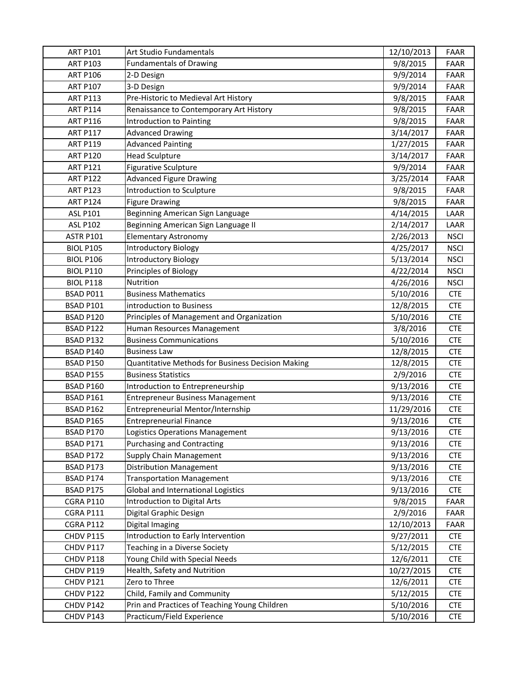| <b>ART P101</b>  | Art Studio Fundamentals                           | 12/10/2013 | FAAR        |
|------------------|---------------------------------------------------|------------|-------------|
| <b>ART P103</b>  | <b>Fundamentals of Drawing</b>                    | 9/8/2015   | <b>FAAR</b> |
| <b>ART P106</b>  | 2-D Design                                        | 9/9/2014   | <b>FAAR</b> |
| <b>ART P107</b>  | 3-D Design                                        | 9/9/2014   | FAAR        |
| <b>ART P113</b>  | Pre-Historic to Medieval Art History              | 9/8/2015   | <b>FAAR</b> |
| <b>ART P114</b>  | Renaissance to Contemporary Art History           | 9/8/2015   | FAAR        |
| <b>ART P116</b>  | Introduction to Painting                          | 9/8/2015   | FAAR        |
| <b>ART P117</b>  | <b>Advanced Drawing</b>                           | 3/14/2017  | <b>FAAR</b> |
| <b>ART P119</b>  | <b>Advanced Painting</b>                          | 1/27/2015  | <b>FAAR</b> |
| <b>ART P120</b>  | <b>Head Sculpture</b>                             | 3/14/2017  | <b>FAAR</b> |
| <b>ART P121</b>  | <b>Figurative Sculpture</b>                       | 9/9/2014   | FAAR        |
| <b>ART P122</b>  | <b>Advanced Figure Drawing</b>                    | 3/25/2014  | <b>FAAR</b> |
| <b>ART P123</b>  | Introduction to Sculpture                         | 9/8/2015   | FAAR        |
| <b>ART P124</b>  | <b>Figure Drawing</b>                             | 9/8/2015   | FAAR        |
| <b>ASL P101</b>  | Beginning American Sign Language                  | 4/14/2015  | LAAR        |
| <b>ASL P102</b>  | Beginning American Sign Language II               | 2/14/2017  | LAAR        |
| <b>ASTR P101</b> | <b>Elementary Astronomy</b>                       | 2/26/2013  | <b>NSCI</b> |
| <b>BIOL P105</b> | <b>Introductory Biology</b>                       | 4/25/2017  | <b>NSCI</b> |
| <b>BIOL P106</b> | <b>Introductory Biology</b>                       | 5/13/2014  | <b>NSCI</b> |
| <b>BIOL P110</b> | Principles of Biology                             | 4/22/2014  | <b>NSCI</b> |
| <b>BIOL P118</b> | Nutrition                                         | 4/26/2016  | <b>NSCI</b> |
| BSAD P011        | <b>Business Mathematics</b>                       | 5/10/2016  | <b>CTE</b>  |
| <b>BSAD P101</b> | introduction to Business                          | 12/8/2015  | <b>CTE</b>  |
| BSAD P120        | Principles of Management and Organization         | 5/10/2016  | <b>CTE</b>  |
| BSAD P122        | Human Resources Management                        | 3/8/2016   | <b>CTE</b>  |
| BSAD P132        | <b>Business Communications</b>                    | 5/10/2016  | <b>CTE</b>  |
| BSAD P140        | <b>Business Law</b>                               | 12/8/2015  | <b>CTE</b>  |
| <b>BSAD P150</b> | Quantitative Methods for Business Decision Making | 12/8/2015  | <b>CTE</b>  |
| BSAD P155        | <b>Business Statistics</b>                        | 2/9/2016   | <b>CTE</b>  |
| BSAD P160        | Introduction to Entrepreneurship                  | 9/13/2016  | <b>CTE</b>  |
| BSAD P161        | <b>Entrepreneur Business Management</b>           | 9/13/2016  | <b>CTE</b>  |
| <b>BSAD P162</b> | Entrepreneurial Mentor/Internship                 | 11/29/2016 | <b>CTE</b>  |
| <b>BSAD P165</b> | <b>Entrepreneurial Finance</b>                    | 9/13/2016  | <b>CTE</b>  |
| BSAD P170        | Logistics Operations Management                   | 9/13/2016  | <b>CTE</b>  |
| BSAD P171        | <b>Purchasing and Contracting</b>                 | 9/13/2016  | <b>CTE</b>  |
| BSAD P172        | Supply Chain Management                           | 9/13/2016  | <b>CTE</b>  |
| BSAD P173        | <b>Distribution Management</b>                    | 9/13/2016  | <b>CTE</b>  |
| BSAD P174        | <b>Transportation Management</b>                  | 9/13/2016  | <b>CTE</b>  |
| BSAD P175        | Global and International Logistics                | 9/13/2016  | <b>CTE</b>  |
| <b>CGRA P110</b> | Introduction to Digital Arts                      | 9/8/2015   | FAAR        |
| <b>CGRA P111</b> | Digital Graphic Design                            | 2/9/2016   | FAAR        |
| CGRA P112        | Digital Imaging                                   | 12/10/2013 | FAAR        |
| CHDV P115        | Introduction to Early Intervention                | 9/27/2011  | <b>CTE</b>  |
| CHDV P117        | Teaching in a Diverse Society                     | 5/12/2015  | <b>CTE</b>  |
| CHDV P118        | Young Child with Special Needs                    | 12/6/2011  | <b>CTE</b>  |
| CHDV P119        | Health, Safety and Nutrition                      | 10/27/2015 | <b>CTE</b>  |
| CHDV P121        | Zero to Three                                     | 12/6/2011  | <b>CTE</b>  |
| CHDV P122        | Child, Family and Community                       | 5/12/2015  | <b>CTE</b>  |
| CHDV P142        | Prin and Practices of Teaching Young Children     | 5/10/2016  | <b>CTE</b>  |
| CHDV P143        | Practicum/Field Experience                        | 5/10/2016  | <b>CTE</b>  |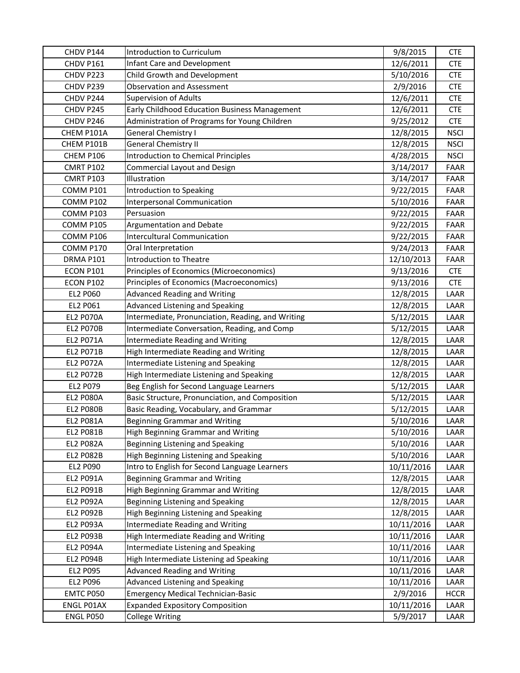| CHDV P144        | Introduction to Curriculum                        | 9/8/2015   | <b>CTE</b>  |
|------------------|---------------------------------------------------|------------|-------------|
| CHDV P161        | Infant Care and Development                       | 12/6/2011  | <b>CTE</b>  |
| CHDV P223        | Child Growth and Development                      | 5/10/2016  | <b>CTE</b>  |
| CHDV P239        | <b>Observation and Assessment</b>                 | 2/9/2016   | <b>CTE</b>  |
| CHDV P244        | <b>Supervision of Adults</b>                      | 12/6/2011  | <b>CTE</b>  |
| CHDV P245        | Early Childhood Education Business Management     | 12/6/2011  | <b>CTE</b>  |
| CHDV P246        | Administration of Programs for Young Children     | 9/25/2012  | <b>CTE</b>  |
| CHEM P101A       | <b>General Chemistry I</b>                        | 12/8/2015  | <b>NSCI</b> |
| CHEM P101B       | <b>General Chemistry II</b>                       | 12/8/2015  | <b>NSCI</b> |
| CHEM P106        | <b>Introduction to Chemical Principles</b>        | 4/28/2015  | <b>NSCI</b> |
| <b>CMRT P102</b> | <b>Commercial Layout and Design</b>               | 3/14/2017  | <b>FAAR</b> |
| CMRT P103        | Illustration                                      | 3/14/2017  | <b>FAAR</b> |
| COMM P101        | Introduction to Speaking                          | 9/22/2015  | <b>FAAR</b> |
| COMM P102        | Interpersonal Communication                       | 5/10/2016  | <b>FAAR</b> |
| COMM P103        | Persuasion                                        | 9/22/2015  | FAAR        |
| COMM P105        | Argumentation and Debate                          | 9/22/2015  | <b>FAAR</b> |
| COMM P106        | <b>Intercultural Communication</b>                | 9/22/2015  | <b>FAAR</b> |
| COMM P170        | Oral Interpretation                               | 9/24/2013  | <b>FAAR</b> |
| DRMA P101        | Introduction to Theatre                           | 12/10/2013 | FAAR        |
| ECON P101        | Principles of Economics (Microeconomics)          | 9/13/2016  | <b>CTE</b>  |
| <b>ECON P102</b> | Principles of Economics (Macroeconomics)          | 9/13/2016  | <b>CTE</b>  |
| <b>EL2 P060</b>  | <b>Advanced Reading and Writing</b>               | 12/8/2015  | LAAR        |
| EL2 P061         | Advanced Listening and Speaking                   | 12/8/2015  | LAAR        |
| <b>EL2 P070A</b> | Intermediate, Pronunciation, Reading, and Writing | 5/12/2015  | LAAR        |
| <b>EL2 P070B</b> | Intermediate Conversation, Reading, and Comp      | 5/12/2015  | LAAR        |
| <b>EL2 P071A</b> | Intermediate Reading and Writing                  | 12/8/2015  | LAAR        |
| EL2 P071B        | High Intermediate Reading and Writing             | 12/8/2015  | LAAR        |
| <b>EL2 P072A</b> | Intermediate Listening and Speaking               | 12/8/2015  | LAAR        |
| <b>EL2 P072B</b> | High Intermediate Listening and Speaking          | 12/8/2015  | LAAR        |
| EL2 P079         | Beg English for Second Language Learners          | 5/12/2015  | LAAR        |
| <b>EL2 P080A</b> | Basic Structure, Pronunciation, and Composition   | 5/12/2015  | LAAR        |
| <b>EL2 P080B</b> | Basic Reading, Vocabulary, and Grammar            | 5/12/2015  | LAAR        |
| <b>EL2 P081A</b> | <b>Beginning Grammar and Writing</b>              | 5/10/2016  | LAAR        |
| <b>EL2 P081B</b> | High Beginning Grammar and Writing                | 5/10/2016  | LAAR        |
| <b>EL2 P082A</b> | Beginning Listening and Speaking                  | 5/10/2016  | LAAR        |
| <b>EL2 P082B</b> | High Beginning Listening and Speaking             | 5/10/2016  | LAAR        |
| EL2 P090         | Intro to English for Second Language Learners     | 10/11/2016 | LAAR        |
| EL2 P091A        | Beginning Grammar and Writing                     | 12/8/2015  | LAAR        |
| EL2 P091B        | High Beginning Grammar and Writing                | 12/8/2015  | LAAR        |
| <b>EL2 P092A</b> | Beginning Listening and Speaking                  | 12/8/2015  | LAAR        |
| <b>EL2 P092B</b> | High Beginning Listening and Speaking             | 12/8/2015  | LAAR        |
| <b>EL2 P093A</b> | Intermediate Reading and Writing                  | 10/11/2016 | LAAR        |
| EL2 P093B        | High Intermediate Reading and Writing             | 10/11/2016 | LAAR        |
| <b>EL2 P094A</b> | Intermediate Listening and Speaking               | 10/11/2016 | LAAR        |
| EL2 P094B        | High Intermediate Listening ad Speaking           | 10/11/2016 | LAAR        |
| EL2 P095         | Advanced Reading and Writing                      | 10/11/2016 | LAAR        |
| EL2 P096         | Advanced Listening and Speaking                   | 10/11/2016 | LAAR        |
| EMTC P050        | <b>Emergency Medical Technician-Basic</b>         | 2/9/2016   | <b>HCCR</b> |
| ENGL P01AX       | <b>Expanded Expository Composition</b>            | 10/11/2016 | LAAR        |
| ENGL P050        | <b>College Writing</b>                            | 5/9/2017   | LAAR        |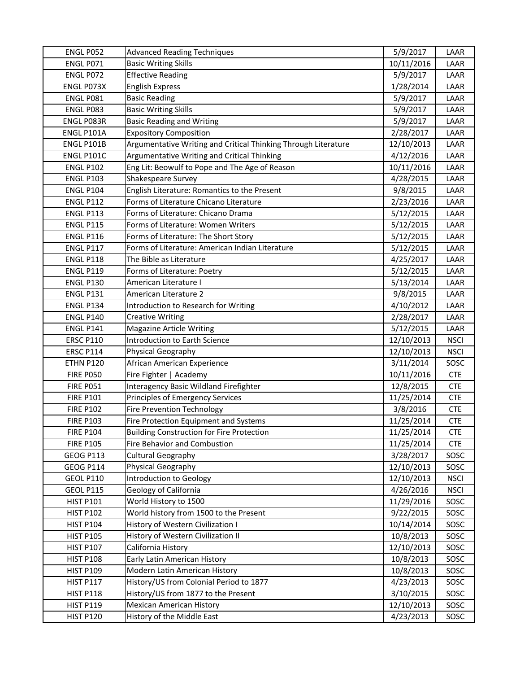| ENGL P052         | <b>Advanced Reading Techniques</b>                             | 5/9/2017   | LAAR        |
|-------------------|----------------------------------------------------------------|------------|-------------|
| ENGL P071         | <b>Basic Writing Skills</b>                                    | 10/11/2016 | LAAR        |
| ENGL P072         | <b>Effective Reading</b>                                       | 5/9/2017   | LAAR        |
| ENGL P073X        | <b>English Express</b>                                         | 1/28/2014  | LAAR        |
| ENGL P081         | <b>Basic Reading</b>                                           | 5/9/2017   | LAAR        |
| ENGL P083         | <b>Basic Writing Skills</b>                                    | 5/9/2017   | LAAR        |
| ENGL P083R        | <b>Basic Reading and Writing</b>                               | 5/9/2017   | LAAR        |
| ENGL P101A        | <b>Expository Composition</b>                                  | 2/28/2017  | LAAR        |
| ENGL P101B        | Argumentative Writing and Critical Thinking Through Literature | 12/10/2013 | LAAR        |
| <b>ENGL P101C</b> | Argumentative Writing and Critical Thinking                    | 4/12/2016  | LAAR        |
| <b>ENGL P102</b>  | Eng Lit: Beowulf to Pope and The Age of Reason                 | 10/11/2016 | LAAR        |
| <b>ENGL P103</b>  | Shakespeare Survey                                             | 4/28/2015  | LAAR        |
| <b>ENGL P104</b>  | English Literature: Romantics to the Present                   | 9/8/2015   | LAAR        |
| <b>ENGL P112</b>  | Forms of Literature Chicano Literature                         | 2/23/2016  | LAAR        |
| <b>ENGL P113</b>  | Forms of Literature: Chicano Drama                             | 5/12/2015  | LAAR        |
| <b>ENGL P115</b>  | Forms of Literature: Women Writers                             | 5/12/2015  | LAAR        |
| <b>ENGL P116</b>  | Forms of Literature: The Short Story                           | 5/12/2015  | LAAR        |
| <b>ENGL P117</b>  | Forms of Literature: American Indian Literature                | 5/12/2015  | LAAR        |
| <b>ENGL P118</b>  | The Bible as Literature                                        | 4/25/2017  | LAAR        |
| <b>ENGL P119</b>  | Forms of Literature: Poetry                                    | 5/12/2015  | LAAR        |
| <b>ENGL P130</b>  | American Literature I                                          | 5/13/2014  | LAAR        |
| <b>ENGL P131</b>  | American Literature 2                                          | 9/8/2015   | LAAR        |
| <b>ENGL P134</b>  | Introduction to Research for Writing                           | 4/10/2012  | LAAR        |
| <b>ENGL P140</b>  | <b>Creative Writing</b>                                        | 2/28/2017  | LAAR        |
| <b>ENGL P141</b>  | <b>Magazine Article Writing</b>                                | 5/12/2015  | LAAR        |
| <b>ERSC P110</b>  | Introduction to Earth Science                                  | 12/10/2013 | <b>NSCI</b> |
| <b>ERSC P114</b>  | Physical Geography                                             | 12/10/2013 | <b>NSCI</b> |
| ETHN P120         | African American Experience                                    | 3/11/2014  | SOSC        |
| <b>FIRE P050</b>  | Fire Fighter   Academy                                         | 10/11/2016 | <b>CTE</b>  |
| <b>FIRE P051</b>  | Interagency Basic Wildland Firefighter                         | 12/8/2015  | <b>CTE</b>  |
| <b>FIRE P101</b>  | Principles of Emergency Services                               | 11/25/2014 | <b>CTE</b>  |
| <b>FIRE P102</b>  | <b>Fire Prevention Technology</b>                              | 3/8/2016   | <b>CTE</b>  |
| <b>FIRE P103</b>  | Fire Protection Equipment and Systems                          | 11/25/2014 | <b>CTE</b>  |
| <b>FIRE P104</b>  | <b>Building Construction for Fire Protection</b>               | 11/25/2014 | <b>CTE</b>  |
| <b>FIRE P105</b>  | Fire Behavior and Combustion                                   | 11/25/2014 | <b>CTE</b>  |
| <b>GEOG P113</b>  | <b>Cultural Geography</b>                                      | 3/28/2017  | SOSC        |
| <b>GEOG P114</b>  | Physical Geography                                             | 12/10/2013 | SOSC        |
| <b>GEOL P110</b>  | Introduction to Geology                                        | 12/10/2013 | <b>NSCI</b> |
| <b>GEOL P115</b>  | Geology of California                                          | 4/26/2016  | <b>NSCI</b> |
| <b>HIST P101</b>  | World History to 1500                                          | 11/29/2016 | SOSC        |
| <b>HIST P102</b>  | World history from 1500 to the Present                         | 9/22/2015  | SOSC        |
| <b>HIST P104</b>  | History of Western Civilization I                              | 10/14/2014 | SOSC        |
| <b>HIST P105</b>  | History of Western Civilization II                             | 10/8/2013  | SOSC        |
| <b>HIST P107</b>  | California History                                             | 12/10/2013 | SOSC        |
| <b>HIST P108</b>  | Early Latin American History                                   | 10/8/2013  | SOSC        |
| <b>HIST P109</b>  | Modern Latin American History                                  | 10/8/2013  | SOSC        |
| <b>HIST P117</b>  | History/US from Colonial Period to 1877                        | 4/23/2013  | SOSC        |
| <b>HIST P118</b>  | History/US from 1877 to the Present                            | 3/10/2015  | SOSC        |
| <b>HIST P119</b>  | <b>Mexican American History</b>                                | 12/10/2013 | SOSC        |
| <b>HIST P120</b>  | History of the Middle East                                     | 4/23/2013  | SOSC        |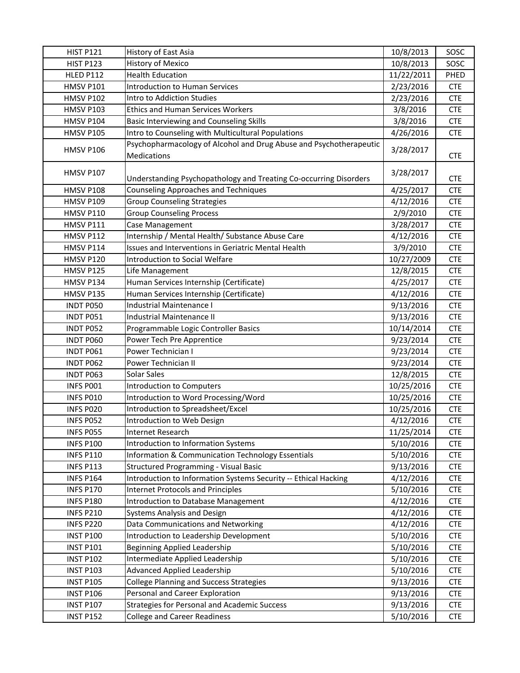| <b>HIST P121</b> | History of East Asia                                                                     | 10/8/2013  | SOSC       |
|------------------|------------------------------------------------------------------------------------------|------------|------------|
| <b>HIST P123</b> | History of Mexico                                                                        | 10/8/2013  | SOSC       |
| <b>HLED P112</b> | <b>Health Education</b>                                                                  | 11/22/2011 | PHED       |
| <b>HMSV P101</b> | <b>Introduction to Human Services</b>                                                    | 2/23/2016  | <b>CTE</b> |
| <b>HMSV P102</b> | Intro to Addiction Studies                                                               | 2/23/2016  | <b>CTE</b> |
| <b>HMSV P103</b> | <b>Ethics and Human Services Workers</b>                                                 | 3/8/2016   | <b>CTE</b> |
| <b>HMSV P104</b> | Basic Interviewing and Counseling Skills                                                 | 3/8/2016   | <b>CTE</b> |
| <b>HMSV P105</b> | Intro to Counseling with Multicultural Populations                                       | 4/26/2016  | <b>CTE</b> |
| <b>HMSV P106</b> | Psychopharmacology of Alcohol and Drug Abuse and Psychotherapeutic<br><b>Medications</b> | 3/28/2017  | <b>CTE</b> |
| <b>HMSV P107</b> | Understanding Psychopathology and Treating Co-occurring Disorders                        | 3/28/2017  | <b>CTE</b> |
| <b>HMSV P108</b> | <b>Counseling Approaches and Techniques</b>                                              | 4/25/2017  | <b>CTE</b> |
| <b>HMSV P109</b> | <b>Group Counseling Strategies</b>                                                       | 4/12/2016  | <b>CTE</b> |
| <b>HMSV P110</b> | <b>Group Counseling Process</b>                                                          | 2/9/2010   | <b>CTE</b> |
| HMSV P111        | Case Management                                                                          | 3/28/2017  | <b>CTE</b> |
| <b>HMSV P112</b> | Internship / Mental Health/ Substance Abuse Care                                         | 4/12/2016  | <b>CTE</b> |
| HMSV P114        | Issues and Interventions in Geriatric Mental Health                                      | 3/9/2010   | <b>CTE</b> |
| <b>HMSV P120</b> | Introduction to Social Welfare                                                           | 10/27/2009 | <b>CTE</b> |
| HMSV P125        | Life Management                                                                          | 12/8/2015  | <b>CTE</b> |
| HMSV P134        | Human Services Internship (Certificate)                                                  | 4/25/2017  | <b>CTE</b> |
| HMSV P135        | Human Services Internship (Certificate)                                                  | 4/12/2016  | <b>CTE</b> |
| <b>INDT P050</b> | Industrial Maintenance I                                                                 | 9/13/2016  | <b>CTE</b> |
| INDT P051        | Industrial Maintenance II                                                                | 9/13/2016  | <b>CTE</b> |
| INDT P052        | Programmable Logic Controller Basics                                                     | 10/14/2014 | <b>CTE</b> |
| INDT P060        | Power Tech Pre Apprentice                                                                | 9/23/2014  | <b>CTE</b> |
| <b>INDT P061</b> | Power Technician I                                                                       | 9/23/2014  | <b>CTE</b> |
| INDT P062        | Power Technician II                                                                      | 9/23/2014  | <b>CTE</b> |
| INDT P063        | Solar Sales                                                                              | 12/8/2015  | <b>CTE</b> |
| INFS PO01        | <b>Introduction to Computers</b>                                                         | 10/25/2016 | <b>CTE</b> |
| INFS P010        | Introduction to Word Processing/Word                                                     | 10/25/2016 | <b>CTE</b> |
| INFS P020        | Introduction to Spreadsheet/Excel                                                        | 10/25/2016 | <b>CTE</b> |
| INFS P052        | Introduction to Web Design                                                               | 4/12/2016  | <b>CTE</b> |
| INFS P055        | Internet Research                                                                        | 11/25/2014 | <b>CTE</b> |
| <b>INFS P100</b> | Introduction to Information Systems                                                      | 5/10/2016  | <b>CTE</b> |
| <b>INFS P110</b> | Information & Communication Technology Essentials                                        | 5/10/2016  | <b>CTE</b> |
| <b>INFS P113</b> | <b>Structured Programming - Visual Basic</b>                                             | 9/13/2016  | <b>CTE</b> |
| <b>INFS P164</b> | Introduction to Information Systems Security -- Ethical Hacking                          | 4/12/2016  | <b>CTE</b> |
| <b>INFS P170</b> | <b>Internet Protocols and Principles</b>                                                 | 5/10/2016  | <b>CTE</b> |
| <b>INFS P180</b> | <b>Introduction to Database Management</b>                                               | 4/12/2016  | <b>CTE</b> |
| <b>INFS P210</b> | Systems Analysis and Design                                                              | 4/12/2016  | <b>CTE</b> |
| <b>INFS P220</b> | Data Communications and Networking                                                       | 4/12/2016  | <b>CTE</b> |
| <b>INST P100</b> | Introduction to Leadership Development                                                   | 5/10/2016  | <b>CTE</b> |
| <b>INST P101</b> | <b>Beginning Applied Leadership</b>                                                      | 5/10/2016  | <b>CTE</b> |
| <b>INST P102</b> | Intermediate Applied Leadership                                                          | 5/10/2016  | <b>CTE</b> |
| <b>INST P103</b> | Advanced Applied Leadership                                                              | 5/10/2016  | <b>CTE</b> |
| <b>INST P105</b> | <b>College Planning and Success Strategies</b>                                           | 9/13/2016  | <b>CTE</b> |
| <b>INST P106</b> | Personal and Career Exploration                                                          | 9/13/2016  | <b>CTE</b> |
| <b>INST P107</b> | Strategies for Personal and Academic Success                                             | 9/13/2016  | <b>CTE</b> |
| <b>INST P152</b> | <b>College and Career Readiness</b>                                                      | 5/10/2016  | <b>CTE</b> |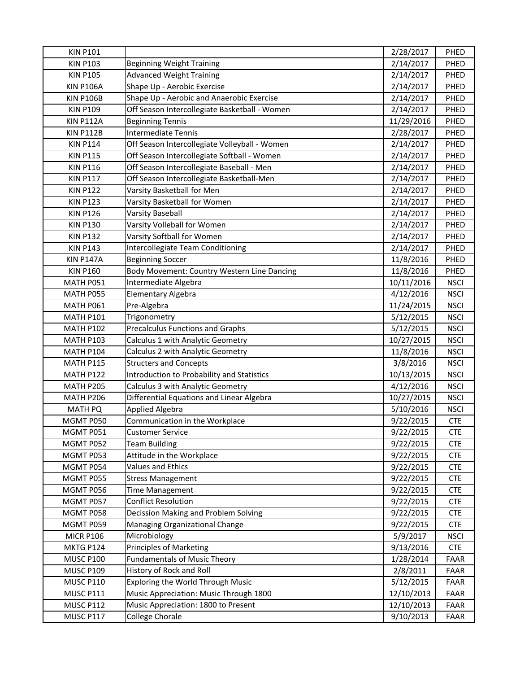| <b>KIN P101</b>  |                                               | 2/28/2017  | PHED        |
|------------------|-----------------------------------------------|------------|-------------|
| <b>KIN P103</b>  | <b>Beginning Weight Training</b>              | 2/14/2017  | PHED        |
| <b>KIN P105</b>  | <b>Advanced Weight Training</b>               | 2/14/2017  | PHED        |
| <b>KIN P106A</b> | Shape Up - Aerobic Exercise                   | 2/14/2017  | PHED        |
| <b>KIN P106B</b> | Shape Up - Aerobic and Anaerobic Exercise     | 2/14/2017  | PHED        |
| <b>KIN P109</b>  | Off Season Intercollegiate Basketball - Women | 2/14/2017  | PHED        |
| <b>KIN P112A</b> | <b>Beginning Tennis</b>                       | 11/29/2016 | PHED        |
| <b>KIN P112B</b> | <b>Intermediate Tennis</b>                    | 2/28/2017  | PHED        |
| <b>KIN P114</b>  | Off Season Intercollegiate Volleyball - Women | 2/14/2017  | PHED        |
| <b>KIN P115</b>  | Off Season Intercollegiate Softball - Women   | 2/14/2017  | PHED        |
| <b>KIN P116</b>  | Off Season Intercollegiate Baseball - Men     | 2/14/2017  | PHED        |
| <b>KIN P117</b>  | Off Season Intercollegiate Basketball-Men     | 2/14/2017  | PHED        |
| <b>KIN P122</b>  | Varsity Basketball for Men                    | 2/14/2017  | PHED        |
| <b>KIN P123</b>  | Varsity Basketball for Women                  | 2/14/2017  | PHED        |
| <b>KIN P126</b>  | <b>Varsity Baseball</b>                       | 2/14/2017  | PHED        |
| <b>KIN P130</b>  | Varsity Volleball for Women                   | 2/14/2017  | PHED        |
| <b>KIN P132</b>  | Varsity Softball for Women                    | 2/14/2017  | PHED        |
| <b>KIN P143</b>  | Intercollegiate Team Conditioning             | 2/14/2017  | PHED        |
| <b>KIN P147A</b> | <b>Beginning Soccer</b>                       | 11/8/2016  | PHED        |
| <b>KIN P160</b>  | Body Movement: Country Western Line Dancing   | 11/8/2016  | PHED        |
| MATH P051        | Intermediate Algebra                          | 10/11/2016 | <b>NSCI</b> |
| MATH P055        | Elementary Algebra                            | 4/12/2016  | <b>NSCI</b> |
| MATH P061        | Pre-Algebra                                   | 11/24/2015 | <b>NSCI</b> |
| <b>MATH P101</b> | Trigonometry                                  | 5/12/2015  | <b>NSCI</b> |
| <b>MATH P102</b> | <b>Precalculus Functions and Graphs</b>       | 5/12/2015  | <b>NSCI</b> |
| <b>MATH P103</b> | Calculus 1 with Analytic Geometry             | 10/27/2015 | <b>NSCI</b> |
| <b>MATH P104</b> | Calculus 2 with Analytic Geometry             | 11/8/2016  | <b>NSCI</b> |
| <b>MATH P115</b> | <b>Structers and Concepts</b>                 | 3/8/2016   | <b>NSCI</b> |
| MATH P122        | Introduction to Probability and Statistics    | 10/13/2015 | <b>NSCI</b> |
| <b>MATH P205</b> | Calculus 3 with Analytic Geometry             | 4/12/2016  | <b>NSCI</b> |
| MATH P206        | Differential Equations and Linear Algebra     | 10/27/2015 | <b>NSCI</b> |
| <b>MATH PQ</b>   | <b>Applied Algebra</b>                        | 5/10/2016  | <b>NSCI</b> |
| MGMT P050        | Communication in the Workplace                | 9/22/2015  | <b>CTE</b>  |
| MGMT P051        | <b>Customer Service</b>                       | 9/22/2015  | <b>CTE</b>  |
| MGMT P052        | <b>Team Building</b>                          | 9/22/2015  | <b>CTE</b>  |
| MGMT P053        | Attitude in the Workplace                     | 9/22/2015  | <b>CTE</b>  |
| MGMT P054        | <b>Values and Ethics</b>                      | 9/22/2015  | <b>CTE</b>  |
| MGMT P055        | <b>Stress Management</b>                      | 9/22/2015  | <b>CTE</b>  |
| MGMT P056        | <b>Time Management</b>                        | 9/22/2015  | <b>CTE</b>  |
| MGMT P057        | <b>Conflict Resolution</b>                    | 9/22/2015  | <b>CTE</b>  |
| MGMT P058        | Decission Making and Problem Solving          | 9/22/2015  | <b>CTE</b>  |
| MGMT P059        | Managing Organizational Change                | 9/22/2015  | <b>CTE</b>  |
| <b>MICR P106</b> | Microbiology                                  | 5/9/2017   | <b>NSCI</b> |
| MKTG P124        | <b>Principles of Marketing</b>                | 9/13/2016  | <b>CTE</b>  |
| MUSC P100        | <b>Fundamentals of Music Theory</b>           | 1/28/2014  | FAAR        |
| <b>MUSC P109</b> | History of Rock and Roll                      | 2/8/2011   | FAAR        |
| <b>MUSC P110</b> | Exploring the World Through Music             | 5/12/2015  | FAAR        |
| <b>MUSC P111</b> | Music Appreciation: Music Through 1800        | 12/10/2013 | FAAR        |
| MUSC P112        | Music Appreciation: 1800 to Present           | 12/10/2013 | FAAR        |
| MUSC P117        | College Chorale                               | 9/10/2013  | FAAR        |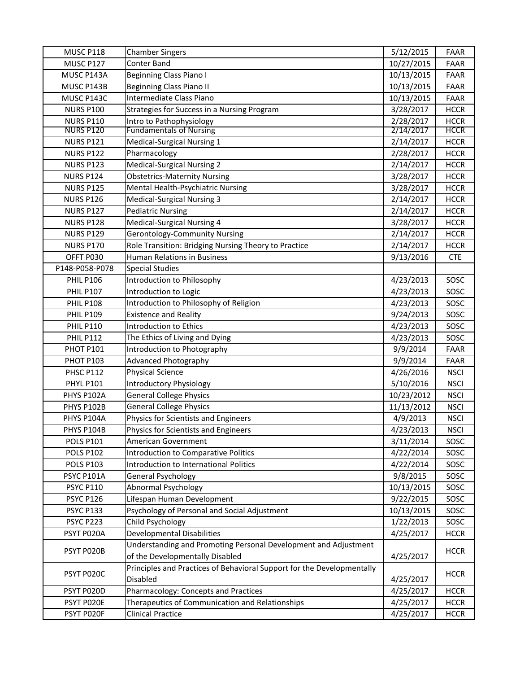| MUSC P118        | <b>Chamber Singers</b>                                                 | 5/12/2015  | <b>FAAR</b> |
|------------------|------------------------------------------------------------------------|------------|-------------|
| MUSC P127        | Conter Band                                                            | 10/27/2015 | <b>FAAR</b> |
| MUSC P143A       | <b>Beginning Class Piano I</b>                                         | 10/13/2015 | <b>FAAR</b> |
| MUSC P143B       | <b>Beginning Class Piano II</b>                                        | 10/13/2015 | <b>FAAR</b> |
| MUSC P143C       | Intermediate Class Piano                                               | 10/13/2015 | <b>FAAR</b> |
| <b>NURS P100</b> | Strategies for Success in a Nursing Program                            | 3/28/2017  | <b>HCCR</b> |
| <b>NURS P110</b> | Intro to Pathophysiology                                               | 2/28/2017  | <b>HCCR</b> |
| <b>NURS P120</b> | <b>Fundamentals of Nursing</b>                                         | 2/14/2017  | <b>HCCR</b> |
| <b>NURS P121</b> | Medical-Surgical Nursing 1                                             | 2/14/2017  | <b>HCCR</b> |
| <b>NURS P122</b> | Pharmacology                                                           | 2/28/2017  | <b>HCCR</b> |
| <b>NURS P123</b> | <b>Medical-Surgical Nursing 2</b>                                      | 2/14/2017  | <b>HCCR</b> |
| <b>NURS P124</b> | <b>Obstetrics-Maternity Nursing</b>                                    | 3/28/2017  | <b>HCCR</b> |
| <b>NURS P125</b> | Mental Health-Psychiatric Nursing                                      | 3/28/2017  | <b>HCCR</b> |
| <b>NURS P126</b> | <b>Medical-Surgical Nursing 3</b>                                      | 2/14/2017  | <b>HCCR</b> |
| <b>NURS P127</b> | <b>Pediatric Nursing</b>                                               | 2/14/2017  | <b>HCCR</b> |
| <b>NURS P128</b> | <b>Medical-Surgical Nursing 4</b>                                      | 3/28/2017  | <b>HCCR</b> |
| <b>NURS P129</b> | <b>Gerontology-Community Nursing</b>                                   | 2/14/2017  | <b>HCCR</b> |
| <b>NURS P170</b> | Role Transition: Bridging Nursing Theory to Practice                   | 2/14/2017  | <b>HCCR</b> |
| OFFT P030        | Human Relations in Business                                            | 9/13/2016  | <b>CTE</b>  |
| P148-P058-P078   | <b>Special Studies</b>                                                 |            |             |
| <b>PHIL P106</b> | Introduction to Philosophy                                             | 4/23/2013  | SOSC        |
| <b>PHIL P107</b> | Introduction to Logic                                                  | 4/23/2013  | SOSC        |
| <b>PHIL P108</b> | Introduction to Philosophy of Religion                                 | 4/23/2013  | SOSC        |
| <b>PHIL P109</b> | <b>Existence and Reality</b>                                           | 9/24/2013  | SOSC        |
| <b>PHIL P110</b> | Introduction to Ethics                                                 | 4/23/2013  | SOSC        |
| <b>PHIL P112</b> | The Ethics of Living and Dying                                         | 4/23/2013  | SOSC        |
| PHOT P101        | Introduction to Photography                                            | 9/9/2014   | <b>FAAR</b> |
| PHOT P103        | Advanced Photography                                                   | 9/9/2014   | <b>FAAR</b> |
| <b>PHSC P112</b> | <b>Physical Science</b>                                                | 4/26/2016  | <b>NSCI</b> |
| <b>PHYL P101</b> | <b>Introductory Physiology</b>                                         | 5/10/2016  | <b>NSCI</b> |
| PHYS P102A       | <b>General College Physics</b>                                         | 10/23/2012 | <b>NSCI</b> |
| PHYS P102B       | <b>General College Physics</b>                                         | 11/13/2012 | <b>NSCI</b> |
| PHYS P104A       | Physics for Scientists and Engineers                                   | 4/9/2013   | <b>NSCI</b> |
| PHYS P104B       | Physics for Scientists and Engineers                                   | 4/23/2013  | <b>NSCI</b> |
| <b>POLS P101</b> | American Government                                                    | 3/11/2014  | SOSC        |
| <b>POLS P102</b> | Introduction to Comparative Politics                                   | 4/22/2014  | SOSC        |
| <b>POLS P103</b> | Introduction to International Politics                                 | 4/22/2014  | SOSC        |
| PSYC P101A       | <b>General Psychology</b>                                              | 9/8/2015   | SOSC        |
| <b>PSYC P110</b> | Abnormal Psychology                                                    | 10/13/2015 | SOSC        |
| <b>PSYC P126</b> | Lifespan Human Development                                             | 9/22/2015  | SOSC        |
| <b>PSYC P133</b> | Psychology of Personal and Social Adjustment                           | 10/13/2015 | SOSC        |
| PSYC P223        | Child Psychology                                                       | 1/22/2013  | SOSC        |
| PSYT P020A       | Developmental Disabilities                                             | 4/25/2017  | <b>HCCR</b> |
| PSYT P020B       | Understanding and Promoting Personal Development and Adjustment        |            | <b>HCCR</b> |
|                  | of the Developmentally Disabled                                        | 4/25/2017  |             |
| PSYT P020C       | Principles and Practices of Behavioral Support for the Developmentally |            | <b>HCCR</b> |
|                  | Disabled                                                               | 4/25/2017  |             |
| PSYT P020D       | Pharmacology: Concepts and Practices                                   | 4/25/2017  | <b>HCCR</b> |
| PSYT P020E       | Therapeutics of Communication and Relationships                        | 4/25/2017  | <b>HCCR</b> |
| PSYT P020F       | <b>Clinical Practice</b>                                               | 4/25/2017  | <b>HCCR</b> |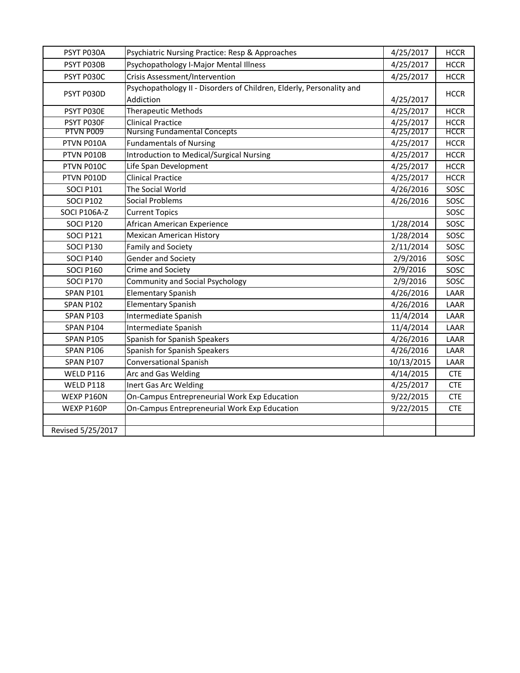| PSYT P030A        | Psychiatric Nursing Practice: Resp & Approaches                      | 4/25/2017  | <b>HCCR</b> |
|-------------------|----------------------------------------------------------------------|------------|-------------|
| PSYT P030B        | Psychopathology I-Major Mental Illness                               | 4/25/2017  | <b>HCCR</b> |
| PSYT P030C        | <b>Crisis Assessment/Intervention</b>                                | 4/25/2017  | <b>HCCR</b> |
| PSYT P030D        | Psychopathology II - Disorders of Children, Elderly, Personality and |            |             |
|                   | Addiction                                                            | 4/25/2017  | <b>HCCR</b> |
| PSYT P030E        | <b>Therapeutic Methods</b>                                           | 4/25/2017  | <b>HCCR</b> |
| PSYT P030F        | <b>Clinical Practice</b>                                             | 4/25/2017  | <b>HCCR</b> |
| PTVN P009         | <b>Nursing Fundamental Concepts</b>                                  | 4/25/2017  | <b>HCCR</b> |
| PTVN P010A        | <b>Fundamentals of Nursing</b>                                       | 4/25/2017  | <b>HCCR</b> |
| PTVN P010B        | <b>Introduction to Medical/Surgical Nursing</b>                      | 4/25/2017  | <b>HCCR</b> |
| PTVN P010C        | Life Span Development                                                | 4/25/2017  | <b>HCCR</b> |
| PTVN P010D        | <b>Clinical Practice</b>                                             | 4/25/2017  | <b>HCCR</b> |
| <b>SOCI P101</b>  | The Social World                                                     | 4/26/2016  | SOSC        |
| <b>SOCI P102</b>  | Social Problems                                                      | 4/26/2016  | SOSC        |
| SOCI P106A-Z      | <b>Current Topics</b>                                                |            | SOSC        |
| <b>SOCI P120</b>  | African American Experience                                          | 1/28/2014  | SOSC        |
| <b>SOCI P121</b>  | <b>Mexican American History</b>                                      | 1/28/2014  | SOSC        |
| <b>SOCI P130</b>  | Family and Society                                                   | 2/11/2014  | SOSC        |
| <b>SOCI P140</b>  | Gender and Society                                                   | 2/9/2016   | SOSC        |
| <b>SOCI P160</b>  | Crime and Society                                                    | 2/9/2016   | SOSC        |
| <b>SOCI P170</b>  | <b>Community and Social Psychology</b>                               | 2/9/2016   | SOSC        |
| <b>SPAN P101</b>  | <b>Elementary Spanish</b>                                            | 4/26/2016  | LAAR        |
| <b>SPAN P102</b>  | <b>Elementary Spanish</b>                                            | 4/26/2016  | LAAR        |
| <b>SPAN P103</b>  | Intermediate Spanish                                                 | 11/4/2014  | LAAR        |
| <b>SPAN P104</b>  | Intermediate Spanish                                                 | 11/4/2014  | LAAR        |
| <b>SPAN P105</b>  | Spanish for Spanish Speakers                                         | 4/26/2016  | LAAR        |
| <b>SPAN P106</b>  | Spanish for Spanish Speakers                                         | 4/26/2016  | LAAR        |
| <b>SPAN P107</b>  | <b>Conversational Spanish</b>                                        | 10/13/2015 | LAAR        |
| <b>WELD P116</b>  | Arc and Gas Welding                                                  | 4/14/2015  | <b>CTE</b>  |
| WELD P118         | Inert Gas Arc Welding                                                | 4/25/2017  | <b>CTE</b>  |
| WEXP P160N        | On-Campus Entrepreneurial Work Exp Education                         | 9/22/2015  | <b>CTE</b>  |
| WEXP P160P        | On-Campus Entrepreneurial Work Exp Education                         | 9/22/2015  | <b>CTE</b>  |
|                   |                                                                      |            |             |
| Revised 5/25/2017 |                                                                      |            |             |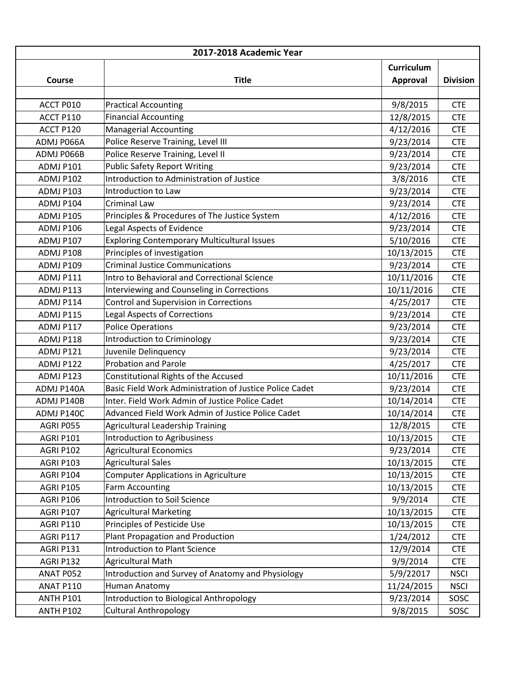| 2017-2018 Academic Year |                                                         |                   |                 |  |
|-------------------------|---------------------------------------------------------|-------------------|-----------------|--|
|                         |                                                         | <b>Curriculum</b> |                 |  |
| Course                  | <b>Title</b>                                            | <b>Approval</b>   | <b>Division</b> |  |
|                         |                                                         |                   |                 |  |
| ACCT P010               | <b>Practical Accounting</b>                             | 9/8/2015          | <b>CTE</b>      |  |
| ACCT P110               | <b>Financial Accounting</b>                             | 12/8/2015         | <b>CTE</b>      |  |
| ACCT P120               | <b>Managerial Accounting</b>                            | 4/12/2016         | <b>CTE</b>      |  |
| ADMJ P066A              | Police Reserve Training, Level III                      | 9/23/2014         | <b>CTE</b>      |  |
| ADMJ P066B              | Police Reserve Training, Level II                       | 9/23/2014         | <b>CTE</b>      |  |
| ADMJ P101               | <b>Public Safety Report Writing</b>                     | 9/23/2014         | <b>CTE</b>      |  |
| ADMJ P102               | Introduction to Administration of Justice               | 3/8/2016          | <b>CTE</b>      |  |
| ADMJ P103               | Introduction to Law                                     | 9/23/2014         | <b>CTE</b>      |  |
| ADMJ P104               | <b>Criminal Law</b>                                     | 9/23/2014         | <b>CTE</b>      |  |
| ADMJ P105               | Principles & Procedures of The Justice System           | 4/12/2016         | <b>CTE</b>      |  |
| <b>ADMJ P106</b>        | Legal Aspects of Evidence                               | 9/23/2014         | <b>CTE</b>      |  |
| <b>ADMJ P107</b>        | <b>Exploring Contemporary Multicultural Issues</b>      | 5/10/2016         | <b>CTE</b>      |  |
| ADMJ P108               | Principles of investigation                             | 10/13/2015        | <b>CTE</b>      |  |
| ADMJ P109               | <b>Criminal Justice Communications</b>                  | 9/23/2014         | <b>CTE</b>      |  |
| ADMJ P111               | Intro to Behavioral and Correctional Science            | 10/11/2016        | <b>CTE</b>      |  |
| ADMJ P113               | Interviewing and Counseling in Corrections              | 10/11/2016        | <b>CTE</b>      |  |
| ADMJ P114               | Control and Supervision in Corrections                  | 4/25/2017         | <b>CTE</b>      |  |
| ADMJ P115               | <b>Legal Aspects of Corrections</b>                     | 9/23/2014         | <b>CTE</b>      |  |
| ADMJ P117               | <b>Police Operations</b>                                | 9/23/2014         | <b>CTE</b>      |  |
| ADMJ P118               | Introduction to Criminology                             | 9/23/2014         | <b>CTE</b>      |  |
| ADMJ P121               | Juvenile Delinquency                                    | 9/23/2014         | <b>CTE</b>      |  |
| ADMJ P122               | <b>Probation and Parole</b>                             | 4/25/2017         | <b>CTE</b>      |  |
| ADMJ P123               | Constitutional Rights of the Accused                    | 10/11/2016        | <b>CTE</b>      |  |
| ADMJ P140A              | Basic Field Work Administration of Justice Police Cadet | 9/23/2014         | <b>CTE</b>      |  |
|                         | Inter. Field Work Admin of Justice Police Cadet         | 10/14/2014        | <b>CTE</b>      |  |
| ADMJ P140B              |                                                         | 10/14/2014        | <b>CTE</b>      |  |
| ADMJ P140C              | Advanced Field Work Admin of Justice Police Cadet       |                   |                 |  |
| AGRI P055               | Agricultural Leadership Training                        | 12/8/2015         | <b>CTE</b>      |  |
| AGRI P101               | Introduction to Agribusiness                            | 10/13/2015        | <b>CTE</b>      |  |
| AGRI P102               | <b>Agricultural Economics</b>                           | 9/23/2014         | <b>CTE</b>      |  |
| AGRI P103               | <b>Agricultural Sales</b>                               | 10/13/2015        | <b>CTE</b>      |  |
| AGRI P104               | <b>Computer Applications in Agriculture</b>             | 10/13/2015        | <b>CTE</b>      |  |
| <b>AGRI P105</b>        | <b>Farm Accounting</b>                                  | 10/13/2015        | <b>CTE</b>      |  |
| AGRI P106               | Introduction to Soil Science                            | 9/9/2014          | <b>CTE</b>      |  |
| AGRI P107               | <b>Agricultural Marketing</b>                           | 10/13/2015        | <b>CTE</b>      |  |
| AGRI P110               | Principles of Pesticide Use                             | 10/13/2015        | <b>CTE</b>      |  |
| AGRI P117               | Plant Propagation and Production                        | 1/24/2012         | <b>CTE</b>      |  |
| AGRI P131               | <b>Introduction to Plant Science</b>                    | 12/9/2014         | <b>CTE</b>      |  |
| AGRI P132               | Agricultural Math                                       | 9/9/2014          | <b>CTE</b>      |  |
| ANAT P052               | Introduction and Survey of Anatomy and Physiology       | 5/9/22017         | <b>NSCI</b>     |  |
| ANAT P110               | Human Anatomy                                           | 11/24/2015        | <b>NSCI</b>     |  |
| <b>ANTH P101</b>        | Introduction to Biological Anthropology                 | 9/23/2014         | SOSC            |  |
| <b>ANTH P102</b>        | <b>Cultural Anthropology</b>                            | 9/8/2015          | SOSC            |  |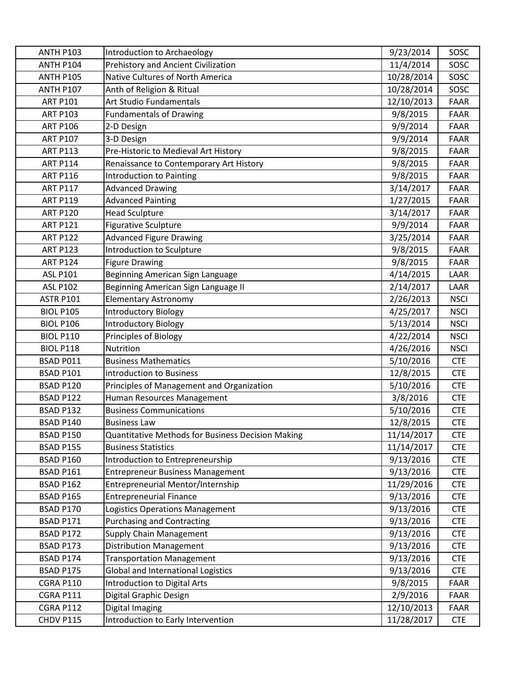| <b>ANTH P103</b> | Introduction to Archaeology                       | 9/23/2014  | SOSC        |
|------------------|---------------------------------------------------|------------|-------------|
| <b>ANTH P104</b> | Prehistory and Ancient Civilization               | 11/4/2014  | SOSC        |
| <b>ANTH P105</b> | Native Cultures of North America                  | 10/28/2014 | SOSC        |
| <b>ANTH P107</b> | Anth of Religion & Ritual                         | 10/28/2014 | SOSC        |
| <b>ART P101</b>  | Art Studio Fundamentals                           | 12/10/2013 | <b>FAAR</b> |
| <b>ART P103</b>  | <b>Fundamentals of Drawing</b>                    | 9/8/2015   | <b>FAAR</b> |
| <b>ART P106</b>  | 2-D Design                                        | 9/9/2014   | <b>FAAR</b> |
| <b>ART P107</b>  | 3-D Design                                        | 9/9/2014   | <b>FAAR</b> |
| <b>ART P113</b>  | Pre-Historic to Medieval Art History              | 9/8/2015   | <b>FAAR</b> |
| <b>ART P114</b>  | Renaissance to Contemporary Art History           | 9/8/2015   | <b>FAAR</b> |
| <b>ART P116</b>  | <b>Introduction to Painting</b>                   | 9/8/2015   | <b>FAAR</b> |
| <b>ART P117</b>  | <b>Advanced Drawing</b>                           | 3/14/2017  | <b>FAAR</b> |
| <b>ART P119</b>  | <b>Advanced Painting</b>                          | 1/27/2015  | <b>FAAR</b> |
| <b>ART P120</b>  | <b>Head Sculpture</b>                             | 3/14/2017  | <b>FAAR</b> |
| <b>ART P121</b>  | <b>Figurative Sculpture</b>                       | 9/9/2014   | <b>FAAR</b> |
| <b>ART P122</b>  | <b>Advanced Figure Drawing</b>                    | 3/25/2014  | <b>FAAR</b> |
| <b>ART P123</b>  | Introduction to Sculpture                         | 9/8/2015   | <b>FAAR</b> |
| <b>ART P124</b>  | <b>Figure Drawing</b>                             | 9/8/2015   | <b>FAAR</b> |
| <b>ASL P101</b>  | Beginning American Sign Language                  | 4/14/2015  | LAAR        |
| <b>ASL P102</b>  | Beginning American Sign Language II               | 2/14/2017  | LAAR        |
| <b>ASTR P101</b> | <b>Elementary Astronomy</b>                       | 2/26/2013  | <b>NSCI</b> |
| <b>BIOL P105</b> | <b>Introductory Biology</b>                       | 4/25/2017  | <b>NSCI</b> |
| <b>BIOL P106</b> | <b>Introductory Biology</b>                       | 5/13/2014  | <b>NSCI</b> |
| <b>BIOL P110</b> | Principles of Biology                             | 4/22/2014  | <b>NSCI</b> |
| <b>BIOL P118</b> | Nutrition                                         | 4/26/2016  | <b>NSCI</b> |
| BSAD P011        | <b>Business Mathematics</b>                       | 5/10/2016  | <b>CTE</b>  |
| BSAD P101        | introduction to Business                          | 12/8/2015  | <b>CTE</b>  |
| <b>BSAD P120</b> | Principles of Management and Organization         | 5/10/2016  | <b>CTE</b>  |
| <b>BSAD P122</b> | Human Resources Management                        | 3/8/2016   | <b>CTE</b>  |
| <b>BSAD P132</b> | <b>Business Communications</b>                    | 5/10/2016  | <b>CTE</b>  |
| <b>BSAD P140</b> | <b>Business Law</b>                               | 12/8/2015  | <b>CTE</b>  |
| <b>BSAD P150</b> | Quantitative Methods for Business Decision Making | 11/14/2017 | <b>CTE</b>  |
| BSAD P155        | <b>Business Statistics</b>                        | 11/14/2017 | <b>CTE</b>  |
| BSAD P160        | Introduction to Entrepreneurship                  | 9/13/2016  | <b>CTE</b>  |
| BSAD P161        | <b>Entrepreneur Business Management</b>           | 9/13/2016  | <b>CTE</b>  |
| <b>BSAD P162</b> | Entrepreneurial Mentor/Internship                 | 11/29/2016 | <b>CTE</b>  |
| <b>BSAD P165</b> | <b>Entrepreneurial Finance</b>                    | 9/13/2016  | <b>CTE</b>  |
| <b>BSAD P170</b> | Logistics Operations Management                   | 9/13/2016  | <b>CTE</b>  |
| BSAD P171        | <b>Purchasing and Contracting</b>                 | 9/13/2016  | <b>CTE</b>  |
| BSAD P172        | <b>Supply Chain Management</b>                    | 9/13/2016  | <b>CTE</b>  |
| BSAD P173        | <b>Distribution Management</b>                    | 9/13/2016  | <b>CTE</b>  |
| BSAD P174        | <b>Transportation Management</b>                  | 9/13/2016  | <b>CTE</b>  |
| BSAD P175        | Global and International Logistics                | 9/13/2016  | <b>CTE</b>  |
| <b>CGRA P110</b> | Introduction to Digital Arts                      | 9/8/2015   | <b>FAAR</b> |
| <b>CGRA P111</b> | Digital Graphic Design                            | 2/9/2016   | FAAR        |
| <b>CGRA P112</b> | Digital Imaging                                   | 12/10/2013 | FAAR        |
| CHDV P115        | Introduction to Early Intervention                | 11/28/2017 | <b>CTE</b>  |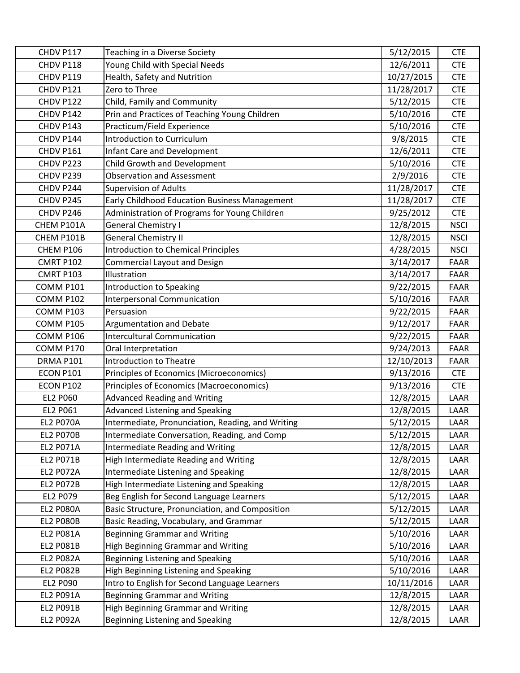| CHDV P117        | Teaching in a Diverse Society                     | 5/12/2015  | <b>CTE</b>  |
|------------------|---------------------------------------------------|------------|-------------|
| CHDV P118        | Young Child with Special Needs                    | 12/6/2011  | <b>CTE</b>  |
| CHDV P119        | Health, Safety and Nutrition                      | 10/27/2015 | <b>CTE</b>  |
| CHDV P121        | Zero to Three                                     | 11/28/2017 | <b>CTE</b>  |
| CHDV P122        | Child, Family and Community                       | 5/12/2015  | <b>CTE</b>  |
| CHDV P142        | Prin and Practices of Teaching Young Children     | 5/10/2016  | <b>CTE</b>  |
| CHDV P143        | Practicum/Field Experience                        | 5/10/2016  | <b>CTE</b>  |
| CHDV P144        | <b>Introduction to Curriculum</b>                 | 9/8/2015   | <b>CTE</b>  |
| CHDV P161        | <b>Infant Care and Development</b>                | 12/6/2011  | <b>CTE</b>  |
| CHDV P223        | Child Growth and Development                      | 5/10/2016  | <b>CTE</b>  |
| CHDV P239        | <b>Observation and Assessment</b>                 | 2/9/2016   | <b>CTE</b>  |
| CHDV P244        | <b>Supervision of Adults</b>                      | 11/28/2017 | <b>CTE</b>  |
| CHDV P245        | Early Childhood Education Business Management     | 11/28/2017 | <b>CTE</b>  |
| CHDV P246        | Administration of Programs for Young Children     | 9/25/2012  | <b>CTE</b>  |
| CHEM P101A       | General Chemistry I                               | 12/8/2015  | <b>NSCI</b> |
| CHEM P101B       | <b>General Chemistry II</b>                       | 12/8/2015  | <b>NSCI</b> |
| CHEM P106        | <b>Introduction to Chemical Principles</b>        | 4/28/2015  | <b>NSCI</b> |
| <b>CMRT P102</b> | Commercial Layout and Design                      | 3/14/2017  | <b>FAAR</b> |
| <b>CMRT P103</b> | Illustration                                      | 3/14/2017  | <b>FAAR</b> |
| <b>COMM P101</b> | Introduction to Speaking                          | 9/22/2015  | <b>FAAR</b> |
| <b>COMM P102</b> | <b>Interpersonal Communication</b>                | 5/10/2016  | <b>FAAR</b> |
| COMM P103        | Persuasion                                        | 9/22/2015  | <b>FAAR</b> |
| <b>COMM P105</b> | Argumentation and Debate                          | 9/12/2017  | <b>FAAR</b> |
| COMM P106        | <b>Intercultural Communication</b>                | 9/22/2015  | <b>FAAR</b> |
| <b>COMM P170</b> | Oral Interpretation                               | 9/24/2013  | <b>FAAR</b> |
| DRMA P101        | <b>Introduction to Theatre</b>                    | 12/10/2013 | <b>FAAR</b> |
| <b>ECON P101</b> | Principles of Economics (Microeconomics)          | 9/13/2016  | <b>CTE</b>  |
| <b>ECON P102</b> | Principles of Economics (Macroeconomics)          | 9/13/2016  | <b>CTE</b>  |
| <b>EL2 P060</b>  | <b>Advanced Reading and Writing</b>               | 12/8/2015  | LAAR        |
| EL2 P061         | Advanced Listening and Speaking                   | 12/8/2015  | LAAR        |
| <b>EL2 P070A</b> | Intermediate, Pronunciation, Reading, and Writing | 5/12/2015  | LAAR        |
| <b>EL2 P070B</b> | Intermediate Conversation, Reading, and Comp      | 5/12/2015  | LAAR        |
| <b>EL2 P071A</b> | <b>Intermediate Reading and Writing</b>           | 12/8/2015  | LAAR        |
| EL2 P071B        | High Intermediate Reading and Writing             | 12/8/2015  | LAAR        |
| <b>EL2 P072A</b> | Intermediate Listening and Speaking               | 12/8/2015  | LAAR        |
| <b>EL2 P072B</b> | High Intermediate Listening and Speaking          | 12/8/2015  | LAAR        |
| EL2 P079         | Beg English for Second Language Learners          | 5/12/2015  | LAAR        |
| <b>EL2 P080A</b> | Basic Structure, Pronunciation, and Composition   | 5/12/2015  | LAAR        |
| <b>EL2 P080B</b> | Basic Reading, Vocabulary, and Grammar            | 5/12/2015  | LAAR        |
| <b>EL2 P081A</b> | <b>Beginning Grammar and Writing</b>              | 5/10/2016  | LAAR        |
| <b>EL2 P081B</b> | <b>High Beginning Grammar and Writing</b>         | 5/10/2016  | LAAR        |
| <b>EL2 P082A</b> | Beginning Listening and Speaking                  | 5/10/2016  | LAAR        |
| <b>EL2 P082B</b> | High Beginning Listening and Speaking             | 5/10/2016  | LAAR        |
| <b>EL2 P090</b>  | Intro to English for Second Language Learners     | 10/11/2016 | LAAR        |
| EL2 P091A        | <b>Beginning Grammar and Writing</b>              | 12/8/2015  | LAAR        |
| EL2 P091B        | <b>High Beginning Grammar and Writing</b>         | 12/8/2015  | LAAR        |
| <b>EL2 P092A</b> | Beginning Listening and Speaking                  | 12/8/2015  | LAAR        |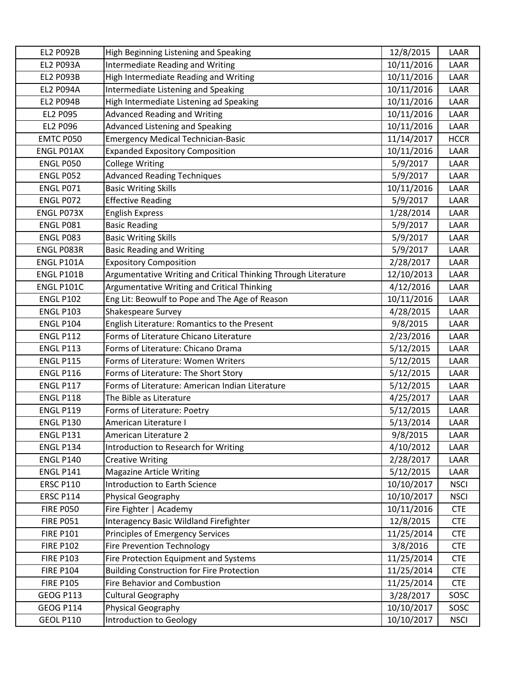| <b>EL2 P092B</b>  | High Beginning Listening and Speaking                          | 12/8/2015  | LAAR        |
|-------------------|----------------------------------------------------------------|------------|-------------|
| <b>EL2 P093A</b>  | <b>Intermediate Reading and Writing</b>                        | 10/11/2016 | LAAR        |
| <b>EL2 P093B</b>  | High Intermediate Reading and Writing                          | 10/11/2016 | LAAR        |
| <b>EL2 P094A</b>  | Intermediate Listening and Speaking                            | 10/11/2016 | LAAR        |
| <b>EL2 P094B</b>  | High Intermediate Listening ad Speaking                        | 10/11/2016 | LAAR        |
| EL2 P095          | <b>Advanced Reading and Writing</b>                            | 10/11/2016 | LAAR        |
| EL2 P096          | Advanced Listening and Speaking                                | 10/11/2016 | LAAR        |
| EMTC P050         | <b>Emergency Medical Technician-Basic</b>                      | 11/14/2017 | <b>HCCR</b> |
| <b>ENGL PO1AX</b> | <b>Expanded Expository Composition</b>                         | 10/11/2016 | LAAR        |
| <b>ENGL P050</b>  | <b>College Writing</b>                                         | 5/9/2017   | LAAR        |
| ENGL P052         | <b>Advanced Reading Techniques</b>                             | 5/9/2017   | LAAR        |
| ENGL P071         | <b>Basic Writing Skills</b>                                    | 10/11/2016 | LAAR        |
| ENGL P072         | <b>Effective Reading</b>                                       | 5/9/2017   | LAAR        |
| ENGL P073X        | <b>English Express</b>                                         | 1/28/2014  | LAAR        |
| ENGL P081         | <b>Basic Reading</b>                                           | 5/9/2017   | LAAR        |
| ENGL P083         | <b>Basic Writing Skills</b>                                    | 5/9/2017   | LAAR        |
| ENGL P083R        | <b>Basic Reading and Writing</b>                               | 5/9/2017   | LAAR        |
| ENGL P101A        | <b>Expository Composition</b>                                  | 2/28/2017  | LAAR        |
| ENGL P101B        | Argumentative Writing and Critical Thinking Through Literature | 12/10/2013 | LAAR        |
| <b>ENGL P101C</b> | Argumentative Writing and Critical Thinking                    | 4/12/2016  | LAAR        |
| <b>ENGL P102</b>  | Eng Lit: Beowulf to Pope and The Age of Reason                 | 10/11/2016 | LAAR        |
| <b>ENGL P103</b>  | Shakespeare Survey                                             | 4/28/2015  | LAAR        |
| <b>ENGL P104</b>  | English Literature: Romantics to the Present                   | 9/8/2015   | LAAR        |
| <b>ENGL P112</b>  | Forms of Literature Chicano Literature                         | 2/23/2016  | LAAR        |
| <b>ENGL P113</b>  | Forms of Literature: Chicano Drama                             | 5/12/2015  | LAAR        |
| <b>ENGL P115</b>  | Forms of Literature: Women Writers                             | 5/12/2015  | LAAR        |
| <b>ENGL P116</b>  | Forms of Literature: The Short Story                           | 5/12/2015  | LAAR        |
| <b>ENGL P117</b>  | Forms of Literature: American Indian Literature                | 5/12/2015  | LAAR        |
| <b>ENGL P118</b>  | The Bible as Literature                                        | 4/25/2017  | LAAR        |
| <b>ENGL P119</b>  | Forms of Literature: Poetry                                    | 5/12/2015  | LAAR        |
| <b>ENGL P130</b>  | American Literature I                                          | 5/13/2014  | LAAR        |
| <b>ENGL P131</b>  | American Literature 2                                          | 9/8/2015   | LAAR        |
| <b>ENGL P134</b>  | Introduction to Research for Writing                           | 4/10/2012  | LAAR        |
| <b>ENGL P140</b>  | <b>Creative Writing</b>                                        | 2/28/2017  | LAAR        |
| <b>ENGL P141</b>  | <b>Magazine Article Writing</b>                                | 5/12/2015  | LAAR        |
| <b>ERSC P110</b>  | Introduction to Earth Science                                  | 10/10/2017 | <b>NSCI</b> |
| <b>ERSC P114</b>  | Physical Geography                                             | 10/10/2017 | <b>NSCI</b> |
| <b>FIRE P050</b>  | Fire Fighter   Academy                                         | 10/11/2016 | <b>CTE</b>  |
| <b>FIRE P051</b>  | Interagency Basic Wildland Firefighter                         | 12/8/2015  | <b>CTE</b>  |
| <b>FIRE P101</b>  | Principles of Emergency Services                               | 11/25/2014 | <b>CTE</b>  |
| <b>FIRE P102</b>  | <b>Fire Prevention Technology</b>                              | 3/8/2016   | <b>CTE</b>  |
| <b>FIRE P103</b>  | Fire Protection Equipment and Systems                          | 11/25/2014 | <b>CTE</b>  |
| <b>FIRE P104</b>  | <b>Building Construction for Fire Protection</b>               | 11/25/2014 | <b>CTE</b>  |
| <b>FIRE P105</b>  | <b>Fire Behavior and Combustion</b>                            | 11/25/2014 | <b>CTE</b>  |
| <b>GEOG P113</b>  | <b>Cultural Geography</b>                                      | 3/28/2017  | SOSC        |
| <b>GEOG P114</b>  | Physical Geography                                             | 10/10/2017 | SOSC        |
| <b>GEOL P110</b>  | Introduction to Geology                                        | 10/10/2017 | <b>NSCI</b> |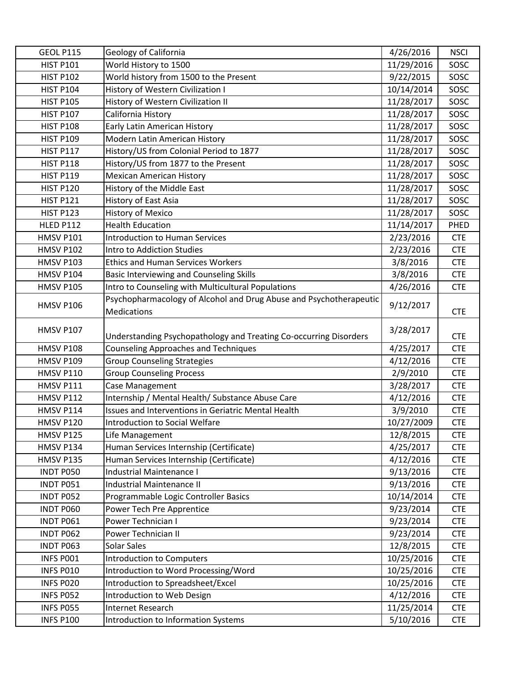| <b>GEOL P115</b> | Geology of California                                              | 4/26/2016  | <b>NSCI</b> |
|------------------|--------------------------------------------------------------------|------------|-------------|
| <b>HIST P101</b> | World History to 1500                                              | 11/29/2016 | SOSC        |
| <b>HIST P102</b> | World history from 1500 to the Present                             | 9/22/2015  | SOSC        |
| <b>HIST P104</b> | History of Western Civilization I                                  | 10/14/2014 | SOSC        |
| <b>HIST P105</b> | History of Western Civilization II                                 | 11/28/2017 | SOSC        |
| <b>HIST P107</b> | California History                                                 | 11/28/2017 | SOSC        |
| <b>HIST P108</b> | Early Latin American History                                       | 11/28/2017 | SOSC        |
| <b>HIST P109</b> | Modern Latin American History                                      | 11/28/2017 | SOSC        |
| <b>HIST P117</b> | History/US from Colonial Period to 1877                            | 11/28/2017 | SOSC        |
| <b>HIST P118</b> | History/US from 1877 to the Present                                | 11/28/2017 | SOSC        |
| <b>HIST P119</b> | <b>Mexican American History</b>                                    | 11/28/2017 | SOSC        |
| <b>HIST P120</b> | History of the Middle East                                         | 11/28/2017 | SOSC        |
| <b>HIST P121</b> | History of East Asia                                               | 11/28/2017 | SOSC        |
| <b>HIST P123</b> | <b>History of Mexico</b>                                           | 11/28/2017 | SOSC        |
| <b>HLED P112</b> | <b>Health Education</b>                                            | 11/14/2017 | <b>PHED</b> |
| <b>HMSV P101</b> | <b>Introduction to Human Services</b>                              | 2/23/2016  | <b>CTE</b>  |
| <b>HMSV P102</b> | Intro to Addiction Studies                                         | 2/23/2016  | <b>CTE</b>  |
| <b>HMSV P103</b> | <b>Ethics and Human Services Workers</b>                           | 3/8/2016   | <b>CTE</b>  |
| <b>HMSV P104</b> | Basic Interviewing and Counseling Skills                           | 3/8/2016   | <b>CTE</b>  |
| <b>HMSV P105</b> | Intro to Counseling with Multicultural Populations                 | 4/26/2016  | <b>CTE</b>  |
|                  | Psychopharmacology of Alcohol and Drug Abuse and Psychotherapeutic |            |             |
| <b>HMSV P106</b> | <b>Medications</b>                                                 | 9/12/2017  | <b>CTE</b>  |
| <b>HMSV P107</b> | Understanding Psychopathology and Treating Co-occurring Disorders  | 3/28/2017  | <b>CTE</b>  |
| <b>HMSV P108</b> | <b>Counseling Approaches and Techniques</b>                        | 4/25/2017  | <b>CTE</b>  |
| <b>HMSV P109</b> | <b>Group Counseling Strategies</b>                                 | 4/12/2016  | <b>CTE</b>  |
| <b>HMSV P110</b> | <b>Group Counseling Process</b>                                    | 2/9/2010   | <b>CTE</b>  |
| <b>HMSV P111</b> | Case Management                                                    | 3/28/2017  | <b>CTE</b>  |
| <b>HMSV P112</b> | Internship / Mental Health/ Substance Abuse Care                   | 4/12/2016  | <b>CTE</b>  |
| <b>HMSV P114</b> | Issues and Interventions in Geriatric Mental Health                | 3/9/2010   | <b>CTE</b>  |
| HMSV P120        | Introduction to Social Welfare                                     | 10/27/2009 | <b>CTE</b>  |
| HMSV P125        | Life Management                                                    | 12/8/2015  | <b>CTE</b>  |
| HMSV P134        | Human Services Internship (Certificate)                            | 4/25/2017  | <b>CTE</b>  |
| <b>HMSV P135</b> | Human Services Internship (Certificate)                            | 4/12/2016  | <b>CTE</b>  |
| INDT P050        | Industrial Maintenance I                                           | 9/13/2016  | <b>CTE</b>  |
| INDT P051        | <b>Industrial Maintenance II</b>                                   | 9/13/2016  | <b>CTE</b>  |
| <b>INDT P052</b> | Programmable Logic Controller Basics                               | 10/14/2014 | <b>CTE</b>  |
| INDT P060        | Power Tech Pre Apprentice                                          | 9/23/2014  | <b>CTE</b>  |
| INDT P061        | Power Technician I                                                 | 9/23/2014  | <b>CTE</b>  |
| INDT P062        | Power Technician II                                                | 9/23/2014  | <b>CTE</b>  |
| INDT P063        | Solar Sales                                                        | 12/8/2015  | <b>CTE</b>  |
| INFS PO01        | <b>Introduction to Computers</b>                                   | 10/25/2016 | <b>CTE</b>  |
| INFS P010        | Introduction to Word Processing/Word                               | 10/25/2016 | <b>CTE</b>  |
| INFS P020        | Introduction to Spreadsheet/Excel                                  | 10/25/2016 | <b>CTE</b>  |
| INFS P052        | Introduction to Web Design                                         | 4/12/2016  | <b>CTE</b>  |
| INFS P055        | Internet Research                                                  | 11/25/2014 | <b>CTE</b>  |
| <b>INFS P100</b> | Introduction to Information Systems                                | 5/10/2016  | <b>CTE</b>  |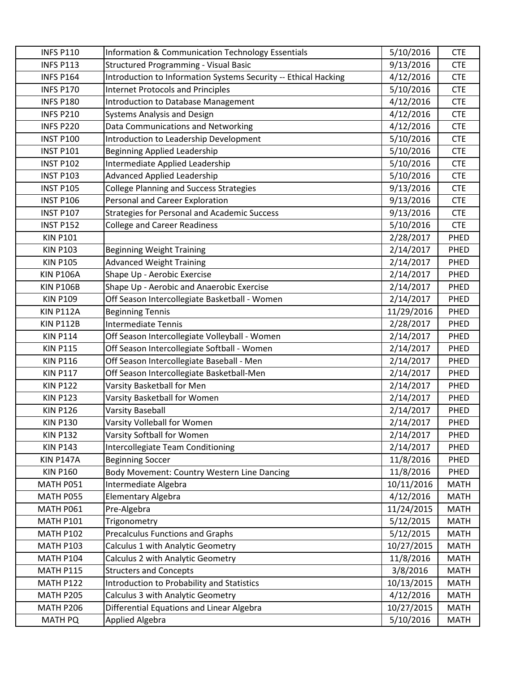| <b>INFS P110</b> | <b>Information &amp; Communication Technology Essentials</b>    | 5/10/2016  | <b>CTE</b>  |
|------------------|-----------------------------------------------------------------|------------|-------------|
| <b>INFS P113</b> | <b>Structured Programming - Visual Basic</b>                    | 9/13/2016  | <b>CTE</b>  |
| <b>INFS P164</b> | Introduction to Information Systems Security -- Ethical Hacking | 4/12/2016  | <b>CTE</b>  |
| <b>INFS P170</b> | <b>Internet Protocols and Principles</b>                        | 5/10/2016  | <b>CTE</b>  |
| <b>INFS P180</b> | <b>Introduction to Database Management</b>                      | 4/12/2016  | <b>CTE</b>  |
| <b>INFS P210</b> | <b>Systems Analysis and Design</b>                              | 4/12/2016  | <b>CTE</b>  |
| <b>INFS P220</b> | Data Communications and Networking                              | 4/12/2016  | <b>CTE</b>  |
| <b>INST P100</b> | Introduction to Leadership Development                          | 5/10/2016  | <b>CTE</b>  |
| <b>INST P101</b> | <b>Beginning Applied Leadership</b>                             | 5/10/2016  | <b>CTE</b>  |
| <b>INST P102</b> | Intermediate Applied Leadership                                 | 5/10/2016  | <b>CTE</b>  |
| <b>INST P103</b> | <b>Advanced Applied Leadership</b>                              | 5/10/2016  | <b>CTE</b>  |
| <b>INST P105</b> | <b>College Planning and Success Strategies</b>                  | 9/13/2016  | <b>CTE</b>  |
| <b>INST P106</b> | Personal and Career Exploration                                 | 9/13/2016  | <b>CTE</b>  |
| <b>INST P107</b> | <b>Strategies for Personal and Academic Success</b>             | 9/13/2016  | <b>CTE</b>  |
| <b>INST P152</b> | <b>College and Career Readiness</b>                             | 5/10/2016  | <b>CTE</b>  |
| <b>KIN P101</b>  |                                                                 | 2/28/2017  | PHED        |
| <b>KIN P103</b>  | <b>Beginning Weight Training</b>                                | 2/14/2017  | PHED        |
| <b>KIN P105</b>  | <b>Advanced Weight Training</b>                                 | 2/14/2017  | PHED        |
| <b>KIN P106A</b> | Shape Up - Aerobic Exercise                                     | 2/14/2017  | PHED        |
| <b>KIN P106B</b> | Shape Up - Aerobic and Anaerobic Exercise                       | 2/14/2017  | PHED        |
| <b>KIN P109</b>  | Off Season Intercollegiate Basketball - Women                   | 2/14/2017  | PHED        |
| <b>KIN P112A</b> | <b>Beginning Tennis</b>                                         | 11/29/2016 | PHED        |
| <b>KIN P112B</b> | <b>Intermediate Tennis</b>                                      | 2/28/2017  | PHED        |
| <b>KIN P114</b>  | Off Season Intercollegiate Volleyball - Women                   | 2/14/2017  | PHED        |
| <b>KIN P115</b>  | Off Season Intercollegiate Softball - Women                     | 2/14/2017  | PHED        |
| <b>KIN P116</b>  | Off Season Intercollegiate Baseball - Men                       | 2/14/2017  | PHED        |
| <b>KIN P117</b>  | Off Season Intercollegiate Basketball-Men                       | 2/14/2017  | PHED        |
| <b>KIN P122</b>  | Varsity Basketball for Men                                      | 2/14/2017  | PHED        |
| <b>KIN P123</b>  | Varsity Basketball for Women                                    | 2/14/2017  | PHED        |
| <b>KIN P126</b>  | <b>Varsity Baseball</b>                                         | 2/14/2017  | PHED        |
| <b>KIN P130</b>  | Varsity Volleball for Women                                     | 2/14/2017  | PHED        |
| <b>KIN P132</b>  | Varsity Softball for Women                                      | 2/14/2017  | PHED        |
| <b>KIN P143</b>  | <b>Intercollegiate Team Conditioning</b>                        | 2/14/2017  | PHED        |
| <b>KIN P147A</b> | <b>Beginning Soccer</b>                                         | 11/8/2016  | PHED        |
| <b>KIN P160</b>  | Body Movement: Country Western Line Dancing                     | 11/8/2016  | PHED        |
| MATH P051        | Intermediate Algebra                                            | 10/11/2016 | <b>MATH</b> |
| MATH P055        | <b>Elementary Algebra</b>                                       | 4/12/2016  | <b>MATH</b> |
| MATH P061        | Pre-Algebra                                                     | 11/24/2015 | <b>MATH</b> |
| <b>MATH P101</b> | Trigonometry                                                    | 5/12/2015  | <b>MATH</b> |
| <b>MATH P102</b> | <b>Precalculus Functions and Graphs</b>                         | 5/12/2015  | <b>MATH</b> |
| <b>MATH P103</b> | Calculus 1 with Analytic Geometry                               | 10/27/2015 | <b>MATH</b> |
| <b>MATH P104</b> | Calculus 2 with Analytic Geometry                               | 11/8/2016  | <b>MATH</b> |
| <b>MATH P115</b> | <b>Structers and Concepts</b>                                   | 3/8/2016   | <b>MATH</b> |
| <b>MATH P122</b> | Introduction to Probability and Statistics                      | 10/13/2015 | <b>MATH</b> |
| <b>MATH P205</b> | Calculus 3 with Analytic Geometry                               | 4/12/2016  | <b>MATH</b> |
| <b>MATH P206</b> | Differential Equations and Linear Algebra                       | 10/27/2015 | <b>MATH</b> |
| MATH PQ          | <b>Applied Algebra</b>                                          | 5/10/2016  | <b>MATH</b> |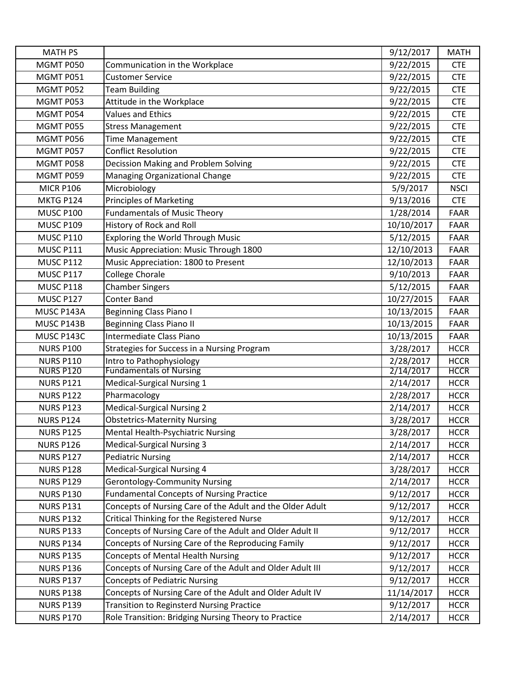| <b>MATH PS</b>                       |                                                               | 9/12/2017              | <b>MATH</b>                |
|--------------------------------------|---------------------------------------------------------------|------------------------|----------------------------|
| MGMT P050                            | Communication in the Workplace                                | 9/22/2015              | <b>CTE</b>                 |
| MGMT P051                            | <b>Customer Service</b>                                       | 9/22/2015              | <b>CTE</b>                 |
| MGMT P052                            | <b>Team Building</b>                                          | 9/22/2015              | <b>CTE</b>                 |
| MGMT P053                            | Attitude in the Workplace                                     | 9/22/2015              | <b>CTE</b>                 |
| MGMT P054                            | <b>Values and Ethics</b>                                      | 9/22/2015              | <b>CTE</b>                 |
| MGMT P055                            | <b>Stress Management</b>                                      | 9/22/2015              | <b>CTE</b>                 |
| MGMT P056                            | <b>Time Management</b>                                        | 9/22/2015              | <b>CTE</b>                 |
| MGMT P057                            | <b>Conflict Resolution</b>                                    | 9/22/2015              | <b>CTE</b>                 |
| MGMT P058                            | Decission Making and Problem Solving                          | 9/22/2015              | <b>CTE</b>                 |
| MGMT P059                            | Managing Organizational Change                                | 9/22/2015              | <b>CTE</b>                 |
| <b>MICR P106</b>                     | Microbiology                                                  | 5/9/2017               | <b>NSCI</b>                |
| MKTG P124                            | <b>Principles of Marketing</b>                                | 9/13/2016              | <b>CTE</b>                 |
| <b>MUSC P100</b>                     | <b>Fundamentals of Music Theory</b>                           | 1/28/2014              | <b>FAAR</b>                |
| <b>MUSC P109</b>                     | History of Rock and Roll                                      | 10/10/2017             | <b>FAAR</b>                |
| <b>MUSC P110</b>                     | <b>Exploring the World Through Music</b>                      | 5/12/2015              | <b>FAAR</b>                |
| <b>MUSC P111</b>                     | Music Appreciation: Music Through 1800                        | 12/10/2013             | <b>FAAR</b>                |
| <b>MUSC P112</b>                     | Music Appreciation: 1800 to Present                           | 12/10/2013             | <b>FAAR</b>                |
| <b>MUSC P117</b>                     | College Chorale                                               | 9/10/2013              | <b>FAAR</b>                |
| <b>MUSC P118</b>                     | <b>Chamber Singers</b>                                        | 5/12/2015              | <b>FAAR</b>                |
| <b>MUSC P127</b>                     | <b>Conter Band</b>                                            | 10/27/2015             | <b>FAAR</b>                |
| MUSC P143A                           | <b>Beginning Class Piano I</b>                                | 10/13/2015             | <b>FAAR</b>                |
| MUSC P143B                           | <b>Beginning Class Piano II</b>                               | 10/13/2015             | <b>FAAR</b>                |
| MUSC P143C                           | Intermediate Class Piano                                      | 10/13/2015             | <b>FAAR</b>                |
| <b>NURS P100</b>                     | Strategies for Success in a Nursing Program                   | 3/28/2017              | <b>HCCR</b>                |
| <b>NURS P110</b>                     | Intro to Pathophysiology                                      | 2/28/2017              | <b>HCCR</b>                |
| <b>NURS P120</b>                     | <b>Fundamentals of Nursing</b>                                | 2/14/2017              | <b>HCCR</b>                |
| <b>NURS P121</b>                     | Medical-Surgical Nursing 1                                    | 2/14/2017              | <b>HCCR</b>                |
| <b>NURS P122</b>                     | Pharmacology                                                  | 2/28/2017              | <b>HCCR</b>                |
| <b>NURS P123</b>                     | <b>Medical-Surgical Nursing 2</b>                             | 2/14/2017              | <b>HCCR</b>                |
| <b>NURS P124</b>                     | <b>Obstetrics-Maternity Nursing</b>                           | 3/28/2017              | <b>HCCR</b>                |
| <b>NURS P125</b>                     | Mental Health-Psychiatric Nursing                             | 3/28/2017              | <b>HCCR</b>                |
| <b>NURS P126</b>                     | <b>Medical-Surgical Nursing 3</b><br><b>Pediatric Nursing</b> | 2/14/2017<br>2/14/2017 | <b>HCCR</b>                |
| <b>NURS P127</b><br><b>NURS P128</b> | <b>Medical-Surgical Nursing 4</b>                             | 3/28/2017              | <b>HCCR</b>                |
| <b>NURS P129</b>                     | <b>Gerontology-Community Nursing</b>                          | 2/14/2017              | <b>HCCR</b><br><b>HCCR</b> |
| <b>NURS P130</b>                     | <b>Fundamental Concepts of Nursing Practice</b>               | 9/12/2017              | <b>HCCR</b>                |
| <b>NURS P131</b>                     | Concepts of Nursing Care of the Adult and the Older Adult     | 9/12/2017              | <b>HCCR</b>                |
| <b>NURS P132</b>                     | Critical Thinking for the Registered Nurse                    | 9/12/2017              | <b>HCCR</b>                |
| <b>NURS P133</b>                     | Concepts of Nursing Care of the Adult and Older Adult II      | 9/12/2017              | <b>HCCR</b>                |
| <b>NURS P134</b>                     | Concepts of Nursing Care of the Reproducing Family            | 9/12/2017              | <b>HCCR</b>                |
| <b>NURS P135</b>                     | Concepts of Mental Health Nursing                             | 9/12/2017              | <b>HCCR</b>                |
| <b>NURS P136</b>                     | Concepts of Nursing Care of the Adult and Older Adult III     | 9/12/2017              | <b>HCCR</b>                |
| <b>NURS P137</b>                     | <b>Concepts of Pediatric Nursing</b>                          | 9/12/2017              | <b>HCCR</b>                |
| <b>NURS P138</b>                     | Concepts of Nursing Care of the Adult and Older Adult IV      | 11/14/2017             | <b>HCCR</b>                |
| <b>NURS P139</b>                     | <b>Transition to Reginsterd Nursing Practice</b>              | 9/12/2017              | <b>HCCR</b>                |
| <b>NURS P170</b>                     | Role Transition: Bridging Nursing Theory to Practice          | 2/14/2017              | <b>HCCR</b>                |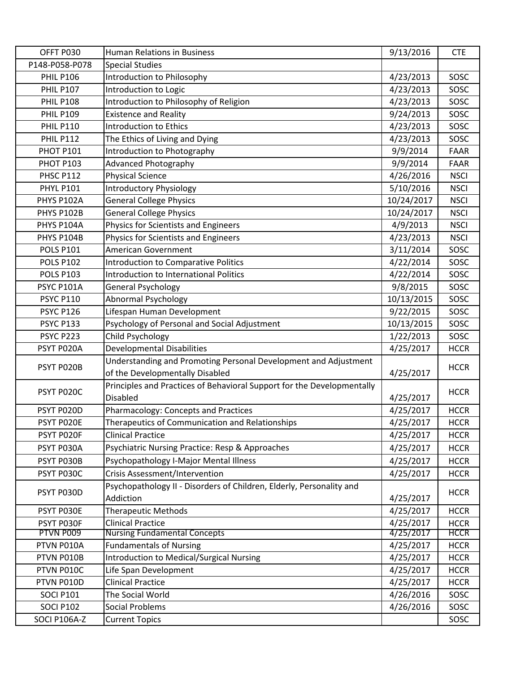| OFFT P030         | <b>Human Relations in Business</b>                                     | 9/13/2016  | <b>CTE</b>  |
|-------------------|------------------------------------------------------------------------|------------|-------------|
| P148-P058-P078    | <b>Special Studies</b>                                                 |            |             |
| <b>PHIL P106</b>  | Introduction to Philosophy                                             | 4/23/2013  | SOSC        |
| <b>PHIL P107</b>  | Introduction to Logic                                                  | 4/23/2013  | SOSC        |
| <b>PHIL P108</b>  | Introduction to Philosophy of Religion                                 | 4/23/2013  | SOSC        |
| <b>PHIL P109</b>  | <b>Existence and Reality</b>                                           | 9/24/2013  | SOSC        |
| <b>PHIL P110</b>  | <b>Introduction to Ethics</b>                                          | 4/23/2013  | SOSC        |
| <b>PHIL P112</b>  | The Ethics of Living and Dying                                         | 4/23/2013  | SOSC        |
| <b>PHOT P101</b>  | Introduction to Photography                                            | 9/9/2014   | <b>FAAR</b> |
| <b>PHOT P103</b>  | <b>Advanced Photography</b>                                            | 9/9/2014   | <b>FAAR</b> |
| <b>PHSC P112</b>  | <b>Physical Science</b>                                                | 4/26/2016  | <b>NSCI</b> |
| <b>PHYL P101</b>  | <b>Introductory Physiology</b>                                         | 5/10/2016  | <b>NSCI</b> |
| PHYS P102A        | <b>General College Physics</b>                                         | 10/24/2017 | <b>NSCI</b> |
| PHYS P102B        | <b>General College Physics</b>                                         | 10/24/2017 | <b>NSCI</b> |
| PHYS P104A        | Physics for Scientists and Engineers                                   | 4/9/2013   | <b>NSCI</b> |
| PHYS P104B        | Physics for Scientists and Engineers                                   | 4/23/2013  | <b>NSCI</b> |
| <b>POLS P101</b>  | <b>American Government</b>                                             | 3/11/2014  | SOSC        |
| <b>POLS P102</b>  | <b>Introduction to Comparative Politics</b>                            | 4/22/2014  | SOSC        |
| <b>POLS P103</b>  | <b>Introduction to International Politics</b>                          | 4/22/2014  | SOSC        |
| <b>PSYC P101A</b> | <b>General Psychology</b>                                              | 9/8/2015   | SOSC        |
| <b>PSYC P110</b>  | <b>Abnormal Psychology</b>                                             | 10/13/2015 | SOSC        |
| <b>PSYC P126</b>  | Lifespan Human Development                                             | 9/22/2015  | SOSC        |
| <b>PSYC P133</b>  | Psychology of Personal and Social Adjustment                           | 10/13/2015 | SOSC        |
| PSYC P223         | <b>Child Psychology</b>                                                | 1/22/2013  | SOSC        |
| PSYT P020A        | <b>Developmental Disabilities</b>                                      | 4/25/2017  | <b>HCCR</b> |
|                   | Understanding and Promoting Personal Development and Adjustment        |            |             |
| PSYT P020B        | of the Developmentally Disabled                                        | 4/25/2017  | <b>HCCR</b> |
|                   | Principles and Practices of Behavioral Support for the Developmentally |            |             |
| PSYT P020C        | <b>Disabled</b>                                                        | 4/25/2017  | <b>HCCR</b> |
| PSYT P020D        | Pharmacology: Concepts and Practices                                   | 4/25/2017  | <b>HCCR</b> |
| PSYT P020E        | Therapeutics of Communication and Relationships                        | 4/25/2017  | <b>HCCR</b> |
| PSYT P020F        | <b>Clinical Practice</b>                                               | 4/25/2017  | <b>HCCR</b> |
| PSYT P030A        | Psychiatric Nursing Practice: Resp & Approaches                        | 4/25/2017  | <b>HCCR</b> |
| PSYT P030B        | Psychopathology I-Major Mental Illness                                 | 4/25/2017  | <b>HCCR</b> |
| PSYT P030C        | Crisis Assessment/Intervention                                         | 4/25/2017  | <b>HCCR</b> |
|                   | Psychopathology II - Disorders of Children, Elderly, Personality and   |            |             |
| PSYT P030D        | Addiction                                                              | 4/25/2017  | <b>HCCR</b> |
| PSYT P030E        | <b>Therapeutic Methods</b>                                             | 4/25/2017  | <b>HCCR</b> |
| PSYT P030F        | <b>Clinical Practice</b>                                               | 4/25/2017  | <b>HCCR</b> |
| PTVN P009         | <b>Nursing Fundamental Concepts</b>                                    | 4/25/2017  | <b>HCCR</b> |
| PTVN P010A        | <b>Fundamentals of Nursing</b>                                         | 4/25/2017  | <b>HCCR</b> |
| PTVN P010B        | <b>Introduction to Medical/Surgical Nursing</b>                        | 4/25/2017  | <b>HCCR</b> |
| PTVN P010C        | Life Span Development                                                  | 4/25/2017  | <b>HCCR</b> |
| PTVN P010D        | <b>Clinical Practice</b>                                               | 4/25/2017  | <b>HCCR</b> |
| <b>SOCI P101</b>  | The Social World                                                       | 4/26/2016  | SOSC        |
| <b>SOCI P102</b>  | <b>Social Problems</b>                                                 | 4/26/2016  | SOSC        |
| SOCI P106A-Z      | <b>Current Topics</b>                                                  |            | SOSC        |